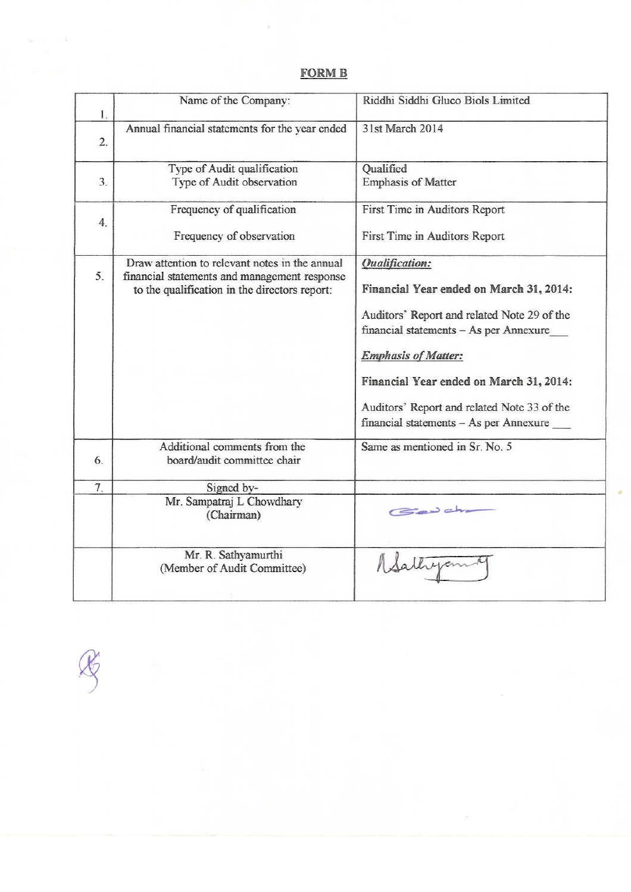# **FORM B**

 $\sim$ 

| Name of the Company:                                                                                                                            | Riddhi Siddhi Gluco Biols Limited                                                                                                                                                                                                                                                                                           |
|-------------------------------------------------------------------------------------------------------------------------------------------------|-----------------------------------------------------------------------------------------------------------------------------------------------------------------------------------------------------------------------------------------------------------------------------------------------------------------------------|
| Annual financial statements for the year ended                                                                                                  | 31st March 2014                                                                                                                                                                                                                                                                                                             |
| Type of Audit qualification<br>Type of Audit observation                                                                                        | Qualified<br><b>Emphasis of Matter</b>                                                                                                                                                                                                                                                                                      |
| Frequency of qualification<br>Frequency of observation                                                                                          | First Time in Auditors Report<br>First Time in Auditors Report                                                                                                                                                                                                                                                              |
| Draw attention to relevant notes in the annual<br>financial statements and management response<br>to the qualification in the directors report: | <b>Qualification:</b><br>Financial Year ended on March 31, 2014:<br>Auditors' Report and related Note 29 of the<br>financial statements - As per Annexure<br><b>Emphasis of Matter:</b><br>Financial Year ended on March 31, 2014:<br>Auditors' Report and related Note 33 of the<br>financial statements - As per Annexure |
| Additional comments from the<br>board/audit committee chair                                                                                     | Same as mentioned in Sr. No. 5                                                                                                                                                                                                                                                                                              |
| Signed by-<br>Mr. Sampatraj L Chowdhary<br>(Chairman)                                                                                           | Gewahr                                                                                                                                                                                                                                                                                                                      |
| Mr. R. Sathyamurthi<br>(Member of Audit Committee)                                                                                              |                                                                                                                                                                                                                                                                                                                             |
|                                                                                                                                                 |                                                                                                                                                                                                                                                                                                                             |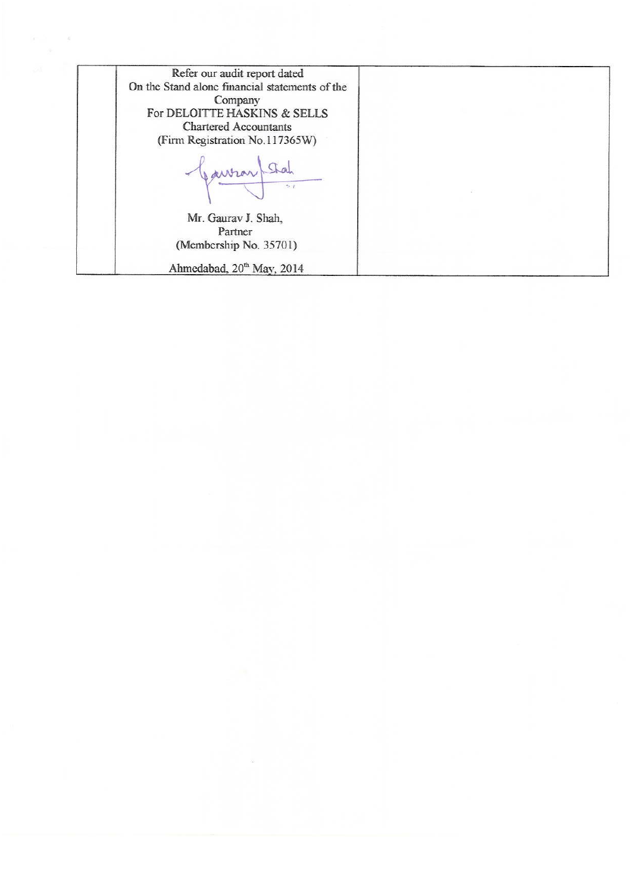Refer our audit report dated On the Stand alone financial statements of the Company For DELOITTE HASKINS & SELLS Chartered Accountants (Firm Registration No.117365W) Stal ANVIAN Mr. Gaurav J. Shah, Partner (Membership No. 35701) Ahmedabad, 20<sup>th</sup> May, 2014

 $\sim$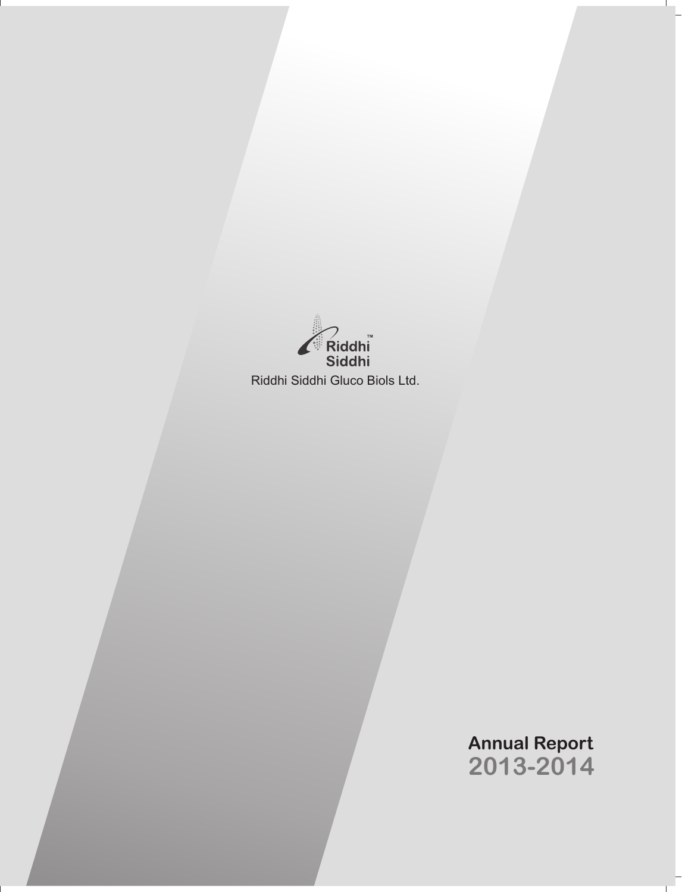

# **Annual Report 2013-2014**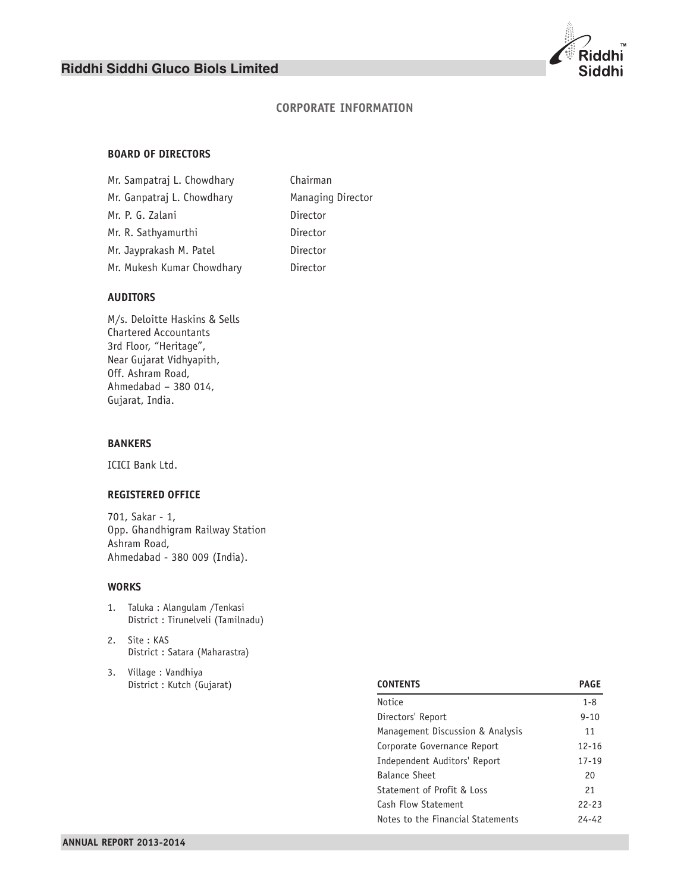# **CORPORATE INFORMATION**

# **BOARD OF DIRECTORS**

| Mr. Sampatraj L. Chowdhary | Chairman          |
|----------------------------|-------------------|
| Mr. Ganpatraj L. Chowdhary | Managing Director |
| Mr. P. G. Zalani           | Director          |
| Mr. R. Sathyamurthi        | Director          |
| Mr. Jayprakash M. Patel    | Director          |
| Mr. Mukesh Kumar Chowdhary | Director          |

# **AUDITORS**

M/s. Deloitte Haskins & Sells Chartered Accountants 3rd Floor, "Heritage", Near Gujarat Vidhyapith, Off. Ashram Road, Ahmedabad – 380 014, Gujarat, India.

# **BANKERS**

ICICI Bank Ltd.

# **REGISTERED OFFICE**

701, Sakar - 1, Opp. Ghandhigram Railway Station Ashram Road, Ahmedabad - 380 009 (India).

### **WORKS**

- 1. Taluka : Alangulam /Tenkasi District : Tirunelveli (Tamilnadu)
- 2. Site : KAS District : Satara (Maharastra)
- 3. Village : Vandhiya District : Kutch (Gujarat)

| <b>CONTENTS</b>                   | <b>PAGE</b> |
|-----------------------------------|-------------|
| Notice                            | $1 - 8$     |
| Directors' Report                 | $9 - 10$    |
| Management Discussion & Analysis  | 11          |
| Corporate Governance Report       | $12 - 16$   |
| Independent Auditors' Report      | $17 - 19$   |
| Balance Sheet                     | 20          |
| Statement of Profit & Loss        | 21          |
| Cash Flow Statement               | $22 - 23$   |
| Notes to the Financial Statements | 24-42       |

ddhi Siddhi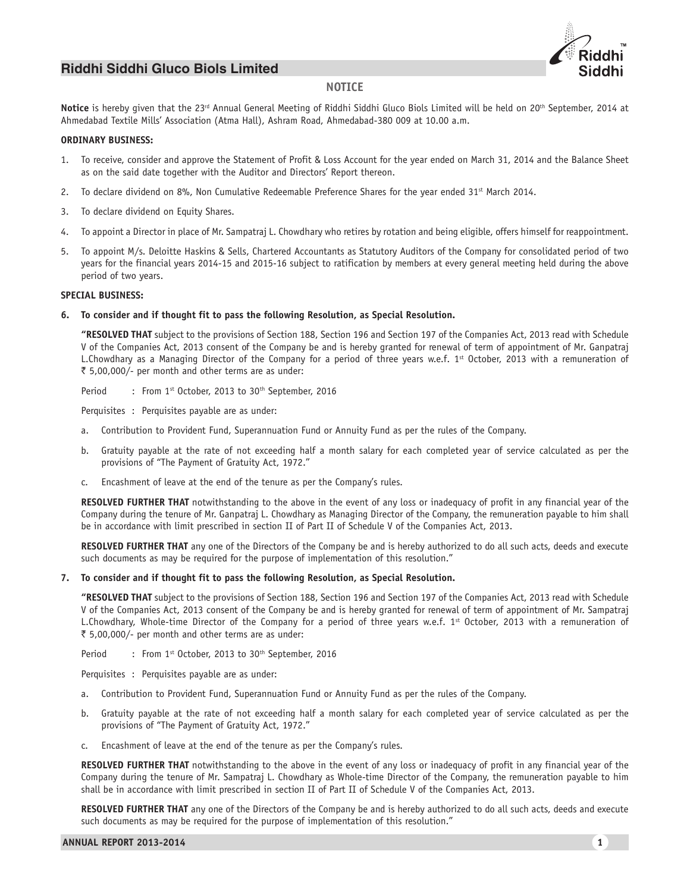

### **NOTICE**

Notice is hereby given that the 23<sup>rd</sup> Annual General Meeting of Riddhi Siddhi Gluco Biols Limited will be held on 20<sup>th</sup> September, 2014 at Ahmedabad Textile Mills' Association (Atma Hall), Ashram Road, Ahmedabad-380 009 at 10.00 a.m.

#### **ORDINARY BUSINESS:**

- 1. To receive, consider and approve the Statement of Profit & Loss Account for the year ended on March 31, 2014 and the Balance Sheet as on the said date together with the Auditor and Directors' Report thereon.
- 2. To declare dividend on 8%, Non Cumulative Redeemable Preference Shares for the year ended 31<sup>st</sup> March 2014.
- 3. To declare dividend on Equity Shares.
- 4. To appoint a Director in place of Mr. Sampatraj L. Chowdhary who retires by rotation and being eligible, offers himself for reappointment.
- 5. To appoint M/s. Deloitte Haskins & Sells, Chartered Accountants as Statutory Auditors of the Company for consolidated period of two years for the financial years 2014-15 and 2015-16 subject to ratification by members at every general meeting held during the above period of two years.

#### **SPECIAL BUSINESS:**

#### **6. To consider and if thought fit to pass the following Resolution, as Special Resolution.**

**"RESOLVED THAT** subject to the provisions of Section 188, Section 196 and Section 197 of the Companies Act, 2013 read with Schedule V of the Companies Act, 2013 consent of the Company be and is hereby granted for renewal of term of appointment of Mr. Ganpatraj L.Chowdhary as a Managing Director of the Company for a period of three years w.e.f. 1st October, 2013 with a remuneration of ₹ 5,00,000/- per month and other terms are as under:

Period : From 1st October, 2013 to 30<sup>th</sup> September, 2016

Perquisites : Perquisites payable are as under:

- a. Contribution to Provident Fund, Superannuation Fund or Annuity Fund as per the rules of the Company.
- b. Gratuity payable at the rate of not exceeding half a month salary for each completed year of service calculated as per the provisions of "The Payment of Gratuity Act, 1972."
- c. Encashment of leave at the end of the tenure as per the Company's rules.

**RESOLVED FURTHER THAT** notwithstanding to the above in the event of any loss or inadequacy of profit in any financial year of the Company during the tenure of Mr. Ganpatraj L. Chowdhary as Managing Director of the Company, the remuneration payable to him shall be in accordance with limit prescribed in section II of Part II of Schedule V of the Companies Act, 2013.

**RESOLVED FURTHER THAT** any one of the Directors of the Company be and is hereby authorized to do all such acts, deeds and execute such documents as may be required for the purpose of implementation of this resolution."

#### **7. To consider and if thought fit to pass the following Resolution, as Special Resolution.**

**"RESOLVED THAT** subject to the provisions of Section 188, Section 196 and Section 197 of the Companies Act, 2013 read with Schedule V of the Companies Act, 2013 consent of the Company be and is hereby granted for renewal of term of appointment of Mr. Sampatraj L.Chowdhary, Whole-time Director of the Company for a period of three years w.e.f.  $1<sup>st</sup>$  October, 2013 with a remuneration of ₹ 5,00,000/- per month and other terms are as under:

Period : From 1<sup>st</sup> October, 2013 to 30<sup>th</sup> September, 2016

Perquisites : Perquisites payable are as under:

- a. Contribution to Provident Fund, Superannuation Fund or Annuity Fund as per the rules of the Company.
- b. Gratuity payable at the rate of not exceeding half a month salary for each completed year of service calculated as per the provisions of "The Payment of Gratuity Act, 1972."
- c. Encashment of leave at the end of the tenure as per the Company's rules.

**RESOLVED FURTHER THAT** notwithstanding to the above in the event of any loss or inadequacy of profit in any financial year of the Company during the tenure of Mr. Sampatraj L. Chowdhary as Whole-time Director of the Company, the remuneration payable to him shall be in accordance with limit prescribed in section II of Part II of Schedule V of the Companies Act, 2013.

**RESOLVED FURTHER THAT** any one of the Directors of the Company be and is hereby authorized to do all such acts, deeds and execute such documents as may be required for the purpose of implementation of this resolution."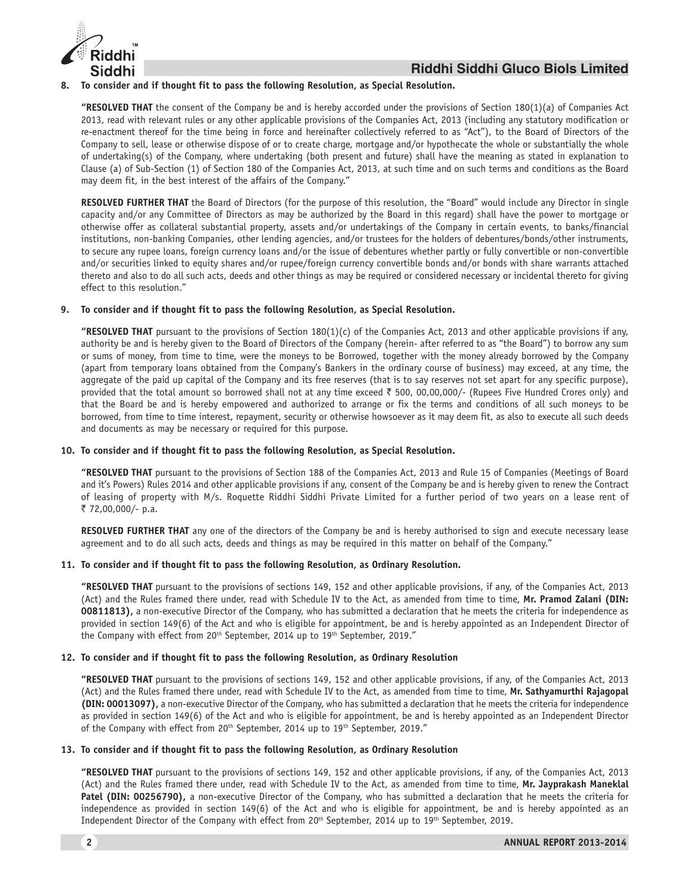

#### **8. To consider and if thought fit to pass the following Resolution, as Special Resolution.**

**"RESOLVED THAT** the consent of the Company be and is hereby accorded under the provisions of Section 180(1)(a) of Companies Act 2013, read with relevant rules or any other applicable provisions of the Companies Act, 2013 (including any statutory modification or re-enactment thereof for the time being in force and hereinafter collectively referred to as "Act"), to the Board of Directors of the Company to sell, lease or otherwise dispose of or to create charge, mortgage and/or hypothecate the whole or substantially the whole of undertaking(s) of the Company, where undertaking (both present and future) shall have the meaning as stated in explanation to Clause (a) of Sub-Section (1) of Section 180 of the Companies Act, 2013, at such time and on such terms and conditions as the Board may deem fit, in the best interest of the affairs of the Company."

**RESOLVED FURTHER THAT** the Board of Directors (for the purpose of this resolution, the "Board" would include any Director in single capacity and/or any Committee of Directors as may be authorized by the Board in this regard) shall have the power to mortgage or otherwise offer as collateral substantial property, assets and/or undertakings of the Company in certain events, to banks/financial institutions, non-banking Companies, other lending agencies, and/or trustees for the holders of debentures/bonds/other instruments, to secure any rupee loans, foreign currency loans and/or the issue of debentures whether partly or fully convertible or non-convertible and/or securities linked to equity shares and/or rupee/foreign currency convertible bonds and/or bonds with share warrants attached thereto and also to do all such acts, deeds and other things as may be required or considered necessary or incidental thereto for giving effect to this resolution."

### **9. To consider and if thought fit to pass the following Resolution, as Special Resolution.**

**"RESOLVED THAT** pursuant to the provisions of Section 180(1)(c) of the Companies Act, 2013 and other applicable provisions if any, authority be and is hereby given to the Board of Directors of the Company (herein- after referred to as "the Board") to borrow any sum or sums of money, from time to time, were the moneys to be Borrowed, together with the money already borrowed by the Company (apart from temporary loans obtained from the Company's Bankers in the ordinary course of business) may exceed, at any time, the aggregate of the paid up capital of the Company and its free reserves (that is to say reserves not set apart for any specific purpose), provided that the total amount so borrowed shall not at any time exceed  $\bar{\tau}$  500, 00,00,000/- (Rupees Five Hundred Crores only) and that the Board be and is hereby empowered and authorized to arrange or fix the terms and conditions of all such moneys to be borrowed, from time to time interest, repayment, security or otherwise howsoever as it may deem fit, as also to execute all such deeds and documents as may be necessary or required for this purpose.

#### **10. To consider and if thought fit to pass the following Resolution, as Special Resolution.**

**"RESOLVED THAT** pursuant to the provisions of Section 188 of the Companies Act, 2013 and Rule 15 of Companies (Meetings of Board and it's Powers) Rules 2014 and other applicable provisions if any, consent of the Company be and is hereby given to renew the Contract of leasing of property with M/s. Roquette Riddhi Siddhi Private Limited for a further period of two years on a lease rent of ` 72,00,000/- p.a.

**RESOLVED FURTHER THAT** any one of the directors of the Company be and is hereby authorised to sign and execute necessary lease agreement and to do all such acts, deeds and things as may be required in this matter on behalf of the Company."

#### **11. To consider and if thought fit to pass the following Resolution, as Ordinary Resolution.**

**"RESOLVED THAT** pursuant to the provisions of sections 149, 152 and other applicable provisions, if any, of the Companies Act, 2013 (Act) and the Rules framed there under, read with Schedule IV to the Act, as amended from time to time, **Mr. Pramod Zalani (DIN: 00811813),** a non-executive Director of the Company, who has submitted a declaration that he meets the criteria for independence as provided in section 149(6) of the Act and who is eligible for appointment, be and is hereby appointed as an Independent Director of the Company with effect from 20<sup>th</sup> September, 2014 up to 19<sup>th</sup> September, 2019."

### **12. To consider and if thought fit to pass the following Resolution, as Ordinary Resolution**

**"RESOLVED THAT** pursuant to the provisions of sections 149, 152 and other applicable provisions, if any, of the Companies Act, 2013 (Act) and the Rules framed there under, read with Schedule IV to the Act, as amended from time to time, **Mr. Sathyamurthi Rajagopal (DIN: 00013097),** a non-executive Director of the Company, who has submitted a declaration that he meets the criteria for independence as provided in section 149(6) of the Act and who is eligible for appointment, be and is hereby appointed as an Independent Director of the Company with effect from 20<sup>th</sup> September, 2014 up to 19<sup>th</sup> September, 2019."

### **13. To consider and if thought fit to pass the following Resolution, as Ordinary Resolution**

**"RESOLVED THAT** pursuant to the provisions of sections 149, 152 and other applicable provisions, if any, of the Companies Act, 2013 (Act) and the Rules framed there under, read with Schedule IV to the Act, as amended from time to time, Mr. Jayprakash Maneklal **Patel (DIN: 00256790),** a non-executive Director of the Company, who has submitted a declaration that he meets the criteria for independence as provided in section 149(6) of the Act and who is eligible for appointment, be and is hereby appointed as an Independent Director of the Company with effect from 20<sup>th</sup> September, 2014 up to 19<sup>th</sup> September, 2019.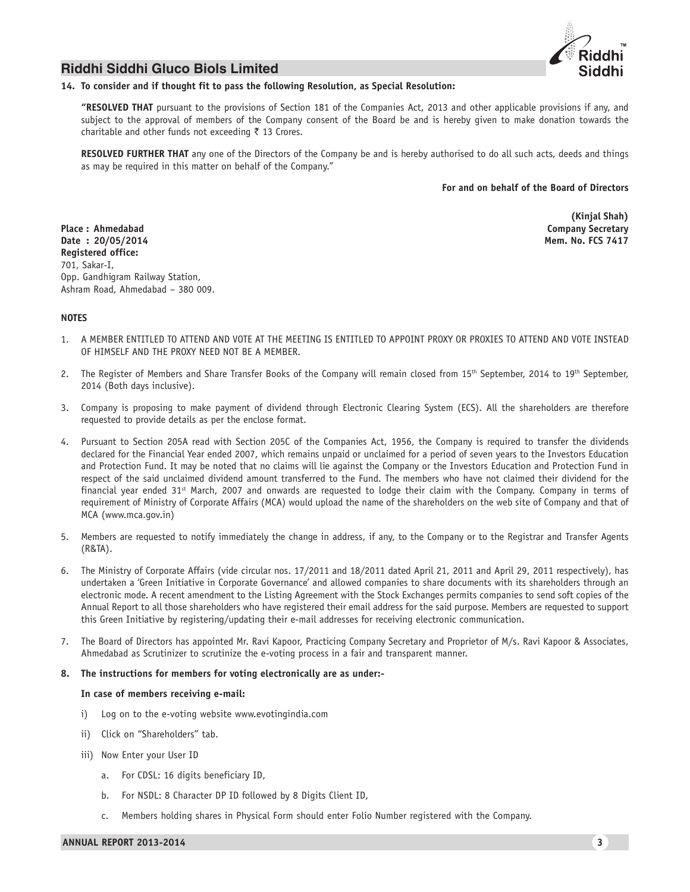

#### **14. To consider and if thought fit to pass the following Resolution, as Special Resolution:**

**"RESOLVED THAT** pursuant to the provisions of Section 181 of the Companies Act, 2013 and other applicable provisions if any, and subject to the approval of members of the Company consent of the Board be and is hereby given to make donation towards the charitable and other funds not exceeding  $\bar{\tau}$  13 Crores.

**RESOLVED FURTHER THAT** any one of the Directors of the Company be and is hereby authorised to do all such acts, deeds and things as may be required in this matter on behalf of the Company."

#### **For and on behalf of the Board of Directors**

**Place : Ahmedabad Company Secretary Date : 20/05/2014 Mem. No. FCS 7417 Registered office:** 701, Sakar-I, Opp. Gandhigram Railway Station, Ashram Road, Ahmedabad – 380 009.

**(Kinjal Shah)**

#### **NOTES**

- 1. A MEMBER ENTITLED TO ATTEND AND VOTE AT THE MEETING IS ENTITLED TO APPOINT PROXY OR PROXIES TO ATTEND AND VOTE INSTEAD OF HIMSELF AND THE PROXY NEED NOT BE A MEMBER.
- 2. The Register of Members and Share Transfer Books of the Company will remain closed from 15<sup>th</sup> September, 2014 to 19<sup>th</sup> September, 2014 (Both days inclusive).
- 3. Company is proposing to make payment of dividend through Electronic Clearing System (ECS). All the shareholders are therefore requested to provide details as per the enclose format.
- 4. Pursuant to Section 205A read with Section 205C of the Companies Act, 1956, the Company is required to transfer the dividends declared for the Financial Year ended 2007, which remains unpaid or unclaimed for a period of seven years to the Investors Education and Protection Fund. It may be noted that no claims will lie against the Company or the Investors Education and Protection Fund in respect of the said unclaimed dividend amount transferred to the Fund. The members who have not claimed their dividend for the financial year ended  $31^{st}$  March, 2007 and onwards are requested to lodge their claim with the Company. Company in terms of requirement of Ministry of Corporate Affairs (MCA) would upload the name of the shareholders on the web site of Company and that of MCA (www.mca.gov.in)
- 5. Members are requested to notify immediately the change in address, if any, to the Company or to the Registrar and Transfer Agents (R&TA).
- 6. The Ministry of Corporate Affairs (vide circular nos. 17/2011 and 18/2011 dated April 21, 2011 and April 29, 2011 respectively), has undertaken a 'Green Initiative in Corporate Governance' and allowed companies to share documents with its shareholders through an electronic mode. A recent amendment to the Listing Agreement with the Stock Exchanges permits companies to send soft copies of the Annual Report to all those shareholders who have registered their email address for the said purpose. Members are requested to support this Green Initiative by registering/updating their e-mail addresses for receiving electronic communication.
- 7. The Board of Directors has appointed Mr. Ravi Kapoor, Practicing Company Secretary and Proprietor of M/s. Ravi Kapoor & Associates, Ahmedabad as Scrutinizer to scrutinize the e-voting process in a fair and transparent manner.

#### **8. The instructions for members for voting electronically are as under:-**

#### **In case of members receiving e-mail:**

- i) Log on to the e-voting website www.evotingindia.com
- ii) Click on "Shareholders" tab.
- iii) Now Enter your User ID
	- a. For CDSL: 16 digits beneficiary ID,
	- b. For NSDL: 8 Character DP ID followed by 8 Digits Client ID,
	- c. Members holding shares in Physical Form should enter Folio Number registered with the Company.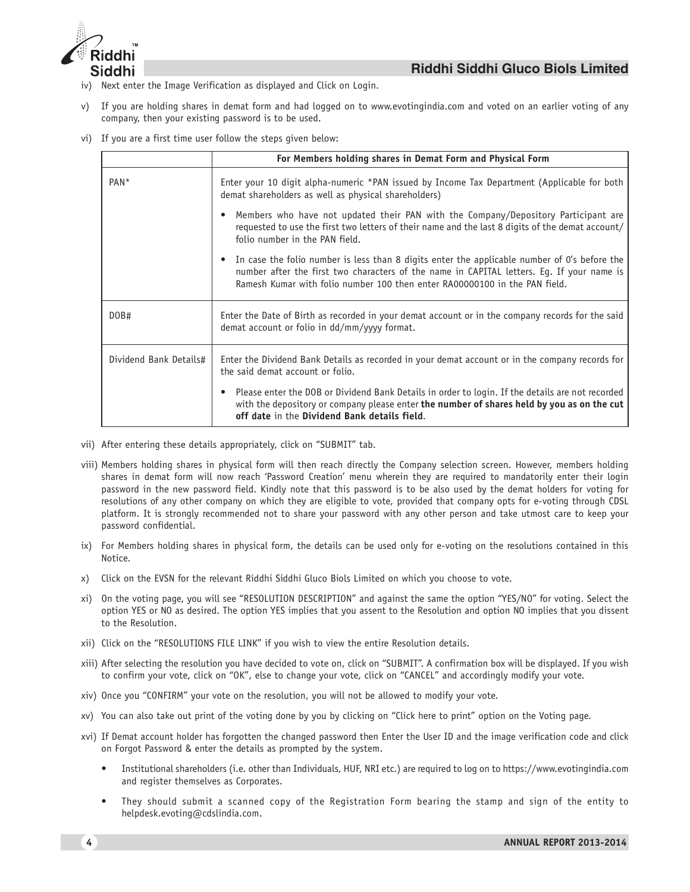

- iv) Next enter the Image Verification as displayed and Click on Login.
- v) If you are holding shares in demat form and had logged on to www.evotingindia.com and voted on an earlier voting of any company, then your existing password is to be used.
- vi) If you are a first time user follow the steps given below:

|                        | For Members holding shares in Demat Form and Physical Form                                                                                                                                                                                                                |
|------------------------|---------------------------------------------------------------------------------------------------------------------------------------------------------------------------------------------------------------------------------------------------------------------------|
| PAN <sup>*</sup>       | Enter your 10 digit alpha-numeric *PAN issued by Income Tax Department (Applicable for both<br>demat shareholders as well as physical shareholders)                                                                                                                       |
|                        | Members who have not updated their PAN with the Company/Depository Participant are<br>$\bullet$<br>requested to use the first two letters of their name and the last 8 digits of the demat account/<br>folio number in the PAN field.                                     |
|                        | • In case the folio number is less than 8 digits enter the applicable number of O's before the<br>number after the first two characters of the name in CAPITAL letters. Eg. If your name is<br>Ramesh Kumar with folio number 100 then enter RA00000100 in the PAN field. |
| DOB#                   | Enter the Date of Birth as recorded in your demat account or in the company records for the said<br>demat account or folio in dd/mm/yyyy format.                                                                                                                          |
| Dividend Bank Details# | Enter the Dividend Bank Details as recorded in your demat account or in the company records for<br>the said demat account or folio.                                                                                                                                       |
|                        | Please enter the DOB or Dividend Bank Details in order to login. If the details are not recorded<br>$\bullet$<br>with the depository or company please enter the number of shares held by you as on the cut<br>off date in the Dividend Bank details field.               |

- vii) After entering these details appropriately, click on "SUBMIT" tab.
- viii) Members holding shares in physical form will then reach directly the Company selection screen. However, members holding shares in demat form will now reach 'Password Creation' menu wherein they are required to mandatorily enter their login password in the new password field. Kindly note that this password is to be also used by the demat holders for voting for resolutions of any other company on which they are eligible to vote, provided that company opts for e-voting through CDSL platform. It is strongly recommended not to share your password with any other person and take utmost care to keep your password confidential.
- ix) For Members holding shares in physical form, the details can be used only for e-voting on the resolutions contained in this Notice.
- x) Click on the EVSN for the relevant Riddhi Siddhi Gluco Biols Limited on which you choose to vote.
- xi) On the voting page, you will see "RESOLUTION DESCRIPTION" and against the same the option "YES/NO" for voting. Select the option YES or NO as desired. The option YES implies that you assent to the Resolution and option NO implies that you dissent to the Resolution.
- xii) Click on the "RESOLUTIONS FILE LINK" if you wish to view the entire Resolution details.
- xiii) After selecting the resolution you have decided to vote on, click on "SUBMIT". A confirmation box will be displayed. If you wish to confirm your vote, click on "OK", else to change your vote, click on "CANCEL" and accordingly modify your vote.
- xiv) Once you "CONFIRM" your vote on the resolution, you will not be allowed to modify your vote.
- xv) You can also take out print of the voting done by you by clicking on "Click here to print" option on the Voting page.
- xvi) If Demat account holder has forgotten the changed password then Enter the User ID and the image verification code and click on Forgot Password & enter the details as prompted by the system.
	- Institutional shareholders (i.e. other than Individuals, HUF, NRI etc.) are required to log on to https://www.evotingindia.com and register themselves as Corporates.
	- They should submit a scanned copy of the Registration Form bearing the stamp and sign of the entity to helpdesk.evoting@cdslindia.com.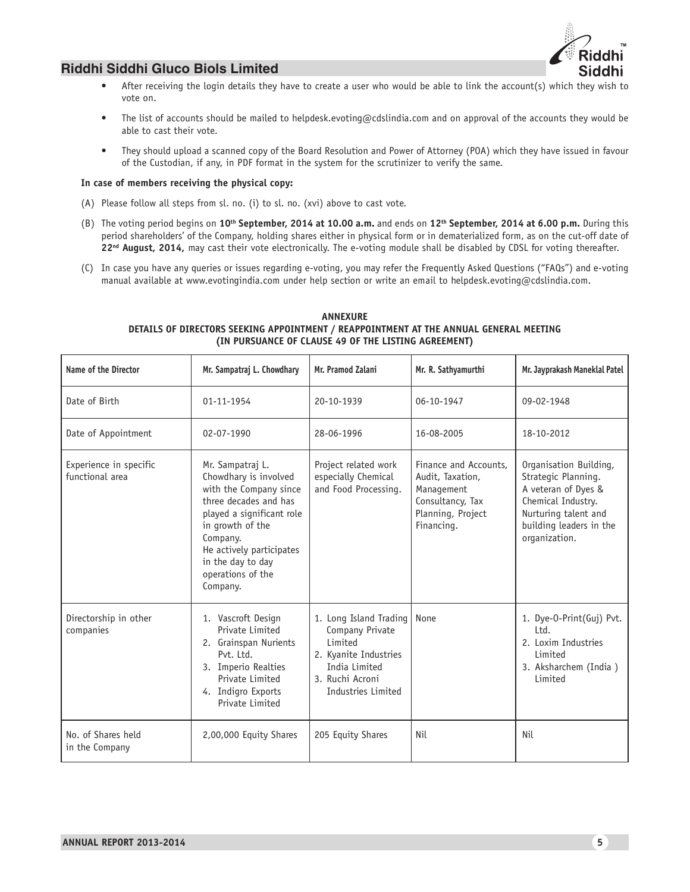

- After receiving the login details they have to create a user who would be able to link the account(s) which they wish to vote on.
- The list of accounts should be mailed to helpdesk.evoting@cdslindia.com and on approval of the accounts they would be able to cast their vote.
- They should upload a scanned copy of the Board Resolution and Power of Attorney (POA) which they have issued in favour of the Custodian, if any, in PDF format in the system for the scrutinizer to verify the same.

# **In case of members receiving the physical copy:**

- (A) Please follow all steps from sl. no. (i) to sl. no. (xvi) above to cast vote.
- (B) The voting period begins on **10th September, 2014 at 10.00 a.m.** and ends on **12th September, 2014 at 6.00 p.m.** During this period shareholders' of the Company, holding shares either in physical form or in dematerialized form, as on the cut-off date of **22nd August, 2014,** may cast their vote electronically. The e-voting module shall be disabled by CDSL for voting thereafter.
- (C) In case you have any queries or issues regarding e-voting, you may refer the Frequently Asked Questions ("FAQs") and e-voting manual available at www.evotingindia.com under help section or write an email to helpdesk.evoting@cdslindia.com.

# **ANNEXURE DETAILS OF DIRECTORS SEEKING APPOINTMENT / REAPPOINTMENT AT THE ANNUAL GENERAL MEETING (IN PURSUANCE OF CLAUSE 49 OF THE LISTING AGREEMENT)**

| Name of the Director                      | Mr. Sampatraj L. Chowdhary                                                                                                                                                                                                                  | Mr. Pramod Zalani                                                                                                                       | Mr. R. Sathyamurthi                                                                                            | Mr. Jayprakash Maneklal Patel                                                                                                                                  |
|-------------------------------------------|---------------------------------------------------------------------------------------------------------------------------------------------------------------------------------------------------------------------------------------------|-----------------------------------------------------------------------------------------------------------------------------------------|----------------------------------------------------------------------------------------------------------------|----------------------------------------------------------------------------------------------------------------------------------------------------------------|
| Date of Birth                             | 01-11-1954                                                                                                                                                                                                                                  | 20-10-1939                                                                                                                              | 06-10-1947                                                                                                     | 09-02-1948                                                                                                                                                     |
| Date of Appointment                       | 02-07-1990                                                                                                                                                                                                                                  | 28-06-1996                                                                                                                              | 16-08-2005                                                                                                     | 18-10-2012                                                                                                                                                     |
| Experience in specific<br>functional area | Mr. Sampatraj L.<br>Chowdhary is involved<br>with the Company since<br>three decades and has<br>played a significant role<br>in growth of the<br>Company.<br>He actively participates<br>in the day to day<br>operations of the<br>Company. | Project related work<br>especially Chemical<br>and Food Processing.                                                                     | Finance and Accounts,<br>Audit, Taxation,<br>Management<br>Consultancy, Tax<br>Planning, Project<br>Financing. | Organisation Building,<br>Strategic Planning.<br>A veteran of Dyes &<br>Chemical Industry.<br>Nurturing talent and<br>building leaders in the<br>organization. |
| Directorship in other<br>companies        | 1. Vascroft Design<br>Private Limited<br>2. Grainspan Nurients<br>Pvt. Itd.<br>3. Imperio Realties<br>Private Limited<br>4. Indigro Exports<br>Private Limited                                                                              | 1. Long Island Trading<br>Company Private<br>Limited<br>2. Kyanite Industries<br>India Limited<br>3. Ruchi Acroni<br>Industries Limited | None                                                                                                           | 1. Dye-O-Print(Guj) Pvt.<br>$1td$ .<br>2. Loxim Industries<br>Limited<br>3. Aksharchem (India)<br>Limited                                                      |
| No. of Shares held<br>in the Company      | 2,00,000 Equity Shares                                                                                                                                                                                                                      | 205 Equity Shares                                                                                                                       | Nil                                                                                                            | Nil                                                                                                                                                            |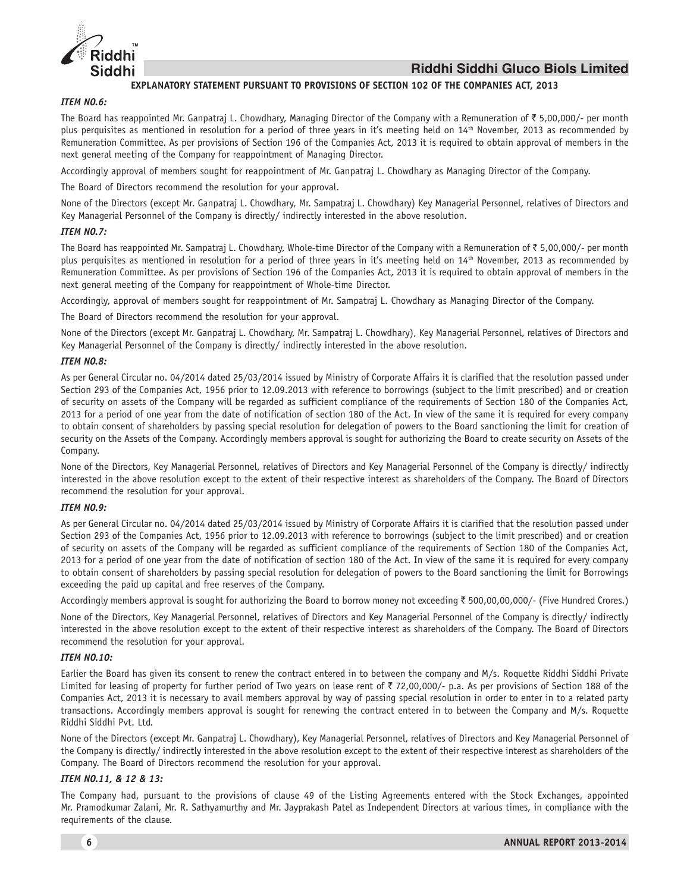

### **EXPLANATORY STATEMENT PURSUANT TO PROVISIONS OF SECTION 102 OF THE COMPANIES ACT, 2013**

#### *ITEM NO.6:*

The Board has reappointed Mr. Ganpatraj L. Chowdhary, Managing Director of the Company with a Remuneration of  $\bar{\tau}$  5,00,000/- per month plus perquisites as mentioned in resolution for a period of three years in it's meeting held on 14<sup>th</sup> November, 2013 as recommended by Remuneration Committee. As per provisions of Section 196 of the Companies Act, 2013 it is required to obtain approval of members in the next general meeting of the Company for reappointment of Managing Director.

Accordingly approval of members sought for reappointment of Mr. Ganpatraj L. Chowdhary as Managing Director of the Company.

The Board of Directors recommend the resolution for your approval.

None of the Directors (except Mr. Ganpatraj L. Chowdhary, Mr. Sampatraj L. Chowdhary) Key Managerial Personnel, relatives of Directors and Key Managerial Personnel of the Company is directly/ indirectly interested in the above resolution.

### *ITEM NO.7:*

The Board has reappointed Mr. Sampatraj L. Chowdhary, Whole-time Director of the Company with a Remuneration of  $\bar{\tau}$  5,00,000/- per month plus perquisites as mentioned in resolution for a period of three years in it's meeting held on 14<sup>th</sup> November, 2013 as recommended by Remuneration Committee. As per provisions of Section 196 of the Companies Act, 2013 it is required to obtain approval of members in the next general meeting of the Company for reappointment of Whole-time Director.

Accordingly, approval of members sought for reappointment of Mr. Sampatraj L. Chowdhary as Managing Director of the Company.

The Board of Directors recommend the resolution for your approval.

None of the Directors (except Mr. Ganpatraj L. Chowdhary, Mr. Sampatraj L. Chowdhary), Key Managerial Personnel, relatives of Directors and Key Managerial Personnel of the Company is directly/ indirectly interested in the above resolution.

### *ITEM NO.8:*

As per General Circular no. 04/2014 dated 25/03/2014 issued by Ministry of Corporate Affairs it is clarified that the resolution passed under Section 293 of the Companies Act, 1956 prior to 12.09.2013 with reference to borrowings (subject to the limit prescribed) and or creation of security on assets of the Company will be regarded as sufficient compliance of the requirements of Section 180 of the Companies Act, 2013 for a period of one year from the date of notification of section 180 of the Act. In view of the same it is required for every company to obtain consent of shareholders by passing special resolution for delegation of powers to the Board sanctioning the limit for creation of security on the Assets of the Company. Accordingly members approval is sought for authorizing the Board to create security on Assets of the Company.

None of the Directors, Key Managerial Personnel, relatives of Directors and Key Managerial Personnel of the Company is directly/ indirectly interested in the above resolution except to the extent of their respective interest as shareholders of the Company. The Board of Directors recommend the resolution for your approval.

### *ITEM NO.9:*

As per General Circular no. 04/2014 dated 25/03/2014 issued by Ministry of Corporate Affairs it is clarified that the resolution passed under Section 293 of the Companies Act, 1956 prior to 12.09.2013 with reference to borrowings (subject to the limit prescribed) and or creation of security on assets of the Company will be regarded as sufficient compliance of the requirements of Section 180 of the Companies Act, 2013 for a period of one year from the date of notification of section 180 of the Act. In view of the same it is required for every company to obtain consent of shareholders by passing special resolution for delegation of powers to the Board sanctioning the limit for Borrowings exceeding the paid up capital and free reserves of the Company.

Accordingly members approval is sought for authorizing the Board to borrow money not exceeding ₹ 500,00,00,000/- (Five Hundred Crores.)

None of the Directors, Key Managerial Personnel, relatives of Directors and Key Managerial Personnel of the Company is directly/ indirectly interested in the above resolution except to the extent of their respective interest as shareholders of the Company. The Board of Directors recommend the resolution for your approval.

### *ITEM NO.10:*

Earlier the Board has given its consent to renew the contract entered in to between the company and M/s. Roquette Riddhi Siddhi Private Limited for leasing of property for further period of Two years on lease rent of  $\bar{z}$  72,00,000/- p.a. As per provisions of Section 188 of the Companies Act, 2013 it is necessary to avail members approval by way of passing special resolution in order to enter in to a related party transactions. Accordingly members approval is sought for renewing the contract entered in to between the Company and M/s. Roquette Riddhi Siddhi Pvt. Ltd.

None of the Directors (except Mr. Ganpatraj L. Chowdhary), Key Managerial Personnel, relatives of Directors and Key Managerial Personnel of the Company is directly/ indirectly interested in the above resolution except to the extent of their respective interest as shareholders of the Company. The Board of Directors recommend the resolution for your approval.

### *ITEM NO.11, & 12 & 13:*

The Company had, pursuant to the provisions of clause 49 of the Listing Agreements entered with the Stock Exchanges, appointed Mr. Pramodkumar Zalani, Mr. R. Sathyamurthy and Mr. Jayprakash Patel as Independent Directors at various times, in compliance with the requirements of the clause.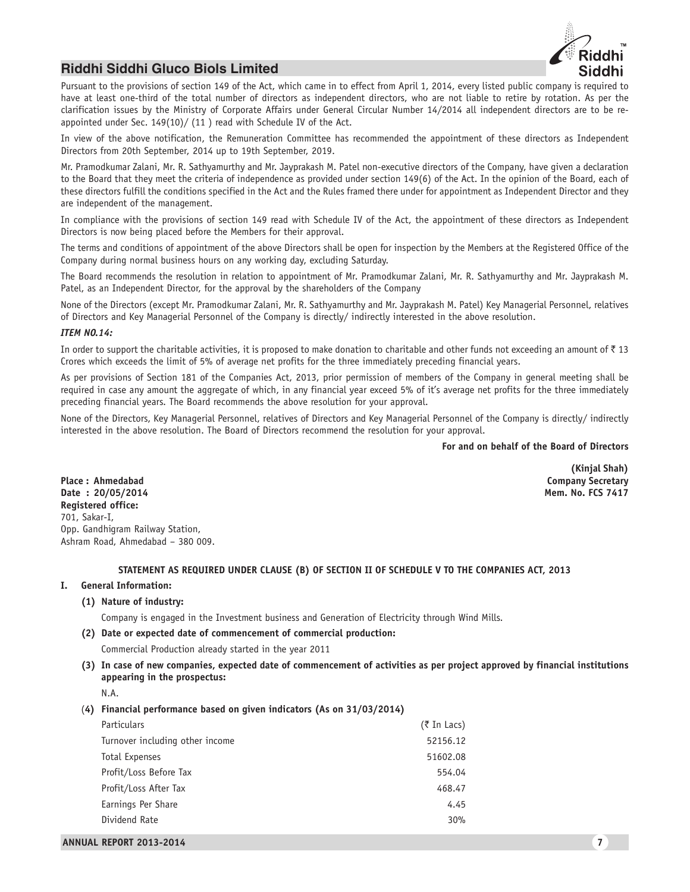

Pursuant to the provisions of section 149 of the Act, which came in to effect from April 1, 2014, every listed public company is required to have at least one-third of the total number of directors as independent directors, who are not liable to retire by rotation. As per the clarification issues by the Ministry of Corporate Affairs under General Circular Number 14/2014 all independent directors are to be reappointed under Sec. 149(10)/ (11 ) read with Schedule IV of the Act.

In view of the above notification, the Remuneration Committee has recommended the appointment of these directors as Independent Directors from 20th September, 2014 up to 19th September, 2019.

Mr. Pramodkumar Zalani, Mr. R. Sathyamurthy and Mr. Jayprakash M. Patel non-executive directors of the Company, have given a declaration to the Board that they meet the criteria of independence as provided under section 149(6) of the Act. In the opinion of the Board, each of these directors fulfill the conditions specified in the Act and the Rules framed there under for appointment as Independent Director and they are independent of the management.

In compliance with the provisions of section 149 read with Schedule IV of the Act, the appointment of these directors as Independent Directors is now being placed before the Members for their approval.

The terms and conditions of appointment of the above Directors shall be open for inspection by the Members at the Registered Office of the Company during normal business hours on any working day, excluding Saturday.

The Board recommends the resolution in relation to appointment of Mr. Pramodkumar Zalani, Mr. R. Sathyamurthy and Mr. Jayprakash M. Patel, as an Independent Director, for the approval by the shareholders of the Company

None of the Directors (except Mr. Pramodkumar Zalani, Mr. R. Sathyamurthy and Mr. Jayprakash M. Patel) Key Managerial Personnel, relatives of Directors and Key Managerial Personnel of the Company is directly/ indirectly interested in the above resolution.

#### *ITEM NO.14:*

In order to support the charitable activities, it is proposed to make donation to charitable and other funds not exceeding an amount of  $\bar{\tau}$  13 Crores which exceeds the limit of 5% of average net profits for the three immediately preceding financial years.

As per provisions of Section 181 of the Companies Act, 2013, prior permission of members of the Company in general meeting shall be required in case any amount the aggregate of which, in any financial year exceed 5% of it's average net profits for the three immediately preceding financial years. The Board recommends the above resolution for your approval.

None of the Directors, Key Managerial Personnel, relatives of Directors and Key Managerial Personnel of the Company is directly/ indirectly interested in the above resolution. The Board of Directors recommend the resolution for your approval.

**For and on behalf of the Board of Directors**

**(Kinjal Shah)**

**Place : Ahmedabad Company Secretary Date : 20/05/2014 Mem. No. FCS 7417 Registered office:** 701, Sakar-I, Opp. Gandhigram Railway Station, Ashram Road, Ahmedabad – 380 009.

#### **STATEMENT AS REQUIRED UNDER CLAUSE (B) OF SECTION II OF SCHEDULE V TO THE COMPANIES ACT, 2013**

#### **I. General Information:**

**(1) Nature of industry:**

Company is engaged in the Investment business and Generation of Electricity through Wind Mills.

**(2) Date or expected date of commencement of commercial production:**

Commercial Production already started in the year 2011

**(3) In case of new companies, expected date of commencement of activities as per project approved by financial institutions appearing in the prospectus:**

(**4) Financial performance based on given indicators (As on 31/03/2014)**

| <b>Particulars</b>              | $($ ₹ In Lacs) |
|---------------------------------|----------------|
| Turnover including other income | 52156.12       |
| Total Expenses                  | 51602.08       |
| Profit/Loss Before Tax          | 554.04         |
| Profit/Loss After Tax           | 468.47         |
| Earnings Per Share              | 4.45           |
| Dividend Rate                   | 30%            |
|                                 |                |

N.A.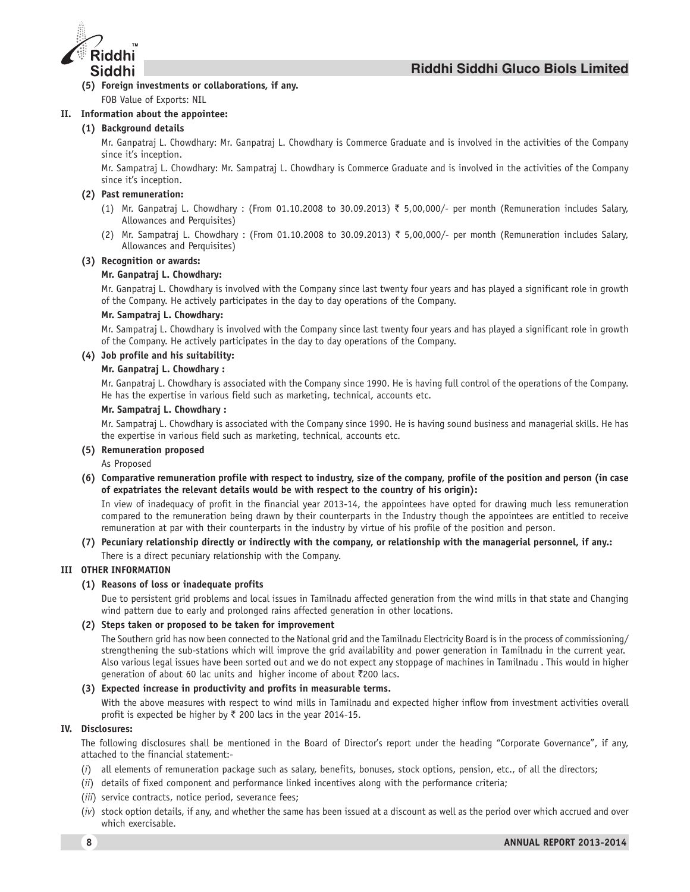

**(5) Foreign investments or collaborations, if any.** FOB Value of Exports: NIL

### **II. Information about the appointee:**

# **(1) Background details**

Mr. Ganpatraj L. Chowdhary: Mr. Ganpatraj L. Chowdhary is Commerce Graduate and is involved in the activities of the Company since it's inception.

Mr. Sampatraj L. Chowdhary: Mr. Sampatraj L. Chowdhary is Commerce Graduate and is involved in the activities of the Company since it's inception.

### **(2) Past remuneration:**

- (1) Mr. Ganpatraj L. Chowdhary : (From 01.10.2008 to 30.09.2013) ₹ 5,00,000/- per month (Remuneration includes Salary, Allowances and Perquisites)
- (2) Mr. Sampatraj L. Chowdhary : (From 01.10.2008 to 30.09.2013) ₹ 5,00,000/- per month (Remuneration includes Salary, Allowances and Perquisites)

### **(3) Recognition or awards:**

### **Mr. Ganpatraj L. Chowdhary:**

Mr. Ganpatraj L. Chowdhary is involved with the Company since last twenty four years and has played a significant role in growth of the Company. He actively participates in the day to day operations of the Company.

### **Mr. Sampatraj L. Chowdhary:**

Mr. Sampatraj L. Chowdhary is involved with the Company since last twenty four years and has played a significant role in growth of the Company. He actively participates in the day to day operations of the Company.

### **(4) Job profile and his suitability:**

### **Mr. Ganpatraj L. Chowdhary :**

Mr. Ganpatraj L. Chowdhary is associated with the Company since 1990. He is having full control of the operations of the Company. He has the expertise in various field such as marketing, technical, accounts etc.

### **Mr. Sampatraj L. Chowdhary :**

Mr. Sampatraj L. Chowdhary is associated with the Company since 1990. He is having sound business and managerial skills. He has the expertise in various field such as marketing, technical, accounts etc.

### **(5) Remuneration proposed**

As Proposed

**(6) Comparative remuneration profile with respect to industry, size of the company, profile of the position and person (in case of expatriates the relevant details would be with respect to the country of his origin):**

In view of inadequacy of profit in the financial year 2013-14, the appointees have opted for drawing much less remuneration compared to the remuneration being drawn by their counterparts in the Industry though the appointees are entitled to receive remuneration at par with their counterparts in the industry by virtue of his profile of the position and person.

### **(7) Pecuniary relationship directly or indirectly with the company, or relationship with the managerial personnel, if any.:** There is a direct pecuniary relationship with the Company.

### **III OTHER INFORMATION**

### **(1) Reasons of loss or inadequate profits**

Due to persistent grid problems and local issues in Tamilnadu affected generation from the wind mills in that state and Changing wind pattern due to early and prolonged rains affected generation in other locations.

### **(2) Steps taken or proposed to be taken for improvement**

The Southern grid has now been connected to the National grid and the Tamilnadu Electricity Board is in the process of commissioning/ strengthening the sub-stations which will improve the grid availability and power generation in Tamilnadu in the current year. Also various legal issues have been sorted out and we do not expect any stoppage of machines in Tamilnadu . This would in higher generation of about 60 lac units and higher income of about ₹200 lacs.

### **(3) Expected increase in productivity and profits in measurable terms.**

With the above measures with respect to wind mills in Tamilnadu and expected higher inflow from investment activities overall profit is expected be higher by  $\bar{\tau}$  200 lacs in the year 2014-15.

### **IV. Disclosures:**

The following disclosures shall be mentioned in the Board of Director's report under the heading "Corporate Governance", if any, attached to the financial statement:-

- (*i*) all elements of remuneration package such as salary, benefits, bonuses, stock options, pension, etc., of all the directors;
- (*ii*) details of fixed component and performance linked incentives along with the performance criteria;
- (*iii*) service contracts, notice period, severance fees;
- (*iv*) stock option details, if any, and whether the same has been issued at a discount as well as the period over which accrued and over which exercisable.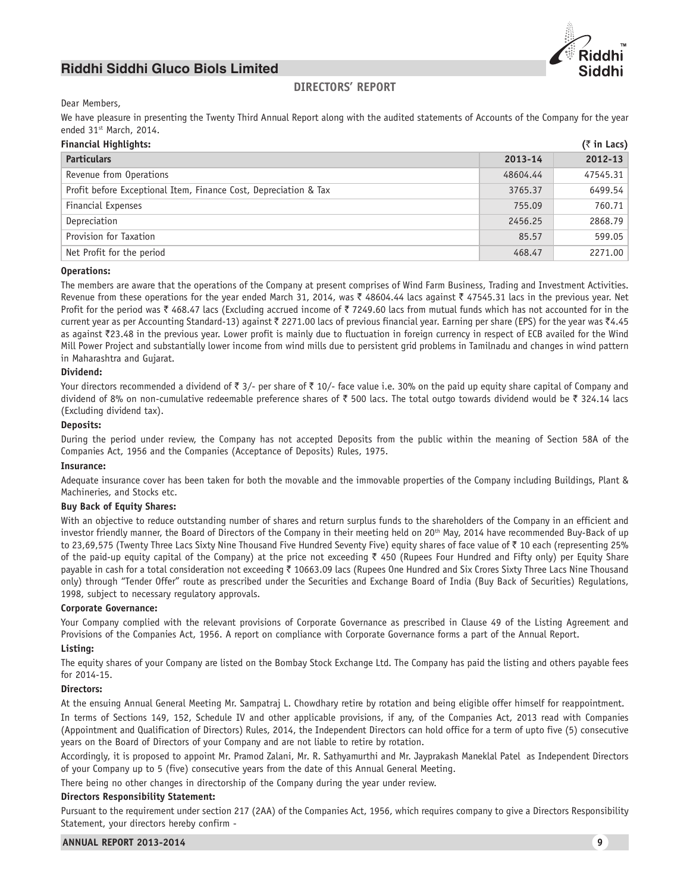

# **DIRECTORS' REPORT**

### Dear Members,

We have pleasure in presenting the Twenty Third Annual Report along with the audited statements of Accounts of the Company for the year ended 31<sup>st</sup> March, 2014.

| <b>Financial Highlights:</b>                                     |          | $($ ₹ in Lacs) |
|------------------------------------------------------------------|----------|----------------|
| <b>Particulars</b>                                               | 2013-14  | 2012-13        |
| Revenue from Operations                                          | 48604.44 | 47545.31       |
| Profit before Exceptional Item, Finance Cost, Depreciation & Tax | 3765.37  | 6499.54        |
| Financial Expenses                                               | 755.09   | 760.71         |
| Depreciation                                                     | 2456.25  | 2868.79        |
| Provision for Taxation                                           | 85.57    | 599.05         |
| Net Profit for the period                                        | 468.47   | 2271.00        |

#### **Operations:**

The members are aware that the operations of the Company at present comprises of Wind Farm Business, Trading and Investment Activities. Revenue from these operations for the year ended March 31, 2014, was  $\bar{\tau}$  48604.44 lacs against  $\bar{\tau}$  47545.31 lacs in the previous year. Net Profit for the period was  $\bar{\tau}$  468.47 lacs (Excluding accrued income of  $\bar{\tau}$  7249.60 lacs from mutual funds which has not accounted for in the current year as per Accounting Standard-13) against ₹ 2271.00 lacs of previous financial year. Earning per share (EPS) for the year was ₹4.45 as against ₹23.48 in the previous year. Lower profit is mainly due to fluctuation in foreign currency in respect of ECB availed for the Wind Mill Power Project and substantially lower income from wind mills due to persistent grid problems in Tamilnadu and changes in wind pattern in Maharashtra and Gujarat.

### **Dividend:**

Your directors recommended a dividend of  $\bar{\zeta}$  3/- per share of  $\bar{\zeta}$  10/- face value i.e. 30% on the paid up equity share capital of Company and dividend of 8% on non-cumulative redeemable preference shares of  $\bar{\tau}$  500 lacs. The total outgo towards dividend would be  $\bar{\tau}$  324.14 lacs (Excluding dividend tax).

### **Deposits:**

During the period under review, the Company has not accepted Deposits from the public within the meaning of Section 58A of the Companies Act, 1956 and the Companies (Acceptance of Deposits) Rules, 1975.

### **Insurance:**

Adequate insurance cover has been taken for both the movable and the immovable properties of the Company including Buildings, Plant & Machineries, and Stocks etc.

### **Buy Back of Equity Shares:**

With an objective to reduce outstanding number of shares and return surplus funds to the shareholders of the Company in an efficient and investor friendly manner, the Board of Directors of the Company in their meeting held on 20<sup>th</sup> May, 2014 have recommended Buy-Back of up to 23,69,575 (Twenty Three Lacs Sixty Nine Thousand Five Hundred Seventy Five) equity shares of face value of ₹ 10 each (representing 25% of the paid-up equity capital of the Company) at the price not exceeding  $\bar{\tau}$  450 (Rupees Four Hundred and Fifty only) per Equity Share payable in cash for a total consideration not exceeding ₹ 10663.09 lacs (Rupees One Hundred and Six Crores Sixty Three Lacs Nine Thousand only) through "Tender Offer" route as prescribed under the Securities and Exchange Board of India (Buy Back of Securities) Regulations, 1998, subject to necessary regulatory approvals.

#### **Corporate Governance:**

Your Company complied with the relevant provisions of Corporate Governance as prescribed in Clause 49 of the Listing Agreement and Provisions of the Companies Act, 1956. A report on compliance with Corporate Governance forms a part of the Annual Report.

# **Listing:**

The equity shares of your Company are listed on the Bombay Stock Exchange Ltd. The Company has paid the listing and others payable fees for 2014-15.

#### **Directors:**

At the ensuing Annual General Meeting Mr. Sampatraj L. Chowdhary retire by rotation and being eligible offer himself for reappointment.

In terms of Sections 149, 152, Schedule IV and other applicable provisions, if any, of the Companies Act, 2013 read with Companies (Appointment and Qualification of Directors) Rules, 2014, the Independent Directors can hold office for a term of upto five (5) consecutive years on the Board of Directors of your Company and are not liable to retire by rotation.

Accordingly, it is proposed to appoint Mr. Pramod Zalani, Mr. R. Sathyamurthi and Mr. Jayprakash Maneklal Patel as Independent Directors of your Company up to 5 (five) consecutive years from the date of this Annual General Meeting.

There being no other changes in directorship of the Company during the year under review.

#### **Directors Responsibility Statement:**

Pursuant to the requirement under section 217 (2AA) of the Companies Act, 1956, which requires company to give a Directors Responsibility Statement, your directors hereby confirm -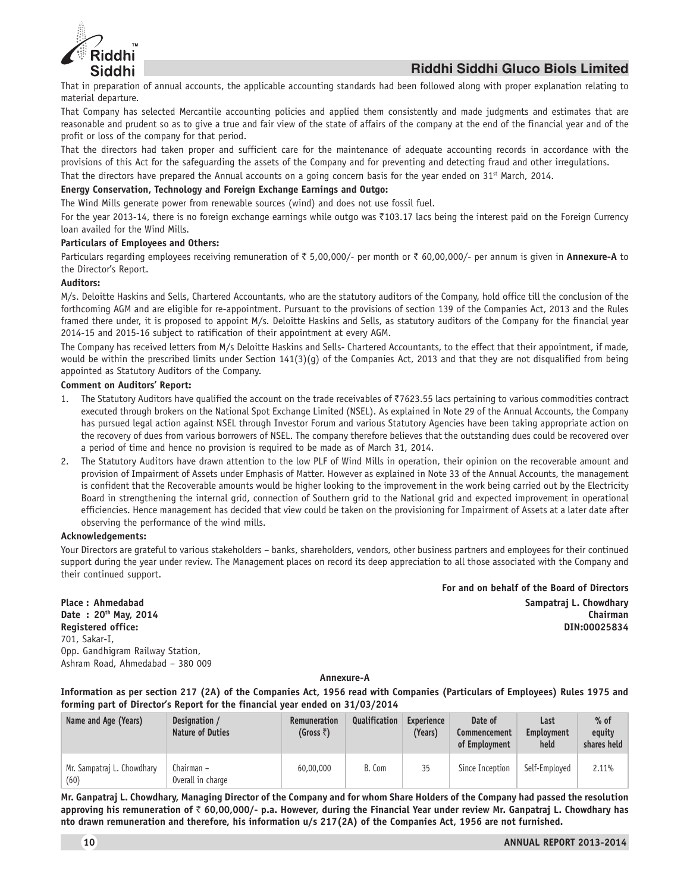

That in preparation of annual accounts, the applicable accounting standards had been followed along with proper explanation relating to material departure.

That Company has selected Mercantile accounting policies and applied them consistently and made judgments and estimates that are reasonable and prudent so as to give a true and fair view of the state of affairs of the company at the end of the financial year and of the profit or loss of the company for that period.

That the directors had taken proper and sufficient care for the maintenance of adequate accounting records in accordance with the provisions of this Act for the safeguarding the assets of the Company and for preventing and detecting fraud and other irregulations.

That the directors have prepared the Annual accounts on a going concern basis for the year ended on  $31^{st}$  March, 2014.

#### **Energy Conservation, Technology and Foreign Exchange Earnings and Outgo:**

The Wind Mills generate power from renewable sources (wind) and does not use fossil fuel.

For the year 2013-14, there is no foreign exchange earnings while outgo was ₹103.17 lacs being the interest paid on the Foreign Currency loan availed for the Wind Mills.

#### **Particulars of Employees and Others:**

Particulars regarding employees receiving remuneration of ₹ 5,00,000/- per month or ₹ 60,00,000/- per annum is given in **Annexure-A** to the Director's Report.

### **Auditors:**

M/s. Deloitte Haskins and Sells, Chartered Accountants, who are the statutory auditors of the Company, hold office till the conclusion of the forthcoming AGM and are eligible for re-appointment. Pursuant to the provisions of section 139 of the Companies Act, 2013 and the Rules framed there under, it is proposed to appoint M/s. Deloitte Haskins and Sells, as statutory auditors of the Company for the financial year 2014-15 and 2015-16 subject to ratification of their appointment at every AGM.

The Company has received letters from M/s Deloitte Haskins and Sells- Chartered Accountants, to the effect that their appointment, if made, would be within the prescribed limits under Section 141(3)(g) of the Companies Act, 2013 and that they are not disqualified from being appointed as Statutory Auditors of the Company.

#### **Comment on Auditors' Report:**

- 1. The Statutory Auditors have qualified the account on the trade receivables of  $\bar{\zeta}$ 7623.55 lacs pertaining to various commodities contract executed through brokers on the National Spot Exchange Limited (NSEL). As explained in Note 29 of the Annual Accounts, the Company has pursued legal action against NSEL through Investor Forum and various Statutory Agencies have been taking appropriate action on the recovery of dues from various borrowers of NSEL. The company therefore believes that the outstanding dues could be recovered over a period of time and hence no provision is required to be made as of March 31, 2014.
- 2. The Statutory Auditors have drawn attention to the low PLF of Wind Mills in operation, their opinion on the recoverable amount and provision of Impairment of Assets under Emphasis of Matter. However as explained in Note 33 of the Annual Accounts, the management is confident that the Recoverable amounts would be higher looking to the improvement in the work being carried out by the Electricity Board in strengthening the internal grid, connection of Southern grid to the National grid and expected improvement in operational efficiencies. Hence management has decided that view could be taken on the provisioning for Impairment of Assets at a later date after observing the performance of the wind mills.

#### **Acknowledgements:**

Your Directors are grateful to various stakeholders – banks, shareholders, vendors, other business partners and employees for their continued support during the year under review. The Management places on record its deep appreciation to all those associated with the Company and their continued support.

701, Sakar-I, Opp. Gandhigram Railway Station, Ashram Road, Ahmedabad – 380 009

**For and on behalf of the Board of Directors Place : Ahmedabad Sampatraj L. Chowdhary Date : 20th May, 2014 Chairman Registered office: DIN:00025834**

**Annexure-A**

**Information as per section 217 (2A) of the Companies Act, 1956 read with Companies (Particulars of Employees) Rules 1975 and forming part of Director's Report for the financial year ended on 31/03/2014**

| Name and Age (Years)               | Designation /<br><b>Nature of Duties</b> | <b>Remuneration</b><br>(Gross $\bar{z}$ ) | Qualification | Experience<br>(Years) | Date of<br>Commencement<br>of Employment | Last<br>Employment<br>held | $%$ of<br>equity<br>shares held |
|------------------------------------|------------------------------------------|-------------------------------------------|---------------|-----------------------|------------------------------------------|----------------------------|---------------------------------|
| Mr. Sampatraj L. Chowdhary<br>(60) | Chairman –<br>Overall in charge          | 60,00,000                                 | B. Com        | 35                    | Since Inception                          | Self-Employed              | 2.11%                           |

**Mr. Ganpatraj L. Chowdhary, Managing Director of the Company and for whom Share Holders of the Company had passed the resolution approving his remuneration of** ` **60,00,000/- p.a. However, during the Financial Year under review Mr. Ganpatraj L. Chowdhary has nto drawn remuneration and therefore, his information u/s 217(2A) of the Companies Act, 1956 are not furnished.**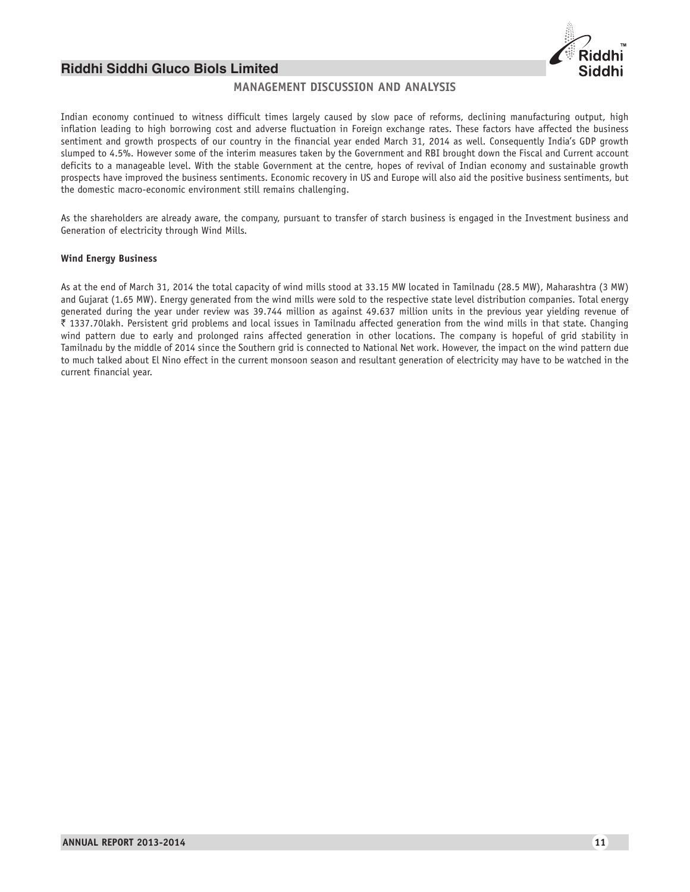

# **MANAGEMENT DISCUSSION AND ANALYSIS**

Indian economy continued to witness difficult times largely caused by slow pace of reforms, declining manufacturing output, high inflation leading to high borrowing cost and adverse fluctuation in Foreign exchange rates. These factors have affected the business sentiment and growth prospects of our country in the financial year ended March 31, 2014 as well. Consequently India's GDP growth slumped to 4.5%. However some of the interim measures taken by the Government and RBI brought down the Fiscal and Current account deficits to a manageable level. With the stable Government at the centre, hopes of revival of Indian economy and sustainable growth prospects have improved the business sentiments. Economic recovery in US and Europe will also aid the positive business sentiments, but the domestic macro-economic environment still remains challenging.

As the shareholders are already aware, the company, pursuant to transfer of starch business is engaged in the Investment business and Generation of electricity through Wind Mills.

#### **Wind Energy Business**

As at the end of March 31, 2014 the total capacity of wind mills stood at 33.15 MW located in Tamilnadu (28.5 MW), Maharashtra (3 MW) and Gujarat (1.65 MW). Energy generated from the wind mills were sold to the respective state level distribution companies. Total energy generated during the year under review was 39.744 million as against 49.637 million units in the previous year yielding revenue of ` 1337.70lakh. Persistent grid problems and local issues in Tamilnadu affected generation from the wind mills in that state. Changing wind pattern due to early and prolonged rains affected generation in other locations. The company is hopeful of grid stability in Tamilnadu by the middle of 2014 since the Southern grid is connected to National Net work. However, the impact on the wind pattern due to much talked about El Nino effect in the current monsoon season and resultant generation of electricity may have to be watched in the current financial year.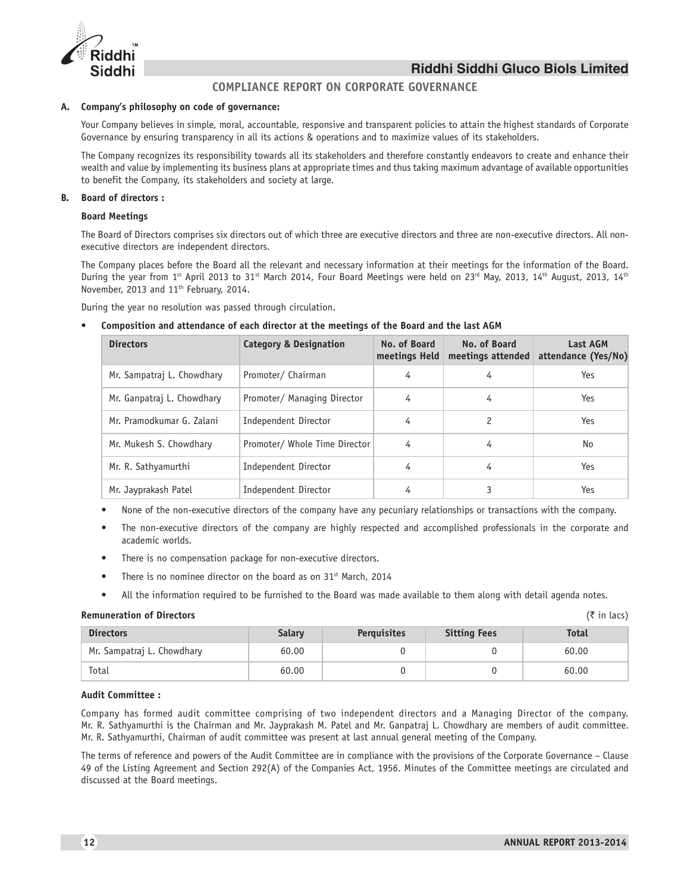



# **COMPLIANCE REPORT ON CORPORATE GOVERNANCE**

#### **A. Company's philosophy on code of governance:**

Your Company believes in simple, moral, accountable, responsive and transparent policies to attain the highest standards of Corporate Governance by ensuring transparency in all its actions & operations and to maximize values of its stakeholders.

The Company recognizes its responsibility towards all its stakeholders and therefore constantly endeavors to create and enhance their wealth and value by implementing its business plans at appropriate times and thus taking maximum advantage of available opportunities to benefit the Company, its stakeholders and society at large.

#### **B. Board of directors :**

#### **Board Meetings**

The Board of Directors comprises six directors out of which three are executive directors and three are non-executive directors. All nonexecutive directors are independent directors.

The Company places before the Board all the relevant and necessary information at their meetings for the information of the Board. During the year from 1st April 2013 to 31st March 2014, Four Board Meetings were held on 23<sup>rd</sup> May, 2013, 14<sup>th</sup> August, 2013, 14<sup>th</sup> November, 2013 and 11<sup>th</sup> February, 2014.

During the year no resolution was passed through circulation.

#### • **Composition and attendance of each director at the meetings of the Board and the last AGM**

| <b>Directors</b>           | <b>Category &amp; Designation</b> | No. of Board<br>meetings Held | No. of Board<br>meetings attended | <b>Last AGM</b><br>attendance (Yes/No) |
|----------------------------|-----------------------------------|-------------------------------|-----------------------------------|----------------------------------------|
| Mr. Sampatraj L. Chowdhary | Promoter/ Chairman                | 4                             | 4                                 | Yes                                    |
| Mr. Ganpatraj L. Chowdhary | Promoter/ Managing Director       | 4                             | 4                                 | Yes                                    |
| Mr. Pramodkumar G. Zalani  | Independent Director              | 4                             | 2                                 | Yes                                    |
| Mr. Mukesh S. Chowdhary    | Promoter/ Whole Time Director     | 4                             | 4                                 | No                                     |
| Mr. R. Sathyamurthi        | Independent Director              | 4                             | 4                                 | Yes                                    |
| Mr. Jayprakash Patel       | Independent Director              | 4                             |                                   | Yes                                    |

- None of the non-executive directors of the company have any pecuniary relationships or transactions with the company.
- The non-executive directors of the company are highly respected and accomplished professionals in the corporate and academic worlds.
- There is no compensation package for non-executive directors.
- There is no nominee director on the board as on 31st March, 2014
- All the information required to be furnished to the Board was made available to them along with detail agenda notes.

#### **Remuneration of Directors** ( $\vec{\tau}$  in lacs)

| <b>Directors</b>           | <b>Salary</b> | <b>Perguisites</b> | <b>Sitting Fees</b> | <b>Total</b> |
|----------------------------|---------------|--------------------|---------------------|--------------|
| Mr. Sampatraj L. Chowdhary | 60.00         |                    |                     | 60.00        |
| Total                      | 60.00         |                    |                     | 60.00        |

#### **Audit Committee :**

Company has formed audit committee comprising of two independent directors and a Managing Director of the company. Mr. R. Sathyamurthi is the Chairman and Mr. Jayprakash M. Patel and Mr. Ganpatraj L. Chowdhary are members of audit committee. Mr. R. Sathyamurthi, Chairman of audit committee was present at last annual general meeting of the Company.

The terms of reference and powers of the Audit Committee are in compliance with the provisions of the Corporate Governance – Clause 49 of the Listing Agreement and Section 292(A) of the Companies Act, 1956. Minutes of the Committee meetings are circulated and discussed at the Board meetings.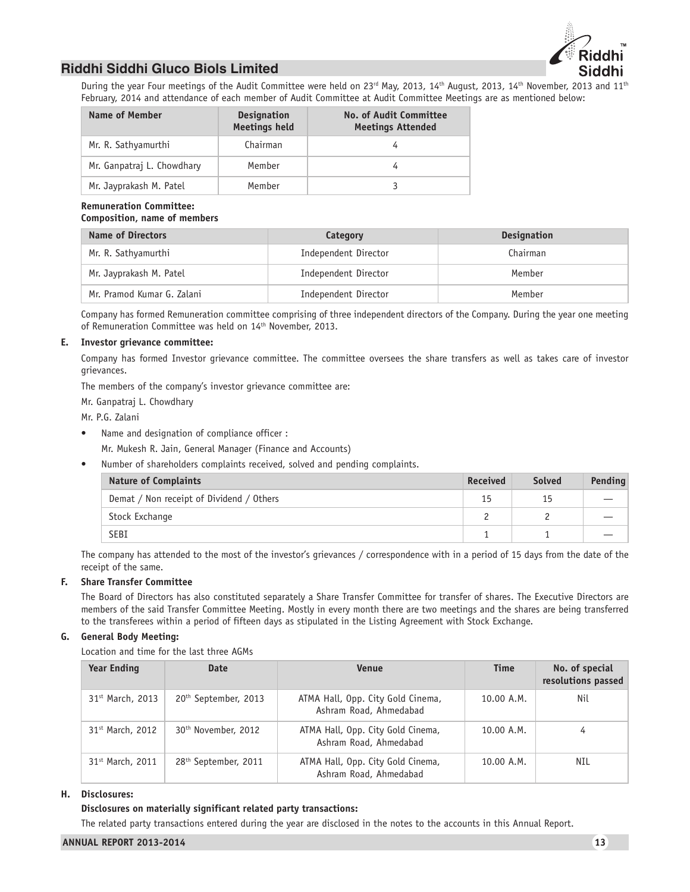

During the year Four meetings of the Audit Committee were held on 23<sup>rd</sup> May, 2013, 14<sup>th</sup> August, 2013, 14<sup>th</sup> November, 2013 and 11<sup>th</sup> February, 2014 and attendance of each member of Audit Committee at Audit Committee Meetings are as mentioned below:

| Name of Member             | <b>Designation</b><br><b>Meetings held</b> | <b>No. of Audit Committee</b><br><b>Meetings Attended</b> |
|----------------------------|--------------------------------------------|-----------------------------------------------------------|
| Mr. R. Sathyamurthi        | Chairman                                   |                                                           |
| Mr. Ganpatraj L. Chowdhary | Member                                     |                                                           |
| Mr. Jayprakash M. Patel    | Member                                     |                                                           |

#### **Remuneration Committee: Composition, name of members**

| <b>Name of Directors</b>   | Category             | <b>Designation</b> |
|----------------------------|----------------------|--------------------|
| Mr. R. Sathyamurthi        | Independent Director | Chairman           |
| Mr. Jayprakash M. Patel    | Independent Director | Member             |
| Mr. Pramod Kumar G. Zalani | Independent Director | Member             |

Company has formed Remuneration committee comprising of three independent directors of the Company. During the year one meeting of Remuneration Committee was held on 14<sup>th</sup> November, 2013.

# **E. Investor grievance committee:**

Company has formed Investor grievance committee. The committee oversees the share transfers as well as takes care of investor grievances.

The members of the company's investor grievance committee are:

Mr. Ganpatraj L. Chowdhary

Mr. P.G. Zalani

Name and designation of compliance officer :

Mr. Mukesh R. Jain, General Manager (Finance and Accounts)

• Number of shareholders complaints received, solved and pending complaints.

| <b>Nature of Complaints</b>              | <b>Received</b> | <b>Solved</b> | Pending |
|------------------------------------------|-----------------|---------------|---------|
| Demat / Non receipt of Dividend / Others | 15              | 15            |         |
| Stock Exchange                           |                 |               |         |
| <b>SEBI</b>                              |                 |               |         |

The company has attended to the most of the investor's grievances / correspondence with in a period of 15 days from the date of the receipt of the same.

### **F. Share Transfer Committee**

The Board of Directors has also constituted separately a Share Transfer Committee for transfer of shares. The Executive Directors are members of the said Transfer Committee Meeting. Mostly in every month there are two meetings and the shares are being transferred to the transferees within a period of fifteen days as stipulated in the Listing Agreement with Stock Exchange.

### **G. General Body Meeting:**

Location and time for the last three AGMs

| <b>Year Ending</b> | Date                             | <b>Venue</b>                                                | <b>Time</b> | No. of special<br>resolutions passed |
|--------------------|----------------------------------|-------------------------------------------------------------|-------------|--------------------------------------|
| 31st March, 2013   | 20 <sup>th</sup> September, 2013 | ATMA Hall, Opp. City Gold Cinema,<br>Ashram Road, Ahmedabad | 10.00 A.M.  | Nil                                  |
| 31st March, 2012   | 30 <sup>th</sup> November, 2012  | ATMA Hall, Opp. City Gold Cinema,<br>Ashram Road, Ahmedabad | 10.00 A.M.  | 4                                    |
| 31st March, 2011   | 28 <sup>th</sup> September, 2011 | ATMA Hall, Opp. City Gold Cinema,<br>Ashram Road, Ahmedabad | 10.00 A.M.  | NIL                                  |

#### **H. Disclosures:**

### **Disclosures on materially significant related party transactions:**

The related party transactions entered during the year are disclosed in the notes to the accounts in this Annual Report.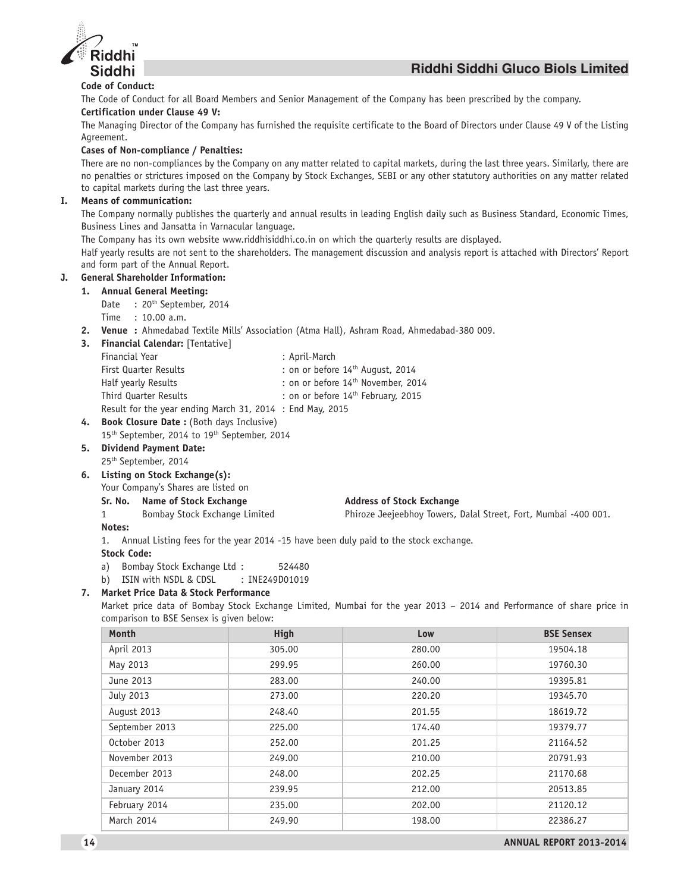

# **Code of Conduct:**

The Code of Conduct for all Board Members and Senior Management of the Company has been prescribed by the company.

# **Certification under Clause 49 V:**

The Managing Director of the Company has furnished the requisite certificate to the Board of Directors under Clause 49 V of the Listing Agreement.

# **Cases of Non-compliance / Penalties:**

There are no non-compliances by the Company on any matter related to capital markets, during the last three years. Similarly, there are no penalties or strictures imposed on the Company by Stock Exchanges, SEBI or any other statutory authorities on any matter related to capital markets during the last three years.

# **I. Means of communication:**

The Company normally publishes the quarterly and annual results in leading English daily such as Business Standard, Economic Times, Business Lines and Jansatta in Varnacular language.

The Company has its own website www.riddhisiddhi.co.in on which the quarterly results are displayed.

Half yearly results are not sent to the shareholders. The management discussion and analysis report is attached with Directors' Report and form part of the Annual Report.

# **J. General Shareholder Information:**

### **1. Annual General Meeting:**

- Date : 20<sup>th</sup> September, 2014
- Time : 10.00 a.m.

**2. Venue :** Ahmedabad Textile Mills' Association (Atma Hall), Ashram Road, Ahmedabad-380 009.

**3. Financial Calendar:** [Tentative]

| Financial Year                                            | : April-March                                  |
|-----------------------------------------------------------|------------------------------------------------|
| First Quarter Results                                     | : on or before 14 <sup>th</sup> August, 2014   |
| Half yearly Results                                       | : on or before 14 <sup>th</sup> November, 2014 |
| Third Quarter Results                                     | : on or before 14 <sup>th</sup> February, 2015 |
| Result for the year ending March 31, 2014 : End May, 2015 |                                                |

# 4. Book Closure Date : (Both days Inclusive)

- 15<sup>th</sup> September, 2014 to 19<sup>th</sup> September, 2014
- **5. Dividend Payment Date:**
- 25th September, 2014
- **6. Listing on Stock Exchange(s):**

Your Company's Shares are listed on

#### Sr. No. Name of Stock Exchange **Address of Stock Exchange**

1 Bombay Stock Exchange Limited Phiroze Jeejeebhoy Towers, Dalal Street, Fort, Mumbai -400 001.

### **Notes:**

1. Annual Listing fees for the year 2014 -15 have been duly paid to the stock exchange.

#### **Stock Code:**

- a) Bombay Stock Exchange Ltd : 524480
- b) ISIN with NSDL & CDSL : INE249D01019

# **7. Market Price Data & Stock Performance**

Market price data of Bombay Stock Exchange Limited, Mumbai for the year 2013 – 2014 and Performance of share price in comparison to BSE Sensex is given below:

| Month          | High   | Low    | <b>BSE Sensex</b> |
|----------------|--------|--------|-------------------|
| April 2013     | 305.00 | 280.00 | 19504.18          |
| May 2013       | 299.95 | 260.00 | 19760.30          |
| June 2013      | 283.00 | 240.00 | 19395.81          |
| July 2013      | 273.00 | 220.20 | 19345.70          |
| August 2013    | 248.40 | 201.55 | 18619.72          |
| September 2013 | 225.00 | 174.40 | 19379.77          |
| October 2013   | 252.00 | 201.25 | 21164.52          |
| November 2013  | 249.00 | 210.00 | 20791.93          |
| December 2013  | 248.00 | 202.25 | 21170.68          |
| January 2014   | 239.95 | 212.00 | 20513.85          |
| February 2014  | 235.00 | 202.00 | 21120.12          |
| March 2014     | 249.90 | 198.00 | 22386.27          |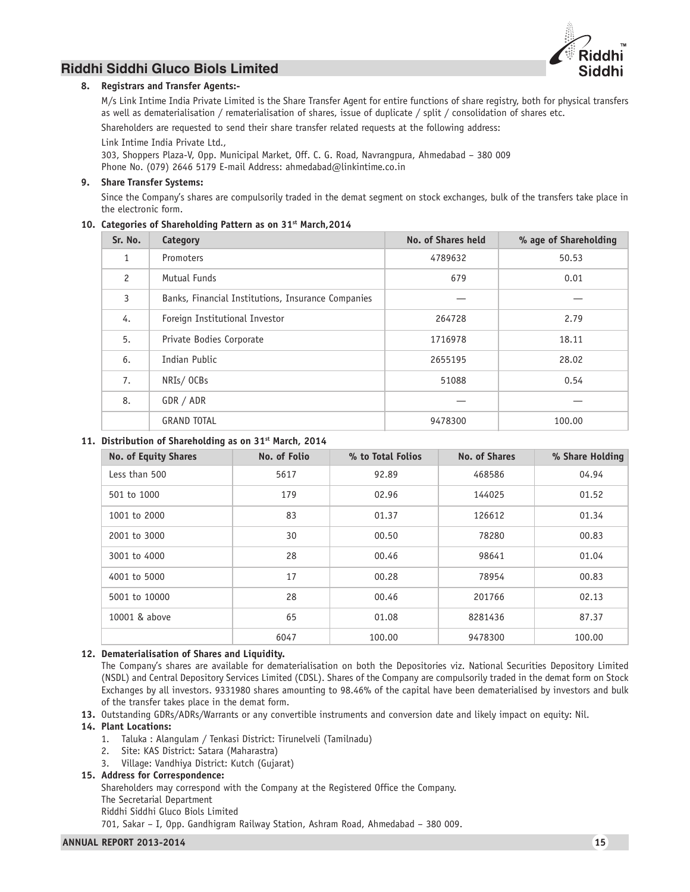

### **8. Registrars and Transfer Agents:-**

M/s Link Intime India Private Limited is the Share Transfer Agent for entire functions of share registry, both for physical transfers as well as dematerialisation / rematerialisation of shares, issue of duplicate / split / consolidation of shares etc.

Shareholders are requested to send their share transfer related requests at the following address: Link Intime India Private Ltd.,

303, Shoppers Plaza-V, Opp. Municipal Market, Off. C. G. Road, Navrangpura, Ahmedabad – 380 009 Phone No. (079) 2646 5179 E-mail Address: ahmedabad@linkintime.co.in

### **9. Share Transfer Systems:**

Since the Company's shares are compulsorily traded in the demat segment on stock exchanges, bulk of the transfers take place in the electronic form.

### 10. Categories of Shareholding Pattern as on 31<sup>st</sup> March,2014

| Sr. No.        | Category                                           | No. of Shares held | % age of Shareholding |
|----------------|----------------------------------------------------|--------------------|-----------------------|
| 1              | Promoters                                          | 4789632            | 50.53                 |
| $\overline{c}$ | Mutual Funds                                       | 679                | 0.01                  |
| 3              | Banks, Financial Institutions, Insurance Companies |                    |                       |
| 4.             | Foreign Institutional Investor                     | 264728             | 2.79                  |
| 5.             | Private Bodies Corporate                           | 1716978            | 18.11                 |
| 6.             | Indian Public                                      | 2655195            | 28.02                 |
| 7.             | NRIs/OCBs                                          | 51088              | 0.54                  |
| 8.             | GDR / ADR                                          |                    |                       |
|                | <b>GRAND TOTAL</b>                                 | 9478300            | 100.00                |

### **11. Distribution of Shareholding as on 31st March, 2014**

| <b>No. of Equity Shares</b> | No. of Folio | % to Total Folios | No. of Shares | % Share Holding |
|-----------------------------|--------------|-------------------|---------------|-----------------|
| Less than 500               | 5617         | 92.89             | 468586        | 04.94           |
| 501 to 1000                 | 179          | 02.96             | 144025        | 01.52           |
| 1001 to 2000                | 83           | 01.37             | 126612        | 01.34           |
| 2001 to 3000                | 30           | 00.50             | 78280         | 00.83           |
| 3001 to 4000                | 28           | 00.46             | 98641         | 01.04           |
| 4001 to 5000                | 17           | 00.28             | 78954         | 00.83           |
| 5001 to 10000               | 28           | 00.46             | 201766        | 02.13           |
| 10001 & above               | 65           | 01.08             | 8281436       | 87.37           |
|                             | 6047         | 100.00            | 9478300       | 100.00          |

### **12. Dematerialisation of Shares and Liquidity.**

The Company's shares are available for dematerialisation on both the Depositories viz. National Securities Depository Limited (NSDL) and Central Depository Services Limited (CDSL). Shares of the Company are compulsorily traded in the demat form on Stock Exchanges by all investors. 9331980 shares amounting to 98.46% of the capital have been dematerialised by investors and bulk of the transfer takes place in the demat form.

**13.** Outstanding GDRs/ADRs/Warrants or any convertible instruments and conversion date and likely impact on equity: Nil.

### **14. Plant Locations:**

- 1. Taluka : Alangulam / Tenkasi District: Tirunelveli (Tamilnadu)
- 2. Site: KAS District: Satara (Maharastra)
- 3. Village: Vandhiya District: Kutch (Gujarat)

### **15. Address for Correspondence:**

Shareholders may correspond with the Company at the Registered Office the Company.

The Secretarial Department

Riddhi Siddhi Gluco Biols Limited

701, Sakar – I, Opp. Gandhigram Railway Station, Ashram Road, Ahmedabad – 380 009.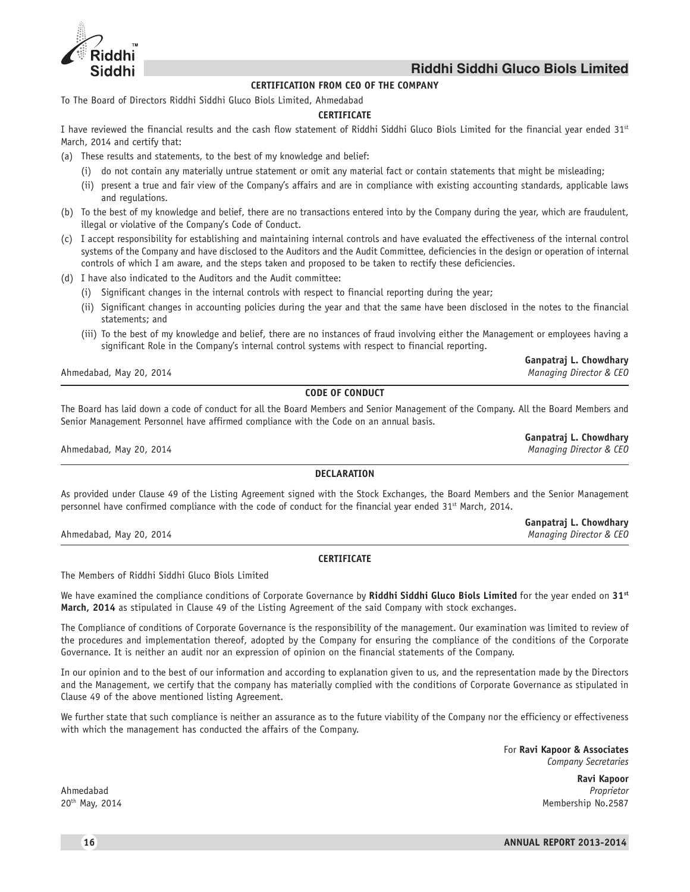

# **CERTIFICATION FROM CEO OF THE COMPANY**

To The Board of Directors Riddhi Siddhi Gluco Biols Limited, Ahmedabad

# **CERTIFICATE**

I have reviewed the financial results and the cash flow statement of Riddhi Siddhi Gluco Biols Limited for the financial year ended 31st March, 2014 and certify that:

- (a) These results and statements, to the best of my knowledge and belief:
	- (i) do not contain any materially untrue statement or omit any material fact or contain statements that might be misleading;
	- (ii) present a true and fair view of the Company's affairs and are in compliance with existing accounting standards, applicable laws and regulations.
- (b) To the best of my knowledge and belief, there are no transactions entered into by the Company during the year, which are fraudulent, illegal or violative of the Company's Code of Conduct.
- (c) I accept responsibility for establishing and maintaining internal controls and have evaluated the effectiveness of the internal control systems of the Company and have disclosed to the Auditors and the Audit Committee, deficiencies in the design or operation of internal controls of which I am aware, and the steps taken and proposed to be taken to rectify these deficiencies.
- (d) I have also indicated to the Auditors and the Audit committee:
	- (i) Significant changes in the internal controls with respect to financial reporting during the year;
	- (ii) Significant changes in accounting policies during the year and that the same have been disclosed in the notes to the financial statements; and
	- (iii) To the best of my knowledge and belief, there are no instances of fraud involving either the Management or employees having a significant Role in the Company's internal control systems with respect to financial reporting.

Ahmedabad, May 20, 2014 *Managing Director & CEO*

# **CODE OF CONDUCT**

The Board has laid down a code of conduct for all the Board Members and Senior Management of the Company. All the Board Members and Senior Management Personnel have affirmed compliance with the Code on an annual basis.

Ahmedabad, May 20, 2014 *Managing Director & CEO*

### **DECLARATION**

As provided under Clause 49 of the Listing Agreement signed with the Stock Exchanges, the Board Members and the Senior Management personnel have confirmed compliance with the code of conduct for the financial year ended 31<sup>st</sup> March, 2014.

Ahmedabad, May 20, 2014 *Managing Director & CEO*

### **CERTIFICATE**

The Members of Riddhi Siddhi Gluco Biols Limited

We have examined the compliance conditions of Corporate Governance by **Riddhi Siddhi Gluco Biols Limited** for the year ended on **31st March, 2014** as stipulated in Clause 49 of the Listing Agreement of the said Company with stock exchanges.

The Compliance of conditions of Corporate Governance is the responsibility of the management. Our examination was limited to review of the procedures and implementation thereof, adopted by the Company for ensuring the compliance of the conditions of the Corporate Governance. It is neither an audit nor an expression of opinion on the financial statements of the Company.

In our opinion and to the best of our information and according to explanation given to us, and the representation made by the Directors and the Management, we certify that the company has materially complied with the conditions of Corporate Governance as stipulated in Clause 49 of the above mentioned listing Agreement.

We further state that such compliance is neither an assurance as to the future viability of the Company nor the efficiency or effectiveness with which the management has conducted the affairs of the Company.

> For **Ravi Kapoor & Associates** *Company Secretaries*

**Ganpatraj L. Chowdhary**

**Ganpatraj L. Chowdhary**

**Ganpatraj L. Chowdhary**

**Ravi Kapoor** Ahmedabad *Proprietor* 20th May, 2014 Membership No.2587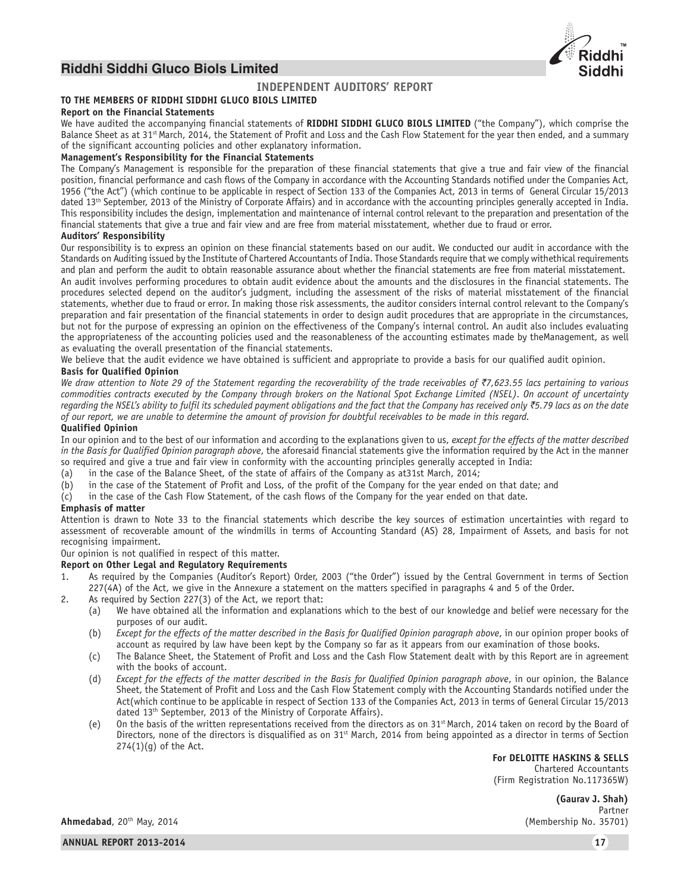

# **INDEPENDENT AUDITORS' REPORT**

# **TO THE MEMBERS OF RIDDHI SIDDHI GLUCO BIOLS LIMITED**

#### **Report on the Financial Statements**

We have audited the accompanying financial statements of **RIDDHI SIDDHI GLUCO BIOLS LIMITED** ("the Company"), which comprise the Balance Sheet as at 31<sup>st</sup> March, 2014, the Statement of Profit and Loss and the Cash Flow Statement for the year then ended, and a summary of the significant accounting policies and other explanatory information.

#### **Management's Responsibility for the Financial Statements**

The Company's Management is responsible for the preparation of these financial statements that give a true and fair view of the financial position, financial performance and cash flows of the Company in accordance with the Accounting Standards notified under the Companies Act, 1956 ("the Act") (which continue to be applicable in respect of Section 133 of the Companies Act, 2013 in terms of General Circular 15/2013 dated 13th September, 2013 of the Ministry of Corporate Affairs) and in accordance with the accounting principles generally accepted in India. This responsibility includes the design, implementation and maintenance of internal control relevant to the preparation and presentation of the financial statements that give a true and fair view and are free from material misstatement, whether due to fraud or error.

#### **Auditors' Responsibility**

Our responsibility is to express an opinion on these financial statements based on our audit. We conducted our audit in accordance with the Standards on Auditing issued by the Institute of Chartered Accountants of India. Those Standards require that we comply withethical requirements and plan and perform the audit to obtain reasonable assurance about whether the financial statements are free from material misstatement. An audit involves performing procedures to obtain audit evidence about the amounts and the disclosures in the financial statements. The procedures selected depend on the auditor's judgment, including the assessment of the risks of material misstatement of the financial statements, whether due to fraud or error. In making those risk assessments, the auditor considers internal control relevant to the Company's preparation and fair presentation of the financial statements in order to design audit procedures that are appropriate in the circumstances, but not for the purpose of expressing an opinion on the effectiveness of the Company's internal control. An audit also includes evaluating the appropriateness of the accounting policies used and the reasonableness of the accounting estimates made by theManagement, as well as evaluating the overall presentation of the financial statements.

We believe that the audit evidence we have obtained is sufficient and appropriate to provide a basis for our qualified audit opinion.

# **Basis for Qualified Opinion**

*We draw attention to Note 29 of the Statement regarding the recoverability of the trade receivables of ₹7,623.55 lacs pertaining to various commodities contracts executed by the Company through brokers on the National Spot Exchange Limited (NSEL). On account of uncertainty regarding the NSEL's ability to fulfil its scheduled payment obligations and the fact that the Company has received only* `*5.79 lacs as on the date of our report, we are unable to determine the amount of provision for doubtful receivables to be made in this regard.*

### **Qualified Opinion**

In our opinion and to the best of our information and according to the explanations given to us, *except for the effects of the matter described in the Basis for Qualified Opinion paragraph above*, the aforesaid financial statements give the information required by the Act in the manner so required and give a true and fair view in conformity with the accounting principles generally accepted in India:

(a) in the case of the Balance Sheet, of the state of affairs of the Company as at31st March, 2014;

- (b) in the case of the Statement of Profit and Loss, of the profit of the Company for the year ended on that date; and
- (c) in the case of the Cash Flow Statement, of the cash flows of the Company for the year ended on that date.

#### **Emphasis of matter**

Attention is drawn to Note 33 to the financial statements which describe the key sources of estimation uncertainties with regard to assessment of recoverable amount of the windmills in terms of Accounting Standard (AS) 28, Impairment of Assets, and basis for not recognising impairment.

Our opinion is not qualified in respect of this matter.

#### **Report on Other Legal and Regulatory Requirements**

- 1. As required by the Companies (Auditor's Report) Order, 2003 ("the Order") issued by the Central Government in terms of Section 227(4A) of the Act, we give in the Annexure a statement on the matters specified in paragraphs 4 and 5 of the Order.
- 2. As required by Section 227(3) of the Act, we report that:
	- (a) We have obtained all the information and explanations which to the best of our knowledge and belief were necessary for the purposes of our audit.
	- (b) *Except for the effects of the matter described in the Basis for Qualified Opinion paragraph above*, in our opinion proper books of account as required by law have been kept by the Company so far as it appears from our examination of those books.
	- (c) The Balance Sheet, the Statement of Profit and Loss and the Cash Flow Statement dealt with by this Report are in agreement with the books of account.
	- (d) *Except for the effects of the matter described in the Basis for Qualified Opinion paragraph above*, in our opinion, the Balance Sheet, the Statement of Profit and Loss and the Cash Flow Statement comply with the Accounting Standards notified under the Act(which continue to be applicable in respect of Section 133 of the Companies Act, 2013 in terms of General Circular 15/2013 dated 13<sup>th</sup> September, 2013 of the Ministry of Corporate Affairs).
	- (e) On the basis of the written representations received from the directors as on  $31<sup>st</sup>$  March, 2014 taken on record by the Board of Directors, none of the directors is disqualified as on 31<sup>st</sup> March, 2014 from being appointed as a director in terms of Section  $274(1)(q)$  of the Act.

**For DELOITTE HASKINS & SELLS**

Chartered Accountants (Firm Registration No.117365W)

> **(Gaurav J. Shah)** Partner

**Ahmedabad**, 20th May, 2014 (Membership No. 35701)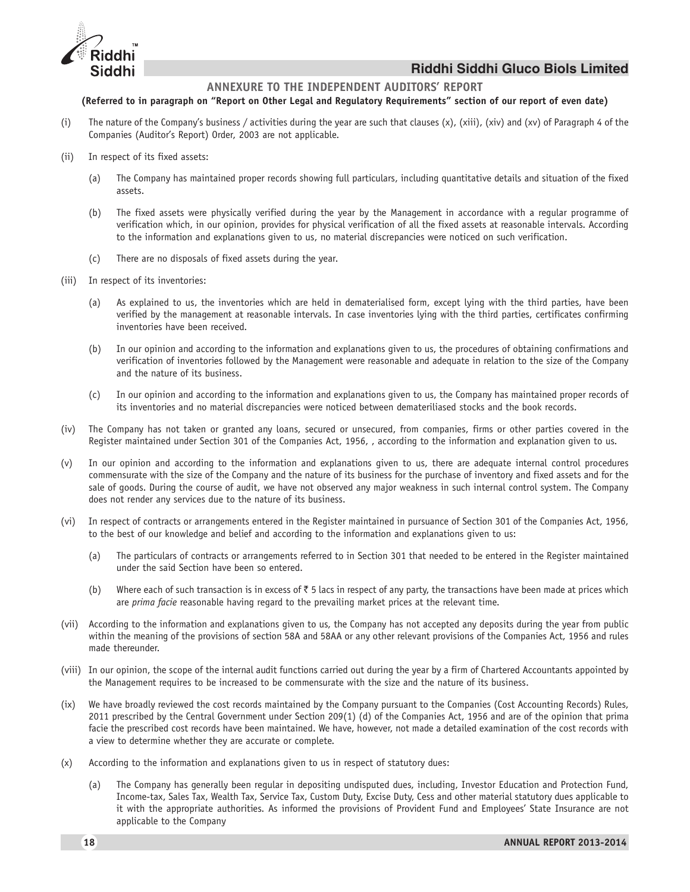

# **ANNEXURE TO THE INDEPENDENT AUDITORS' REPORT**

### **(Referred to in paragraph on "Report on Other Legal and Regulatory Requirements" section of our report of even date)**

- (i) The nature of the Company's business / activities during the year are such that clauses  $(x)$ ,  $(xiii)$ ,  $(xiv)$  and  $(xv)$  of Paragraph 4 of the Companies (Auditor's Report) Order, 2003 are not applicable.
- (ii) In respect of its fixed assets:
	- (a) The Company has maintained proper records showing full particulars, including quantitative details and situation of the fixed assets.
	- (b) The fixed assets were physically verified during the year by the Management in accordance with a regular programme of verification which, in our opinion, provides for physical verification of all the fixed assets at reasonable intervals. According to the information and explanations given to us, no material discrepancies were noticed on such verification.
	- (c) There are no disposals of fixed assets during the year.
- (iii) In respect of its inventories:
	- (a) As explained to us, the inventories which are held in dematerialised form, except lying with the third parties, have been verified by the management at reasonable intervals. In case inventories lying with the third parties, certificates confirming inventories have been received.
	- (b) In our opinion and according to the information and explanations given to us, the procedures of obtaining confirmations and verification of inventories followed by the Management were reasonable and adequate in relation to the size of the Company and the nature of its business.
	- (c) In our opinion and according to the information and explanations given to us, the Company has maintained proper records of its inventories and no material discrepancies were noticed between demateriliased stocks and the book records.
- (iv) The Company has not taken or granted any loans, secured or unsecured, from companies, firms or other parties covered in the Register maintained under Section 301 of the Companies Act, 1956, , according to the information and explanation given to us.
- (v) In our opinion and according to the information and explanations given to us, there are adequate internal control procedures commensurate with the size of the Company and the nature of its business for the purchase of inventory and fixed assets and for the sale of goods. During the course of audit, we have not observed any major weakness in such internal control system. The Company does not render any services due to the nature of its business.
- (vi) In respect of contracts or arrangements entered in the Register maintained in pursuance of Section 301 of the Companies Act, 1956, to the best of our knowledge and belief and according to the information and explanations given to us:
	- (a) The particulars of contracts or arrangements referred to in Section 301 that needed to be entered in the Register maintained under the said Section have been so entered.
	- (b) Where each of such transaction is in excess of  $\bar{\tau}$  5 lacs in respect of any party, the transactions have been made at prices which are *prima facie* reasonable having regard to the prevailing market prices at the relevant time.
- (vii) According to the information and explanations given to us, the Company has not accepted any deposits during the year from public within the meaning of the provisions of section 58A and 58AA or any other relevant provisions of the Companies Act, 1956 and rules made thereunder.
- (viii) In our opinion, the scope of the internal audit functions carried out during the year by a firm of Chartered Accountants appointed by the Management requires to be increased to be commensurate with the size and the nature of its business.
- (ix) We have broadly reviewed the cost records maintained by the Company pursuant to the Companies (Cost Accounting Records) Rules, 2011 prescribed by the Central Government under Section 209(1) (d) of the Companies Act, 1956 and are of the opinion that prima facie the prescribed cost records have been maintained. We have, however, not made a detailed examination of the cost records with a view to determine whether they are accurate or complete.
- (x) According to the information and explanations given to us in respect of statutory dues:
	- (a) The Company has generally been regular in depositing undisputed dues, including, Investor Education and Protection Fund, Income-tax, Sales Tax, Wealth Tax, Service Tax, Custom Duty, Excise Duty, Cess and other material statutory dues applicable to it with the appropriate authorities. As informed the provisions of Provident Fund and Employees' State Insurance are not applicable to the Company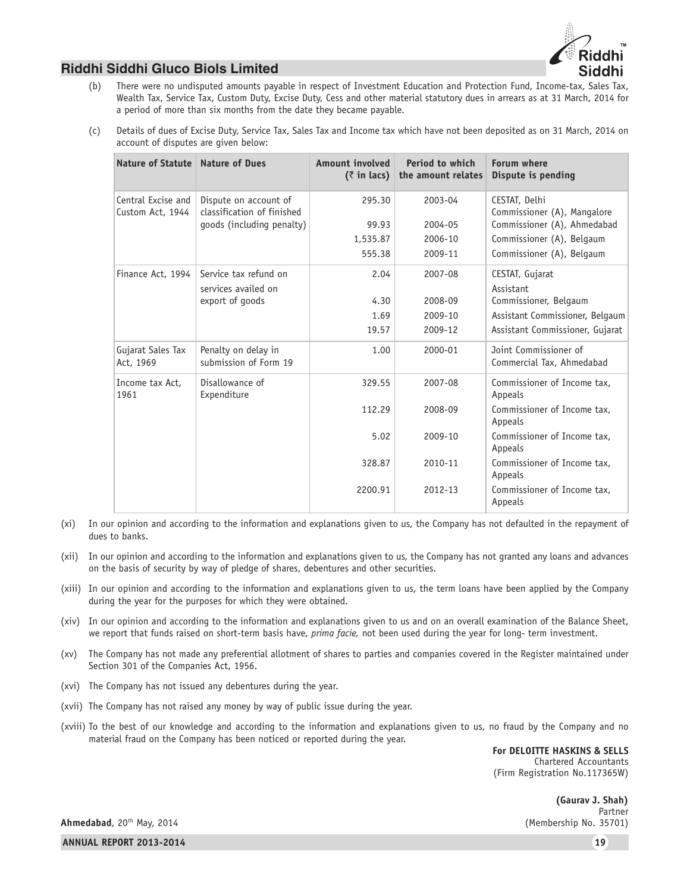

- (b) There were no undisputed amounts payable in respect of Investment Education and Protection Fund, Income-tax, Sales Tax, Wealth Tax, Service Tax, Custom Duty, Excise Duty, Cess and other material statutory dues in arrears as at 31 March, 2014 for a period of more than six months from the date they became payable.
- (c) Details of dues of Excise Duty, Service Tax, Sales Tax and Income tax which have not been deposited as on 31 March, 2014 on account of disputes are given below:

| Nature of Statute                      | <b>Nature of Dues</b>                               | Amount involved<br>$(3 \in \mathbb{R})$ in lacs) | Period to which<br>the amount relates | Forum where<br>Dispute is pending                  |
|----------------------------------------|-----------------------------------------------------|--------------------------------------------------|---------------------------------------|----------------------------------------------------|
| Central Excise and<br>Custom Act, 1944 | Dispute on account of<br>classification of finished | 295.30                                           | 2003-04                               | CESTAT, Delhi<br>Commissioner (A), Mangalore       |
|                                        | goods (including penalty)                           | 99.93                                            | 2004-05                               | Commissioner (A), Ahmedabad                        |
|                                        |                                                     | 1,535.87                                         | 2006-10                               | Commissioner (A), Belgaum                          |
|                                        |                                                     | 555.38                                           | 2009-11                               | Commissioner (A), Belgaum                          |
| Finance Act, 1994                      | Service tax refund on                               | 2.04                                             | 2007-08                               | CESTAT, Gujarat                                    |
|                                        | services availed on                                 |                                                  |                                       | Assistant                                          |
|                                        | export of goods                                     | 4.30                                             | 2008-09                               | Commissioner, Belgaum                              |
|                                        |                                                     | 1.69                                             | 2009-10                               | Assistant Commissioner, Belgaum                    |
|                                        |                                                     | 19.57                                            | 2009-12                               | Assistant Commissioner, Gujarat                    |
| Gujarat Sales Tax<br>Act, 1969         | Penalty on delay in<br>submission of Form 19        | 1.00                                             | 2000-01                               | Joint Commissioner of<br>Commercial Tax, Ahmedabad |
| Income tax Act.<br>1961                | Disallowance of<br>Expenditure                      | 329.55                                           | 2007-08                               | Commissioner of Income tax.<br>Appeals             |
|                                        |                                                     | 112.29                                           | 2008-09                               | Commissioner of Income tax.<br>Appeals             |
|                                        |                                                     | 5.02                                             | 2009-10                               | Commissioner of Income tax.<br>Appeals             |
|                                        |                                                     | 328.87                                           | 2010-11                               | Commissioner of Income tax.<br>Appeals             |
|                                        |                                                     | 2200.91                                          | 2012-13                               | Commissioner of Income tax.<br>Appeals             |

(xi) In our opinion and according to the information and explanations given to us, the Company has not defaulted in the repayment of dues to banks.

- (xii) In our opinion and according to the information and explanations given to us, the Company has not granted any loans and advances on the basis of security by way of pledge of shares, debentures and other securities.
- (xiii) In our opinion and according to the information and explanations given to us, the term loans have been applied by the Company during the year for the purposes for which they were obtained.
- (xiv) In our opinion and according to the information and explanations given to us and on an overall examination of the Balance Sheet, we report that funds raised on short-term basis have, *prima facie,* not been used during the year for long- term investment.
- (xv) The Company has not made any preferential allotment of shares to parties and companies covered in the Register maintained under Section 301 of the Companies Act, 1956.
- (xvi) The Company has not issued any debentures during the year.
- (xvii) The Company has not raised any money by way of public issue during the year.
- (xviii) To the best of our knowledge and according to the information and explanations given to us, no fraud by the Company and no material fraud on the Company has been noticed or reported during the year.

**For DELOITTE HASKINS & SELLS** Chartered Accountants (Firm Registration No.117365W)

> **(Gaurav J. Shah)** Partner<br>(Membership No. 35701)

Ahmedabad, 20<sup>th</sup> May, 2014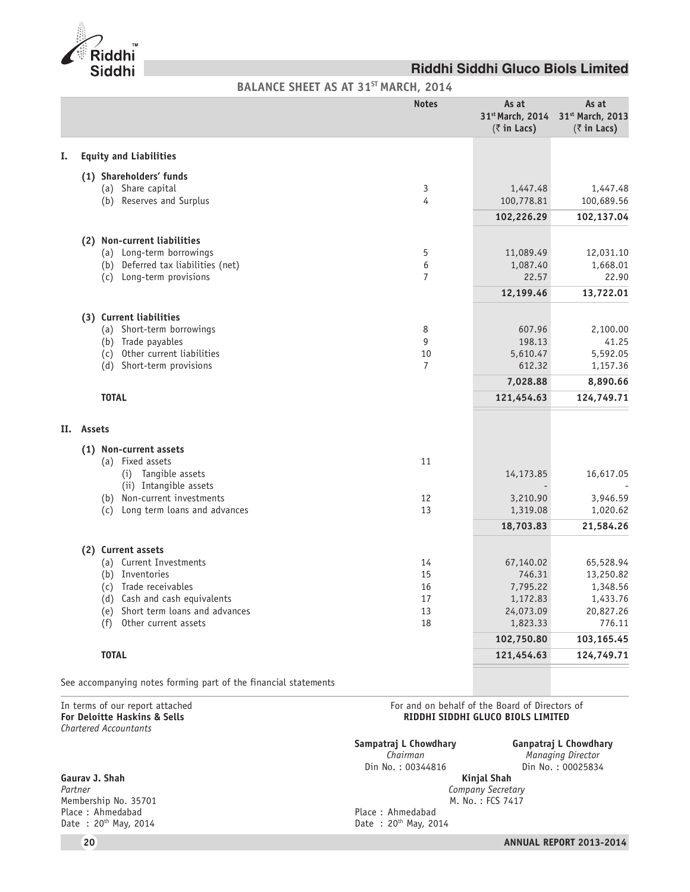

**BALANCE SHEET AS AT 31ST MARCH, 2014**

|     |                                                                | <b>Notes</b>        | As at<br>31 <sup>st</sup> March, 2014<br>$(\bar{z}$ in Lacs) | As at<br>31st March, 2013<br>$(\bar{z}$ in Lacs) |
|-----|----------------------------------------------------------------|---------------------|--------------------------------------------------------------|--------------------------------------------------|
| I.  | <b>Equity and Liabilities</b>                                  |                     |                                                              |                                                  |
|     | (1) Shareholders' funds                                        |                     |                                                              |                                                  |
|     | (a) Share capital                                              | 3                   | 1,447.48                                                     | 1,447.48                                         |
|     | (b) Reserves and Surplus                                       | 4                   | 100,778.81                                                   | 100,689.56                                       |
|     |                                                                |                     | 102,226.29                                                   | 102,137.04                                       |
|     |                                                                |                     |                                                              |                                                  |
|     | (2) Non-current liabilities                                    |                     |                                                              |                                                  |
|     | (a) Long-term borrowings                                       | 5                   | 11,089.49                                                    | 12,031.10                                        |
|     | (b) Deferred tax liabilities (net)<br>(c) Long-term provisions | 6<br>$\overline{7}$ | 1,087.40<br>22.57                                            | 1,668.01<br>22.90                                |
|     |                                                                |                     |                                                              |                                                  |
|     |                                                                |                     | 12,199.46                                                    | 13,722.01                                        |
|     | (3) Current liabilities                                        |                     |                                                              |                                                  |
|     | (a) Short-term borrowings                                      | 8                   | 607.96                                                       | 2,100.00                                         |
|     | (b) Trade payables                                             | 9                   | 198.13                                                       | 41.25                                            |
|     | (c) Other current liabilities                                  | 10                  | 5,610.47                                                     | 5,592.05                                         |
|     | (d) Short-term provisions                                      | $\overline{7}$      | 612.32                                                       | 1,157.36                                         |
|     |                                                                |                     | 7,028.88                                                     | 8,890.66                                         |
|     | <b>TOTAL</b>                                                   |                     | 121,454.63                                                   | 124,749.71                                       |
|     |                                                                |                     |                                                              |                                                  |
| II. | Assets                                                         |                     |                                                              |                                                  |
|     | (1) Non-current assets                                         |                     |                                                              |                                                  |
|     | (a) Fixed assets                                               | 11                  |                                                              |                                                  |
|     | (i) Tangible assets                                            |                     | 14,173.85                                                    | 16,617.05                                        |
|     | (ii) Intangible assets                                         |                     |                                                              |                                                  |
|     | (b) Non-current investments                                    | 12                  | 3,210.90                                                     | 3,946.59                                         |
|     | (c) Long term loans and advances                               | 13                  | 1,319.08                                                     | 1,020.62                                         |
|     |                                                                |                     | 18,703.83                                                    | 21,584.26                                        |
|     | (2) Current assets                                             |                     |                                                              |                                                  |
|     | (a) Current Investments                                        | 14                  | 67,140.02                                                    | 65,528.94                                        |
|     | (b) Inventories                                                | 15                  | 746.31                                                       | 13,250.82                                        |
|     | (c) Trade receivables                                          | 16                  | 7,795.22                                                     | 1,348.56                                         |
|     | (d) Cash and cash equivalents                                  | 17                  | 1,172.83                                                     | 1,433.76                                         |
|     | (e) Short term loans and advances                              | 13                  | 24,073.09                                                    | 20,827.26                                        |
|     | Other current assets<br>(f)                                    | 18                  | 1,823.33                                                     | 776.11                                           |
|     |                                                                |                     | 102,750.80                                                   | 103,165.45                                       |
|     | <b>TOTAL</b>                                                   |                     | 121,454.63                                                   | 124,749.71                                       |
|     |                                                                |                     |                                                              |                                                  |

See accompanying notes forming part of the financial statements

*Chartered Accountants*

**Gaurav J. Shah** Membership No. 35701<br>Place: Ahmedabad Place : Ahmedabad **Place : Ahmedabad** Place : Ahmedabad **Place : Ahmedabad** Place : Ahmedabad **Place : Ahmedabad** Place : 20<sup>th</sup> May, 20

In terms of our report attached  $\blacksquare$  For and on behalf of the Board of Directors of For Deloitte Haskins & Sells  $\blacksquare$ **RIDDHI SIDDHI GLUCO BIOLS LIMITED** 

**Sampatraj L Chowdhary Ganpatraj L Chowdhary**<br>Chairman **Managing Director** *Managing Director* Din No. : 00344816 <br>**Kinjal Shah Din No. : 00025834** *Partner Company Secretary*

Date : 20<sup>th</sup> May, 2014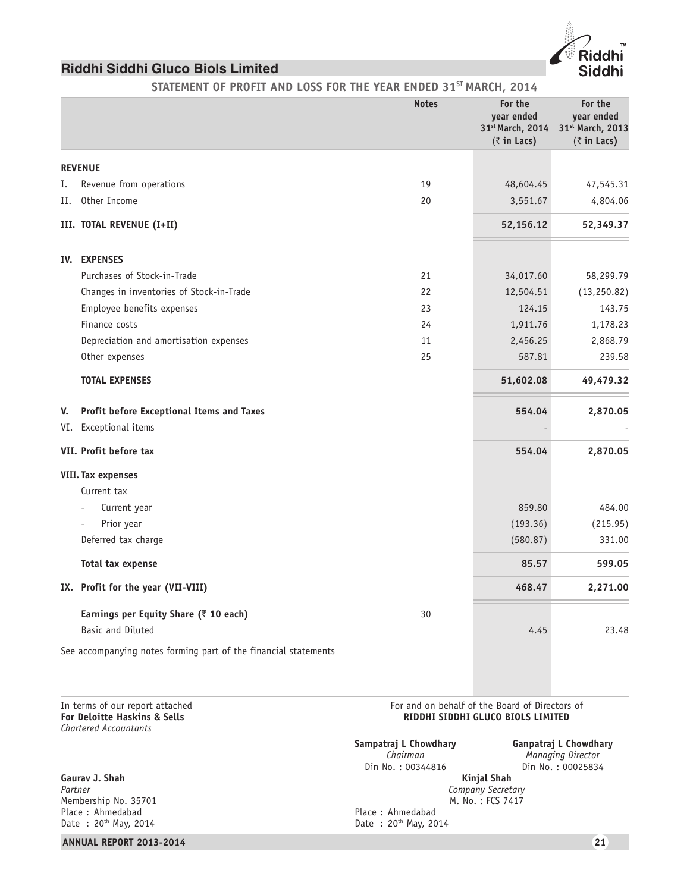STATEMENT OF PROFIT AND LOSS FOR THE YEAR ENDED 31<sup>ST</sup> MARCH, 2014

|    |                                                                 | <b>Notes</b> | For the<br>year ended<br>31st March, 2014<br>$(\bar{z}$ in Lacs) | For the<br>year ended<br>31st March, 2013<br>$(\bar{z}$ in Lacs) |
|----|-----------------------------------------------------------------|--------------|------------------------------------------------------------------|------------------------------------------------------------------|
|    | <b>REVENUE</b>                                                  |              |                                                                  |                                                                  |
| Ι. | Revenue from operations                                         | 19           | 48,604.45                                                        | 47,545.31                                                        |
| П. | Other Income                                                    | 20           | 3,551.67                                                         | 4,804.06                                                         |
|    | III. TOTAL REVENUE (I+II)                                       |              | 52,156.12                                                        | 52,349.37                                                        |
|    | IV. EXPENSES                                                    |              |                                                                  |                                                                  |
|    | Purchases of Stock-in-Trade                                     | 21           | 34,017.60                                                        | 58,299.79                                                        |
|    | Changes in inventories of Stock-in-Trade                        | 22           | 12,504.51                                                        | (13, 250.82)                                                     |
|    | Employee benefits expenses                                      | 23           | 124.15                                                           | 143.75                                                           |
|    | Finance costs                                                   | 24           | 1,911.76                                                         | 1,178.23                                                         |
|    | Depreciation and amortisation expenses                          | 11           | 2,456.25                                                         | 2,868.79                                                         |
|    | Other expenses                                                  | 25           | 587.81                                                           | 239.58                                                           |
|    | <b>TOTAL EXPENSES</b>                                           |              | 51,602.08                                                        | 49,479.32                                                        |
| V. | Profit before Exceptional Items and Taxes                       |              | 554.04                                                           | 2,870.05                                                         |
|    | VI. Exceptional items                                           |              |                                                                  |                                                                  |
|    | VII. Profit before tax                                          |              | 554.04                                                           | 2,870.05                                                         |
|    | <b>VIII. Tax expenses</b>                                       |              |                                                                  |                                                                  |
|    | Current tax                                                     |              |                                                                  |                                                                  |
|    | Current year<br>÷,                                              |              | 859.80                                                           | 484.00                                                           |
|    | Prior year                                                      |              | (193.36)                                                         | (215.95)                                                         |
|    | Deferred tax charge                                             |              | (580.87)                                                         | 331.00                                                           |
|    | Total tax expense                                               |              | 85.57                                                            | 599.05                                                           |
|    | IX. Profit for the year (VII-VIII)                              |              | 468.47                                                           | 2,271.00                                                         |
|    | Earnings per Equity Share (₹ 10 each)                           | 30           |                                                                  |                                                                  |
|    | <b>Basic and Diluted</b>                                        |              | 4.45                                                             | 23.48                                                            |
|    | See accompanying notes forming part of the financial statements |              |                                                                  |                                                                  |

*Chartered Accountants*

**Gaurav J. Shah**<br>Partner Membership No. 35701 M. No. : FCS 7417 Place : Ahmedabad<br>Date : 20<sup>th</sup> May, 2014

# **ANNUAL REPORT 2013-2014 21**

In terms of our report attached  $\blacksquare$  For and on behalf of the Board of Directors of For Deloitte Haskins & Sells  $\blacksquare$ **RIDDHI SIDDHI GLUCO BIOLS LIMITED** 

> **Sampatraj L Chowdhary Ganpatraj L Chowdhary**<br>Chairman **Managing Director** *Chairman Managing Director* Din No. : 00344816 <br>**Kinjal Shah Din No. : 00025834** *Company Secretary*<br>*M. No.: FCS 7417* Date : 20<sup>th</sup> May, 2014

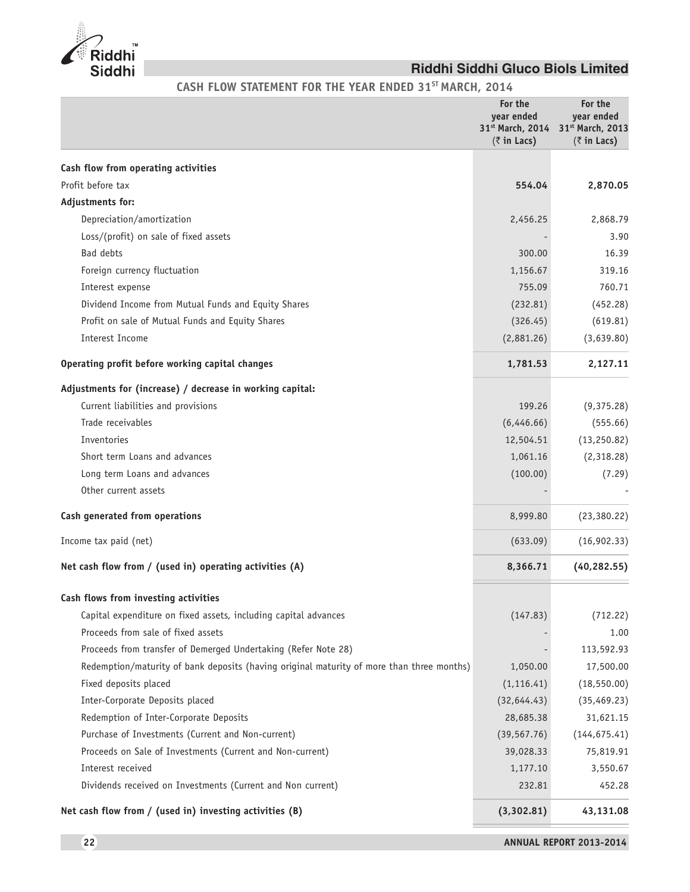

CASH FLOW STATEMENT FOR THE YEAR ENDED 31<sup>ST</sup> MARCH, 2014

|                                                                                           | For the<br>vear ended<br>31st March, 2014<br>$(\bar{z}$ in Lacs) | For the<br>year ended<br>31st March, 2013<br>$(\bar{z}$ in Lacs) |
|-------------------------------------------------------------------------------------------|------------------------------------------------------------------|------------------------------------------------------------------|
| Cash flow from operating activities                                                       |                                                                  |                                                                  |
| Profit before tax                                                                         | 554.04                                                           | 2,870.05                                                         |
| Adjustments for:                                                                          |                                                                  |                                                                  |
| Depreciation/amortization                                                                 | 2,456.25                                                         | 2,868.79                                                         |
| Loss/(profit) on sale of fixed assets                                                     |                                                                  | 3.90                                                             |
| Bad debts                                                                                 | 300.00                                                           | 16.39                                                            |
| Foreign currency fluctuation                                                              | 1,156.67                                                         | 319.16                                                           |
| Interest expense                                                                          | 755.09                                                           | 760.71                                                           |
| Dividend Income from Mutual Funds and Equity Shares                                       | (232.81)                                                         | (452.28)                                                         |
| Profit on sale of Mutual Funds and Equity Shares                                          | (326.45)                                                         | (619.81)                                                         |
| Interest Income                                                                           | (2,881.26)                                                       | (3,639.80)                                                       |
| Operating profit before working capital changes                                           | 1,781.53                                                         | 2,127.11                                                         |
| Adjustments for (increase) / decrease in working capital:                                 |                                                                  |                                                                  |
| Current liabilities and provisions                                                        | 199.26                                                           | (9,375.28)                                                       |
| Trade receivables                                                                         | (6,446.66)                                                       | (555.66)                                                         |
| Inventories                                                                               | 12,504.51                                                        | (13, 250.82)                                                     |
| Short term Loans and advances                                                             | 1,061.16                                                         | (2,318.28)                                                       |
| Long term Loans and advances                                                              | (100.00)                                                         | (7.29)                                                           |
| Other current assets                                                                      |                                                                  |                                                                  |
| Cash generated from operations                                                            | 8,999.80                                                         | (23, 380.22)                                                     |
| Income tax paid (net)                                                                     | (633.09)                                                         | (16,902.33)                                                      |
| Net cash flow from / (used in) operating activities (A)                                   | 8,366.71                                                         | (40, 282.55)                                                     |
| Cash flows from investing activities                                                      |                                                                  |                                                                  |
| Capital expenditure on fixed assets, including capital advances                           | (147.83)                                                         | (712.22)                                                         |
| Proceeds from sale of fixed assets                                                        |                                                                  | 1.00                                                             |
| Proceeds from transfer of Demerged Undertaking (Refer Note 28)                            |                                                                  | 113,592.93                                                       |
| Redemption/maturity of bank deposits (having original maturity of more than three months) | 1,050.00                                                         | 17,500.00                                                        |
| Fixed deposits placed                                                                     | (1, 116.41)                                                      | (18, 550.00)                                                     |
| Inter-Corporate Deposits placed                                                           | (32,644.43)                                                      | (35, 469.23)                                                     |
| Redemption of Inter-Corporate Deposits                                                    | 28,685.38                                                        | 31,621.15                                                        |
| Purchase of Investments (Current and Non-current)                                         | (39, 567.76)                                                     | (144, 675.41)                                                    |
| Proceeds on Sale of Investments (Current and Non-current)                                 | 39,028.33                                                        | 75,819.91                                                        |
| Interest received                                                                         | 1,177.10                                                         | 3,550.67                                                         |
| Dividends received on Investments (Current and Non current)                               | 232.81                                                           | 452.28                                                           |
| Net cash flow from / (used in) investing activities (B)                                   | (3,302.81)                                                       | 43,131.08                                                        |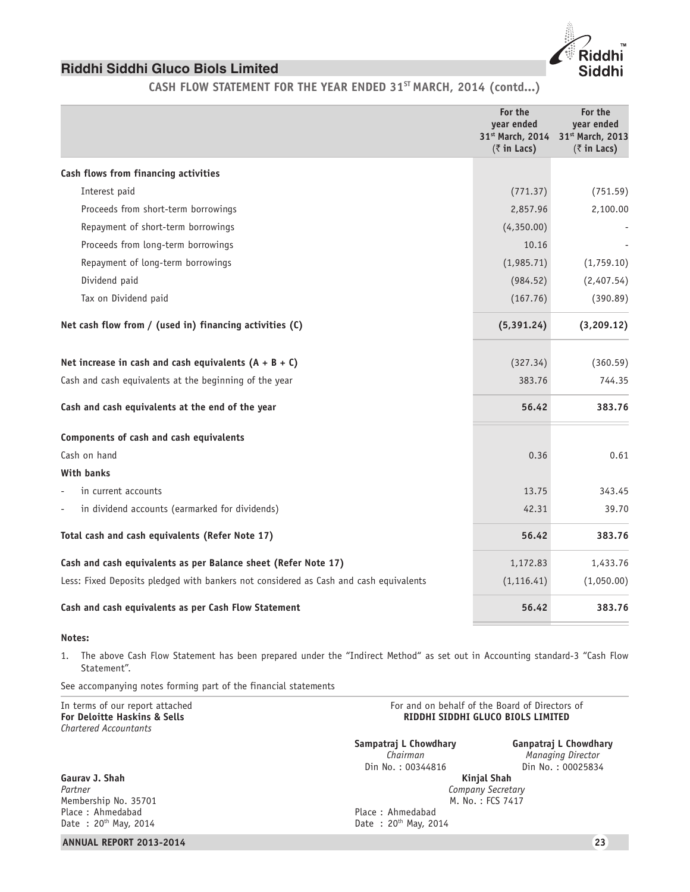CASH FLOW STATEMENT FOR THE YEAR ENDED 31<sup>ST</sup> MARCH, 2014 (contd...)

|                                                                                       | For the<br>year ended<br>31 <sup>st</sup> March, 2014<br>$(\bar{z}$ in Lacs) | For the<br>vear ended<br>31st March, 2013<br>$(\bar{z}$ in Lacs) |
|---------------------------------------------------------------------------------------|------------------------------------------------------------------------------|------------------------------------------------------------------|
| Cash flows from financing activities                                                  |                                                                              |                                                                  |
| Interest paid                                                                         | (771.37)                                                                     | (751.59)                                                         |
| Proceeds from short-term borrowings                                                   | 2,857.96                                                                     | 2,100.00                                                         |
| Repayment of short-term borrowings                                                    | (4,350.00)                                                                   |                                                                  |
| Proceeds from long-term borrowings                                                    | 10.16                                                                        |                                                                  |
| Repayment of long-term borrowings                                                     | (1,985.71)                                                                   | (1,759.10)                                                       |
| Dividend paid                                                                         | (984.52)                                                                     | (2,407.54)                                                       |
| Tax on Dividend paid                                                                  | (167.76)                                                                     | (390.89)                                                         |
| Net cash flow from / (used in) financing activities (C)                               | (5, 391.24)                                                                  | (3, 209.12)                                                      |
| Net increase in cash and cash equivalents $(A + B + C)$                               | (327.34)                                                                     | (360.59)                                                         |
| Cash and cash equivalents at the beginning of the year                                | 383.76                                                                       | 744.35                                                           |
| Cash and cash equivalents at the end of the year                                      | 56.42                                                                        | 383.76                                                           |
| Components of cash and cash equivalents                                               |                                                                              |                                                                  |
| Cash on hand                                                                          | 0.36                                                                         | 0.61                                                             |
| With banks                                                                            |                                                                              |                                                                  |
| in current accounts                                                                   | 13.75                                                                        | 343.45                                                           |
| in dividend accounts (earmarked for dividends)<br>÷,                                  | 42.31                                                                        | 39.70                                                            |
| Total cash and cash equivalents (Refer Note 17)                                       | 56.42                                                                        | 383.76                                                           |
| Cash and cash equivalents as per Balance sheet (Refer Note 17)                        | 1,172.83                                                                     | 1,433.76                                                         |
| Less: Fixed Deposits pledged with bankers not considered as Cash and cash equivalents | (1, 116.41)                                                                  | (1,050.00)                                                       |
| Cash and cash equivalents as per Cash Flow Statement                                  | 56.42                                                                        | 383.76                                                           |

# **Notes:**

1. The above Cash Flow Statement has been prepared under the "Indirect Method" as set out in Accounting standard-3 "Cash Flow Statement".

See accompanying notes forming part of the financial statements

| In terms of our report attached<br><b>For Deloitte Haskins &amp; Sells</b><br>Chartered Accountants | For and on behalf of the Board of Directors of<br>RIDDHI SIDDHI GLUCO BIOLS LIMITED |                                                                 |
|-----------------------------------------------------------------------------------------------------|-------------------------------------------------------------------------------------|-----------------------------------------------------------------|
|                                                                                                     | Sampatraj L Chowdhary<br>Chairman<br>Din No.: 00344816                              | Ganpatraj L Chowdhary<br>Managing Director<br>Din No.: 00025834 |
| Gauray J. Shah<br>Partner<br>Membership No. 35701<br>Place: Ahmedabad<br>Date: $20^{th}$ May, 2014  | Place: Ahmedabad<br>Date: $20^{th}$ May, 2014                                       | Kinjal Shah<br>Company Secretary<br>M. No.: FCS 7417            |
| <b>ANNUAL REPORT 2013-2014</b>                                                                      |                                                                                     | 23                                                              |

dhi Siddhi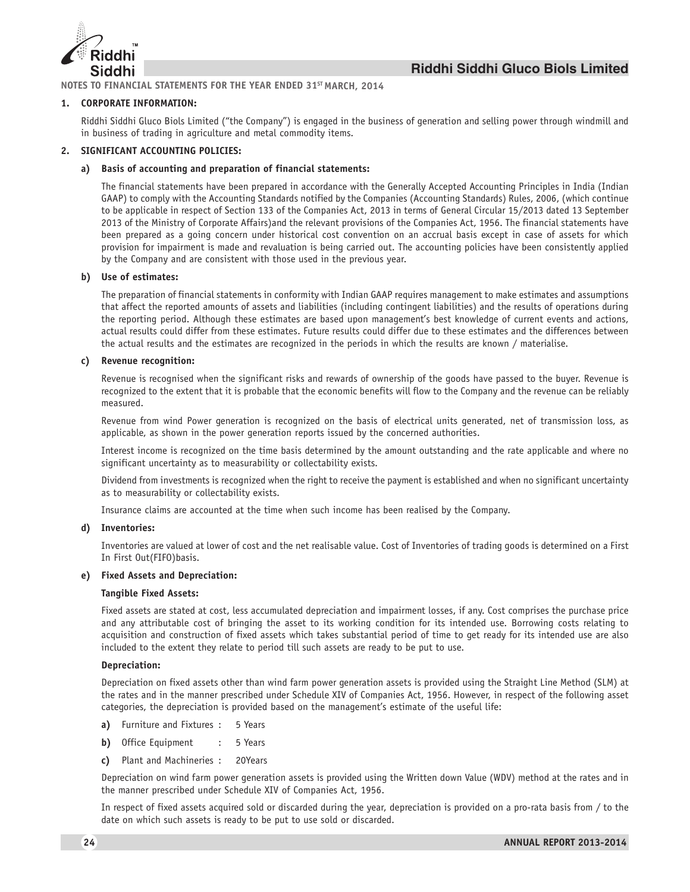

**NOTES TO FINANCIAL STATEMENTS FOR THE YEAR ENDED 31ST MARCH, 2014**

#### **1. CORPORATE INFORMATION:**

Riddhi Siddhi Gluco Biols Limited ("the Company") is engaged in the business of generation and selling power through windmill and in business of trading in agriculture and metal commodity items.

### **2. SIGNIFICANT ACCOUNTING POLICIES:**

#### **a) Basis of accounting and preparation of financial statements:**

The financial statements have been prepared in accordance with the Generally Accepted Accounting Principles in India (Indian GAAP) to comply with the Accounting Standards notified by the Companies (Accounting Standards) Rules, 2006, (which continue to be applicable in respect of Section 133 of the Companies Act, 2013 in terms of General Circular 15/2013 dated 13 September 2013 of the Ministry of Corporate Affairs)and the relevant provisions of the Companies Act, 1956. The financial statements have been prepared as a going concern under historical cost convention on an accrual basis except in case of assets for which provision for impairment is made and revaluation is being carried out. The accounting policies have been consistently applied by the Company and are consistent with those used in the previous year.

#### **b) Use of estimates:**

The preparation of financial statements in conformity with Indian GAAP requires management to make estimates and assumptions that affect the reported amounts of assets and liabilities (including contingent liabilities) and the results of operations during the reporting period. Although these estimates are based upon management's best knowledge of current events and actions, actual results could differ from these estimates. Future results could differ due to these estimates and the differences between the actual results and the estimates are recognized in the periods in which the results are known / materialise.

#### **c) Revenue recognition:**

Revenue is recognised when the significant risks and rewards of ownership of the goods have passed to the buyer. Revenue is recognized to the extent that it is probable that the economic benefits will flow to the Company and the revenue can be reliably measured.

Revenue from wind Power generation is recognized on the basis of electrical units generated, net of transmission loss, as applicable, as shown in the power generation reports issued by the concerned authorities.

Interest income is recognized on the time basis determined by the amount outstanding and the rate applicable and where no significant uncertainty as to measurability or collectability exists.

Dividend from investments is recognized when the right to receive the payment is established and when no significant uncertainty as to measurability or collectability exists.

Insurance claims are accounted at the time when such income has been realised by the Company.

#### **d) Inventories:**

Inventories are valued at lower of cost and the net realisable value. Cost of Inventories of trading goods is determined on a First In First Out(FIFO)basis.

#### **e) Fixed Assets and Depreciation:**

#### **Tangible Fixed Assets:**

Fixed assets are stated at cost, less accumulated depreciation and impairment losses, if any. Cost comprises the purchase price and any attributable cost of bringing the asset to its working condition for its intended use. Borrowing costs relating to acquisition and construction of fixed assets which takes substantial period of time to get ready for its intended use are also included to the extent they relate to period till such assets are ready to be put to use.

#### **Depreciation:**

Depreciation on fixed assets other than wind farm power generation assets is provided using the Straight Line Method (SLM) at the rates and in the manner prescribed under Schedule XIV of Companies Act, 1956. However, in respect of the following asset categories, the depreciation is provided based on the management's estimate of the useful life:

- **a)** Furniture and Fixtures : 5 Years
- **b)** Office Equipment : 5 Years
- **c)** Plant and Machineries : 20Years

Depreciation on wind farm power generation assets is provided using the Written down Value (WDV) method at the rates and in the manner prescribed under Schedule XIV of Companies Act, 1956.

In respect of fixed assets acquired sold or discarded during the year, depreciation is provided on a pro-rata basis from / to the date on which such assets is ready to be put to use sold or discarded.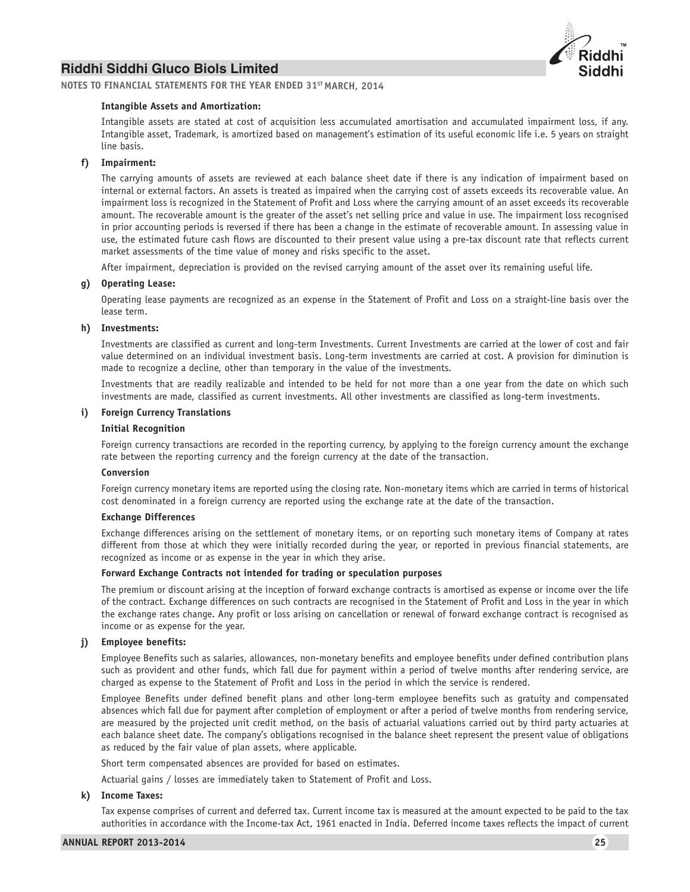

**NOTES TO FINANCIAL STATEMENTS FOR THE YEAR ENDED 31ST MARCH, 2014**

#### **Intangible Assets and Amortization:**

Intangible assets are stated at cost of acquisition less accumulated amortisation and accumulated impairment loss, if any. Intangible asset, Trademark, is amortized based on management's estimation of its useful economic life i.e. 5 years on straight line basis.

#### **f) Impairment:**

The carrying amounts of assets are reviewed at each balance sheet date if there is any indication of impairment based on internal or external factors. An assets is treated as impaired when the carrying cost of assets exceeds its recoverable value. An impairment loss is recognized in the Statement of Profit and Loss where the carrying amount of an asset exceeds its recoverable amount. The recoverable amount is the greater of the asset's net selling price and value in use. The impairment loss recognised in prior accounting periods is reversed if there has been a change in the estimate of recoverable amount. In assessing value in use, the estimated future cash flows are discounted to their present value using a pre-tax discount rate that reflects current market assessments of the time value of money and risks specific to the asset.

After impairment, depreciation is provided on the revised carrying amount of the asset over its remaining useful life.

#### **g) Operating Lease:**

Operating lease payments are recognized as an expense in the Statement of Profit and Loss on a straight-line basis over the lease term.

#### **h) Investments:**

Investments are classified as current and long-term Investments. Current Investments are carried at the lower of cost and fair value determined on an individual investment basis. Long-term investments are carried at cost. A provision for diminution is made to recognize a decline, other than temporary in the value of the investments.

Investments that are readily realizable and intended to be held for not more than a one year from the date on which such investments are made, classified as current investments. All other investments are classified as long-term investments.

#### **i) Foreign Currency Translations**

#### **Initial Recognition**

Foreign currency transactions are recorded in the reporting currency, by applying to the foreign currency amount the exchange rate between the reporting currency and the foreign currency at the date of the transaction.

#### **Conversion**

Foreign currency monetary items are reported using the closing rate. Non-monetary items which are carried in terms of historical cost denominated in a foreign currency are reported using the exchange rate at the date of the transaction.

#### **Exchange Differences**

Exchange differences arising on the settlement of monetary items, or on reporting such monetary items of Company at rates different from those at which they were initially recorded during the year, or reported in previous financial statements, are recognized as income or as expense in the year in which they arise.

#### **Forward Exchange Contracts not intended for trading or speculation purposes**

The premium or discount arising at the inception of forward exchange contracts is amortised as expense or income over the life of the contract. Exchange differences on such contracts are recognised in the Statement of Profit and Loss in the year in which the exchange rates change. Any profit or loss arising on cancellation or renewal of forward exchange contract is recognised as income or as expense for the year.

#### **j) Employee benefits:**

Employee Benefits such as salaries, allowances, non-monetary benefits and employee benefits under defined contribution plans such as provident and other funds, which fall due for payment within a period of twelve months after rendering service, are charged as expense to the Statement of Profit and Loss in the period in which the service is rendered.

Employee Benefits under defined benefit plans and other long-term employee benefits such as gratuity and compensated absences which fall due for payment after completion of employment or after a period of twelve months from rendering service, are measured by the projected unit credit method, on the basis of actuarial valuations carried out by third party actuaries at each balance sheet date. The company's obligations recognised in the balance sheet represent the present value of obligations as reduced by the fair value of plan assets, where applicable.

Short term compensated absences are provided for based on estimates.

Actuarial gains / losses are immediately taken to Statement of Profit and Loss.

#### **k) Income Taxes:**

Tax expense comprises of current and deferred tax. Current income tax is measured at the amount expected to be paid to the tax authorities in accordance with the Income-tax Act, 1961 enacted in India. Deferred income taxes reflects the impact of current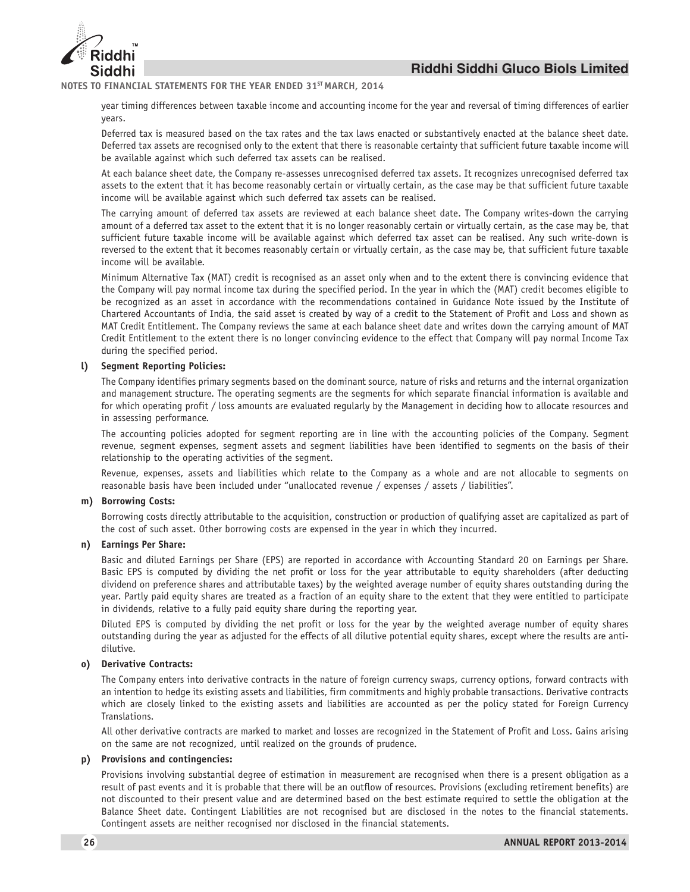

#### **NOTES TO FINANCIAL STATEMENTS FOR THE YEAR ENDED 31ST MARCH, 2014**

year timing differences between taxable income and accounting income for the year and reversal of timing differences of earlier years.

Deferred tax is measured based on the tax rates and the tax laws enacted or substantively enacted at the balance sheet date. Deferred tax assets are recognised only to the extent that there is reasonable certainty that sufficient future taxable income will be available against which such deferred tax assets can be realised.

At each balance sheet date, the Company re-assesses unrecognised deferred tax assets. It recognizes unrecognised deferred tax assets to the extent that it has become reasonably certain or virtually certain, as the case may be that sufficient future taxable income will be available against which such deferred tax assets can be realised.

The carrying amount of deferred tax assets are reviewed at each balance sheet date. The Company writes-down the carrying amount of a deferred tax asset to the extent that it is no longer reasonably certain or virtually certain, as the case may be, that sufficient future taxable income will be available against which deferred tax asset can be realised. Any such write-down is reversed to the extent that it becomes reasonably certain or virtually certain, as the case may be, that sufficient future taxable income will be available.

Minimum Alternative Tax (MAT) credit is recognised as an asset only when and to the extent there is convincing evidence that the Company will pay normal income tax during the specified period. In the year in which the (MAT) credit becomes eligible to be recognized as an asset in accordance with the recommendations contained in Guidance Note issued by the Institute of Chartered Accountants of India, the said asset is created by way of a credit to the Statement of Profit and Loss and shown as MAT Credit Entitlement. The Company reviews the same at each balance sheet date and writes down the carrying amount of MAT Credit Entitlement to the extent there is no longer convincing evidence to the effect that Company will pay normal Income Tax during the specified period.

### **l) Segment Reporting Policies:**

The Company identifies primary segments based on the dominant source, nature of risks and returns and the internal organization and management structure. The operating segments are the segments for which separate financial information is available and for which operating profit / loss amounts are evaluated regularly by the Management in deciding how to allocate resources and in assessing performance.

The accounting policies adopted for segment reporting are in line with the accounting policies of the Company. Segment revenue, segment expenses, segment assets and segment liabilities have been identified to segments on the basis of their relationship to the operating activities of the segment.

Revenue, expenses, assets and liabilities which relate to the Company as a whole and are not allocable to segments on reasonable basis have been included under "unallocated revenue / expenses / assets / liabilities".

#### **m) Borrowing Costs:**

Borrowing costs directly attributable to the acquisition, construction or production of qualifying asset are capitalized as part of the cost of such asset. Other borrowing costs are expensed in the year in which they incurred.

#### **n) Earnings Per Share:**

Basic and diluted Earnings per Share (EPS) are reported in accordance with Accounting Standard 20 on Earnings per Share. Basic EPS is computed by dividing the net profit or loss for the year attributable to equity shareholders (after deducting dividend on preference shares and attributable taxes) by the weighted average number of equity shares outstanding during the year. Partly paid equity shares are treated as a fraction of an equity share to the extent that they were entitled to participate in dividends, relative to a fully paid equity share during the reporting year.

Diluted EPS is computed by dividing the net profit or loss for the year by the weighted average number of equity shares outstanding during the year as adjusted for the effects of all dilutive potential equity shares, except where the results are antidilutive.

#### **o) Derivative Contracts:**

The Company enters into derivative contracts in the nature of foreign currency swaps, currency options, forward contracts with an intention to hedge its existing assets and liabilities, firm commitments and highly probable transactions. Derivative contracts which are closely linked to the existing assets and liabilities are accounted as per the policy stated for Foreign Currency Translations.

All other derivative contracts are marked to market and losses are recognized in the Statement of Profit and Loss. Gains arising on the same are not recognized, until realized on the grounds of prudence.

### **p) Provisions and contingencies:**

Provisions involving substantial degree of estimation in measurement are recognised when there is a present obligation as a result of past events and it is probable that there will be an outflow of resources. Provisions (excluding retirement benefits) are not discounted to their present value and are determined based on the best estimate required to settle the obligation at the Balance Sheet date. Contingent Liabilities are not recognised but are disclosed in the notes to the financial statements. Contingent assets are neither recognised nor disclosed in the financial statements.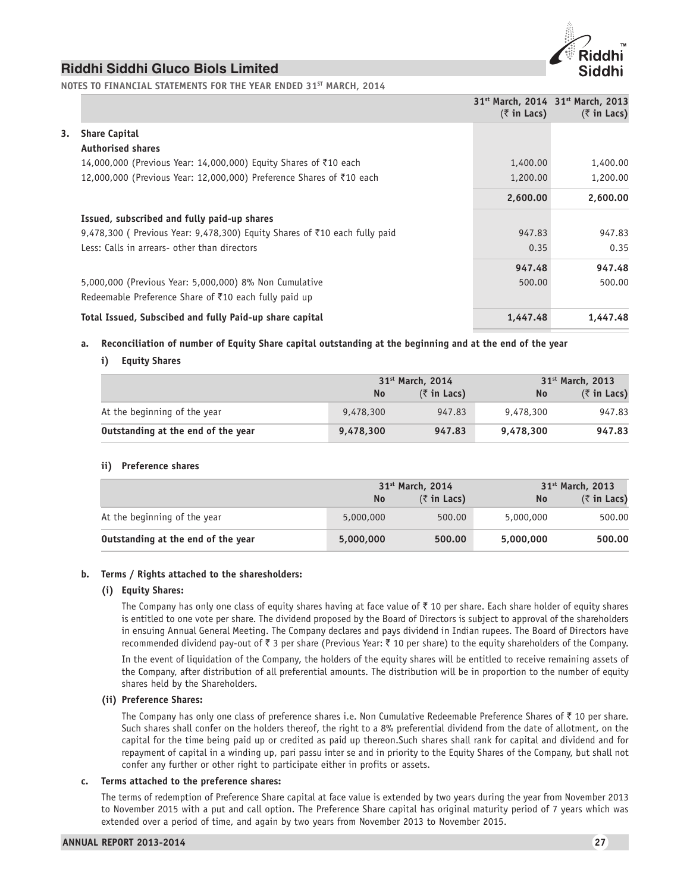

**NOTES TO FINANCIAL STATEMENTS FOR THE YEAR ENDED 31ST MARCH, 2014**

|    |                                                                                       | $(\bar{z}$ in Lacs) | 31st March, 2014 31st March, 2013<br>$(\bar{z}$ in Lacs) |
|----|---------------------------------------------------------------------------------------|---------------------|----------------------------------------------------------|
| 3. | <b>Share Capital</b>                                                                  |                     |                                                          |
|    | <b>Authorised shares</b>                                                              |                     |                                                          |
|    | 14,000,000 (Previous Year: 14,000,000) Equity Shares of ₹10 each                      | 1,400.00            | 1,400.00                                                 |
|    | 12,000,000 (Previous Year: 12,000,000) Preference Shares of ₹10 each                  | 1,200.00            | 1,200.00                                                 |
|    |                                                                                       | 2,600.00            | 2,600.00                                                 |
|    | Issued, subscribed and fully paid-up shares                                           |                     |                                                          |
|    | 9,478,300 (Previous Year: 9,478,300) Equity Shares of $\bar{\tau}$ 10 each fully paid | 947.83              | 947.83                                                   |
|    | Less: Calls in arrears- other than directors                                          | 0.35                | 0.35                                                     |
|    |                                                                                       | 947.48              | 947.48                                                   |
|    | 5,000,000 (Previous Year: 5,000,000) 8% Non Cumulative                                | 500.00              | 500.00                                                   |
|    | Redeemable Preference Share of $\bar{\tau}$ 10 each fully paid up                     |                     |                                                          |
|    | Total Issued, Subscibed and fully Paid-up share capital                               | 1,447.48            | 1,447.48                                                 |

### **a. Reconciliation of number of Equity Share capital outstanding at the beginning and at the end of the year**

# **i) Equity Shares**

|                                    |           | 31 <sup>st</sup> March, 2014 |           | 31 <sup>st</sup> March, 2013       |  |  |
|------------------------------------|-----------|------------------------------|-----------|------------------------------------|--|--|
|                                    | No.       | $(\bar{z}$ in Lacs)          | <b>No</b> | $(5 \in \mathsf{In} \text{ Lacs})$ |  |  |
| At the beginning of the year       | 9,478,300 | 947.83                       | 9,478,300 | 947.83                             |  |  |
| Outstanding at the end of the year | 9,478,300 | 947.83                       | 9,478,300 | 947.83                             |  |  |

### **ii) Preference shares**

|                                    |           | 31 <sup>st</sup> March, 2014 |           | 31 <sup>st</sup> March, 2013       |  |  |
|------------------------------------|-----------|------------------------------|-----------|------------------------------------|--|--|
|                                    | No.       | $(\bar{z}$ in Lacs)          | <b>No</b> | $(5 \in \mathsf{In} \text{ Lacs})$ |  |  |
| At the beginning of the year       | 5,000,000 | 500.00                       | 5,000,000 | 500.00                             |  |  |
| Outstanding at the end of the year | 5,000,000 | 500.00                       | 5,000,000 | 500.00                             |  |  |

### **b. Terms / Rights attached to the sharesholders:**

#### **(i) Equity Shares:**

The Company has only one class of equity shares having at face value of  $\bar{c}$  10 per share. Each share holder of equity shares is entitled to one vote per share. The dividend proposed by the Board of Directors is subject to approval of the shareholders in ensuing Annual General Meeting. The Company declares and pays dividend in Indian rupees. The Board of Directors have recommended dividend pay-out of  $\bar{z}$  3 per share (Previous Year:  $\bar{z}$  10 per share) to the equity shareholders of the Company.

In the event of liquidation of the Company, the holders of the equity shares will be entitled to receive remaining assets of the Company, after distribution of all preferential amounts. The distribution will be in proportion to the number of equity shares held by the Shareholders.

### **(ii) Preference Shares:**

The Company has only one class of preference shares i.e. Non Cumulative Redeemable Preference Shares of  $\bar{\tau}$  10 per share. Such shares shall confer on the holders thereof, the right to a 8% preferential dividend from the date of allotment, on the capital for the time being paid up or credited as paid up thereon.Such shares shall rank for capital and dividend and for repayment of capital in a winding up, pari passu inter se and in priority to the Equity Shares of the Company, but shall not confer any further or other right to participate either in profits or assets.

#### **c. Terms attached to the preference shares:**

The terms of redemption of Preference Share capital at face value is extended by two years during the year from November 2013 to November 2015 with a put and call option. The Preference Share capital has original maturity period of 7 years which was extended over a period of time, and again by two years from November 2013 to November 2015.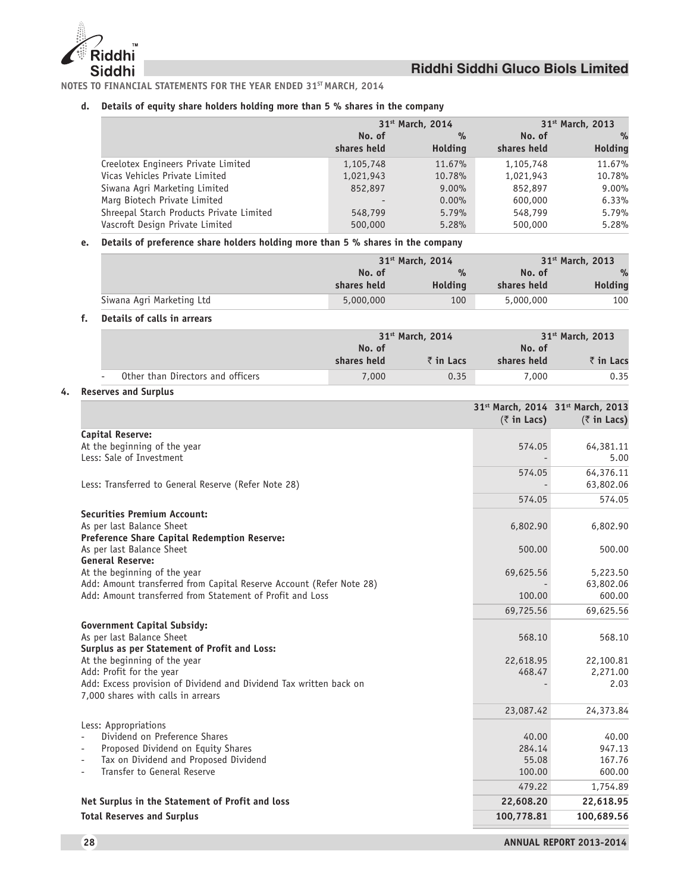

**NOTES TO FINANCIAL STATEMENTS FOR THE YEAR ENDED 31ST MARCH, 2014**

#### **d. Details of equity share holders holding more than 5 % shares in the company**

|                                          |                          | 31 <sup>st</sup> March, 2014 |             | 31 <sup>st</sup> March, 2013 |  |  |
|------------------------------------------|--------------------------|------------------------------|-------------|------------------------------|--|--|
|                                          | No. of                   | %                            | No. of      | $\%$                         |  |  |
|                                          | shares held              | <b>Holding</b>               | shares held | <b>Holding</b>               |  |  |
| Creelotex Engineers Private Limited      | 1,105,748                | 11.67%                       | 1,105,748   | 11.67%                       |  |  |
| Vicas Vehicles Private Limited           | 1,021,943                | 10.78%                       | 1,021,943   | 10.78%                       |  |  |
| Siwana Agri Marketing Limited            | 852,897                  | $9.00\%$                     | 852,897     | $9.00\%$                     |  |  |
| Marg Biotech Private Limited             | $\overline{\phantom{a}}$ | $0.00\%$                     | 600,000     | 6.33%                        |  |  |
| Shreepal Starch Products Private Limited | 548,799                  | 5.79%                        | 548,799     | 5.79%                        |  |  |
| Vascroft Design Private Limited          | 500,000                  | 5.28%                        | 500,000     | 5.28%                        |  |  |

# **e. Details of preference share holders holding more than 5 % shares in the company**

|                           |             | 31 <sup>st</sup> March, 2014 |             | 31 <sup>st</sup> March, 2013 |  |  |
|---------------------------|-------------|------------------------------|-------------|------------------------------|--|--|
|                           | No. of      | $\frac{9}{6}$                | No. of      | $\%$                         |  |  |
|                           | shares held | <b>Holding</b>               | shares held | Holding                      |  |  |
| Siwana Agri Marketing Ltd | 5,000,000   | 100                          | 5,000,000   | 100                          |  |  |

#### **f. Details of calls in arrears**

|                                   |                       | 31 <sup>st</sup> March, 2014 |                                   | 31 <sup>st</sup> March, 2013 |  |  |
|-----------------------------------|-----------------------|------------------------------|-----------------------------------|------------------------------|--|--|
|                                   | No. of<br>shares held | $\bar{z}$ in Lacs            | No. of<br>₹in Lacs<br>shares held |                              |  |  |
| Other than Directors and officers | 7,000                 | 0.35                         | 7,000                             | 0.35                         |  |  |

# **4. Reserves and Surplus**

|                                                                                                          | $(\bar{z}$ in Lacs) | 31 <sup>st</sup> March, 2014 31 <sup>st</sup> March, 2013<br>$(5 \in \mathsf{In} \text{ Lacs})$ |
|----------------------------------------------------------------------------------------------------------|---------------------|-------------------------------------------------------------------------------------------------|
| <b>Capital Reserve:</b>                                                                                  |                     |                                                                                                 |
| At the beginning of the year                                                                             | 574.05              | 64,381.11                                                                                       |
| Less: Sale of Investment                                                                                 |                     | 5.00                                                                                            |
|                                                                                                          | 574.05              | 64,376.11                                                                                       |
| Less: Transferred to General Reserve (Refer Note 28)                                                     |                     | 63,802.06                                                                                       |
|                                                                                                          | 574.05              | 574.05                                                                                          |
| <b>Securities Premium Account:</b>                                                                       |                     |                                                                                                 |
| As per last Balance Sheet                                                                                | 6,802.90            | 6,802.90                                                                                        |
| <b>Preference Share Capital Redemption Reserve:</b>                                                      |                     |                                                                                                 |
| As per last Balance Sheet                                                                                | 500.00              | 500.00                                                                                          |
| <b>General Reserve:</b><br>At the beginning of the year                                                  | 69,625.56           | 5,223.50                                                                                        |
| Add: Amount transferred from Capital Reserve Account (Refer Note 28)                                     |                     | 63,802.06                                                                                       |
| Add: Amount transferred from Statement of Profit and Loss                                                | 100.00              | 600.00                                                                                          |
|                                                                                                          | 69,725.56           | 69,625.56                                                                                       |
| <b>Government Capital Subsidy:</b>                                                                       |                     |                                                                                                 |
| As per last Balance Sheet                                                                                | 568.10              | 568.10                                                                                          |
| Surplus as per Statement of Profit and Loss:                                                             |                     |                                                                                                 |
| At the beginning of the year                                                                             | 22,618.95           | 22,100.81                                                                                       |
| Add: Profit for the year                                                                                 | 468.47              | 2,271.00                                                                                        |
| Add: Excess provision of Dividend and Dividend Tax written back on<br>7,000 shares with calls in arrears |                     | 2.03                                                                                            |
|                                                                                                          | 23,087.42           | 24,373.84                                                                                       |
| Less: Appropriations                                                                                     |                     |                                                                                                 |
| Dividend on Preference Shares                                                                            | 40.00               | 40.00                                                                                           |
| Proposed Dividend on Equity Shares                                                                       | 284.14              | 947.13                                                                                          |
| Tax on Dividend and Proposed Dividend<br>$\overline{\phantom{0}}$                                        | 55.08               | 167.76                                                                                          |
| Transfer to General Reserve                                                                              | 100.00              | 600.00                                                                                          |
|                                                                                                          | 479.22              | 1,754.89                                                                                        |
| Net Surplus in the Statement of Profit and loss                                                          | 22,608.20           | 22,618.95                                                                                       |
| <b>Total Reserves and Surplus</b>                                                                        | 100,778.81          | 100,689.56                                                                                      |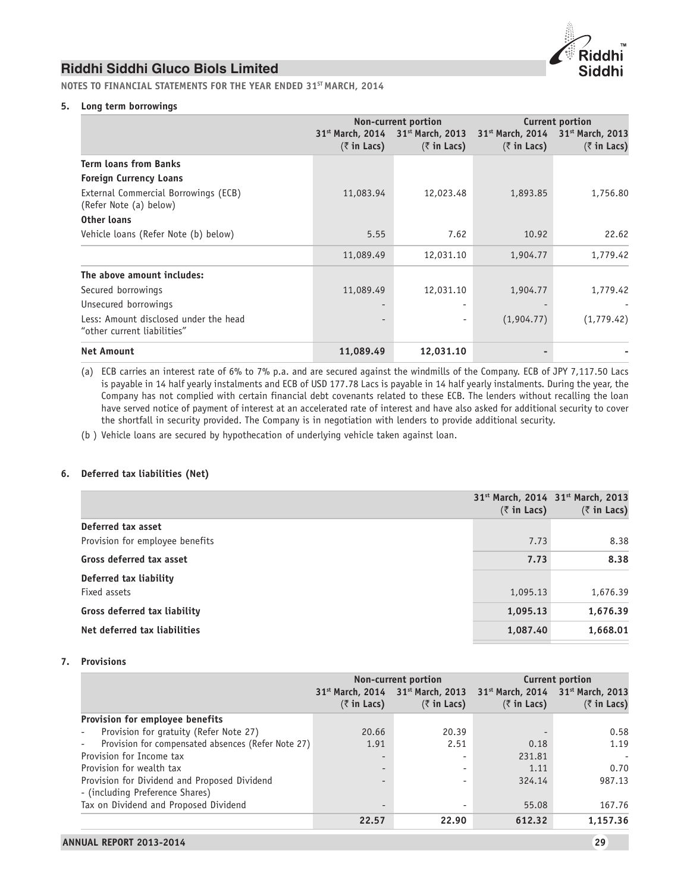

**NOTES TO FINANCIAL STATEMENTS FOR THE YEAR ENDED 31ST MARCH, 2014**

# **5. Long term borrowings**

|                                                                      |                     | Non-current portion                                                              | Current portion     |                                                                                  |  |
|----------------------------------------------------------------------|---------------------|----------------------------------------------------------------------------------|---------------------|----------------------------------------------------------------------------------|--|
|                                                                      | $(\bar{z}$ in Lacs) | 31 <sup>st</sup> March, 2014 31 <sup>st</sup> March, 2013<br>$(\bar{z}$ in Lacs) | $(\bar{z}$ in Lacs) | 31 <sup>st</sup> March, 2014 31 <sup>st</sup> March, 2013<br>$(\bar{z}$ in Lacs) |  |
| <b>Term loans from Banks</b>                                         |                     |                                                                                  |                     |                                                                                  |  |
| <b>Foreign Currency Loans</b>                                        |                     |                                                                                  |                     |                                                                                  |  |
| External Commercial Borrowings (ECB)<br>(Refer Note (a) below)       | 11,083.94           | 12,023.48                                                                        | 1,893.85            | 1,756.80                                                                         |  |
| Other loans                                                          |                     |                                                                                  |                     |                                                                                  |  |
| Vehicle loans (Refer Note (b) below)                                 | 5.55                | 7.62                                                                             | 10.92               | 22.62                                                                            |  |
|                                                                      | 11,089.49           | 12,031.10                                                                        | 1,904.77            | 1,779.42                                                                         |  |
| The above amount includes:                                           |                     |                                                                                  |                     |                                                                                  |  |
| Secured borrowings                                                   | 11,089.49           | 12,031.10                                                                        | 1,904.77            | 1,779.42                                                                         |  |
| Unsecured borrowings                                                 | ٠                   | ۰                                                                                |                     |                                                                                  |  |
| Less: Amount disclosed under the head<br>"other current liabilities" |                     | $\overline{\phantom{a}}$                                                         | (1,904.77)          | (1, 779.42)                                                                      |  |
| <b>Net Amount</b>                                                    | 11,089.49           | 12,031.10                                                                        |                     |                                                                                  |  |

(a) ECB carries an interest rate of 6% to 7% p.a. and are secured against the windmills of the Company. ECB of JPY 7,117.50 Lacs is payable in 14 half yearly instalments and ECB of USD 177.78 Lacs is payable in 14 half yearly instalments. During the year, the Company has not complied with certain financial debt covenants related to these ECB. The lenders without recalling the loan have served notice of payment of interest at an accelerated rate of interest and have also asked for additional security to cover the shortfall in security provided. The Company is in negotiation with lenders to provide additional security.

(b ) Vehicle loans are secured by hypothecation of underlying vehicle taken against loan.

### **6. Deferred tax liabilities (Net)**

| $(\bar{z}$ in Lacs)                      | $(\bar{z}$ in Lacs) |
|------------------------------------------|---------------------|
| Deferred tax asset                       |                     |
| Provision for employee benefits<br>7.73  | 8.38                |
| Gross deferred tax asset<br>7.73         | 8.38                |
| Deferred tax liability                   |                     |
| Fixed assets<br>1,095.13                 | 1,676.39            |
| Gross deferred tax liability<br>1,095.13 | 1,676.39            |
| Net deferred tax liabilities<br>1,087.40 | 1,668.01            |

#### **7. Provisions**

|                                                                                 |                                                     | Non-current portion                       | <b>Current portion</b>                                                           |                     |  |
|---------------------------------------------------------------------------------|-----------------------------------------------------|-------------------------------------------|----------------------------------------------------------------------------------|---------------------|--|
|                                                                                 | 31 <sup>st</sup> March, 2014<br>$(\bar{z}$ in Lacs) | $31st$ March, 2013<br>$(\bar{z}$ in Lacs) | 31 <sup>st</sup> March, 2014 31 <sup>st</sup> March, 2013<br>$(\bar{z}$ in Lacs) | $(\bar{z}$ in Lacs) |  |
| Provision for employee benefits                                                 |                                                     |                                           |                                                                                  |                     |  |
| Provision for gratuity (Refer Note 27)                                          | 20.66                                               | 20.39                                     |                                                                                  | 0.58                |  |
| Provision for compensated absences (Refer Note 27)                              | 1.91                                                | 2.51                                      | 0.18                                                                             | 1.19                |  |
| Provision for Income tax                                                        |                                                     | ۰                                         | 231.81                                                                           |                     |  |
| Provision for wealth tax                                                        |                                                     | ٠                                         | 1.11                                                                             | 0.70                |  |
| Provision for Dividend and Proposed Dividend<br>- (including Preference Shares) | $\overline{\phantom{a}}$                            | ٠                                         | 324.14                                                                           | 987.13              |  |
| Tax on Dividend and Proposed Dividend                                           | $\overline{\phantom{a}}$                            | ٠                                         | 55.08                                                                            | 167.76              |  |
|                                                                                 | 22.57                                               | 22.90                                     | 612.32                                                                           | 1,157.36            |  |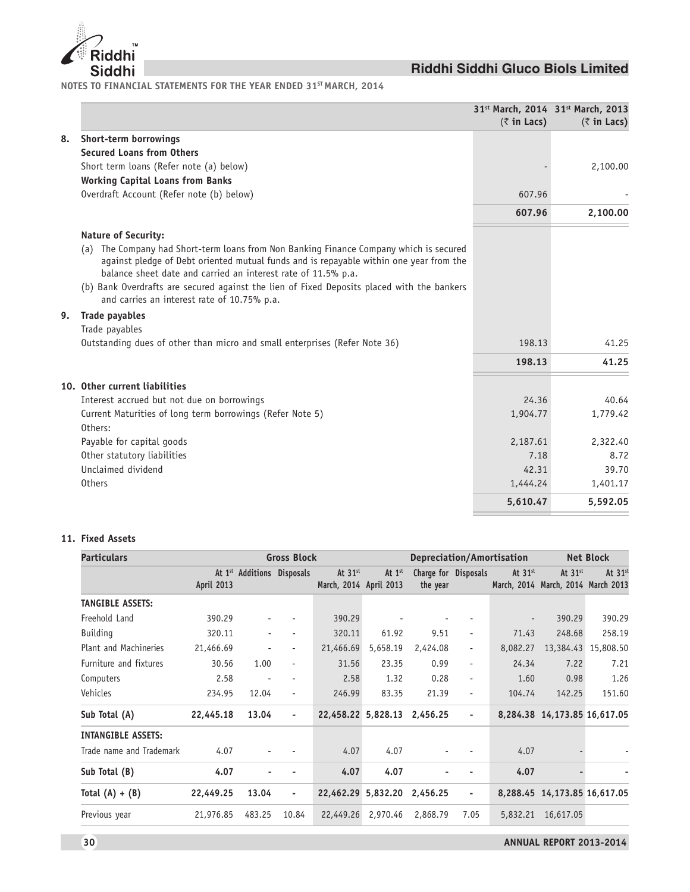

**NOTES TO FINANCIAL STATEMENTS FOR THE YEAR ENDED 31ST MARCH, 2014**

|    |                                                                                                                                                                                                                                                                                                                                                                                                | $(\bar{z}$ in Lacs) | 31 <sup>st</sup> March, 2014 31 <sup>st</sup> March, 2013<br>$(\bar{z}$ in Lacs) |
|----|------------------------------------------------------------------------------------------------------------------------------------------------------------------------------------------------------------------------------------------------------------------------------------------------------------------------------------------------------------------------------------------------|---------------------|----------------------------------------------------------------------------------|
| 8. | Short-term borrowings                                                                                                                                                                                                                                                                                                                                                                          |                     |                                                                                  |
|    | <b>Secured Loans from Others</b>                                                                                                                                                                                                                                                                                                                                                               |                     |                                                                                  |
|    | Short term loans (Refer note (a) below)                                                                                                                                                                                                                                                                                                                                                        |                     | 2,100.00                                                                         |
|    | <b>Working Capital Loans from Banks</b>                                                                                                                                                                                                                                                                                                                                                        |                     |                                                                                  |
|    | Overdraft Account (Refer note (b) below)                                                                                                                                                                                                                                                                                                                                                       | 607.96              |                                                                                  |
|    |                                                                                                                                                                                                                                                                                                                                                                                                | 607.96              | 2,100.00                                                                         |
|    | <b>Nature of Security:</b>                                                                                                                                                                                                                                                                                                                                                                     |                     |                                                                                  |
|    | (a) The Company had Short-term loans from Non Banking Finance Company which is secured<br>against pledge of Debt oriented mutual funds and is repayable within one year from the<br>balance sheet date and carried an interest rate of 11.5% p.a.<br>(b) Bank Overdrafts are secured against the lien of Fixed Deposits placed with the bankers<br>and carries an interest rate of 10.75% p.a. |                     |                                                                                  |
| 9. | <b>Trade payables</b>                                                                                                                                                                                                                                                                                                                                                                          |                     |                                                                                  |
|    | Trade payables                                                                                                                                                                                                                                                                                                                                                                                 |                     |                                                                                  |
|    | Outstanding dues of other than micro and small enterprises (Refer Note 36)                                                                                                                                                                                                                                                                                                                     | 198.13              | 41.25                                                                            |
|    |                                                                                                                                                                                                                                                                                                                                                                                                | 198.13              | 41.25                                                                            |
|    | 10. Other current liabilities                                                                                                                                                                                                                                                                                                                                                                  |                     |                                                                                  |
|    | Interest accrued but not due on borrowings                                                                                                                                                                                                                                                                                                                                                     | 24.36               | 40.64                                                                            |
|    | Current Maturities of long term borrowings (Refer Note 5)                                                                                                                                                                                                                                                                                                                                      | 1,904.77            | 1,779.42                                                                         |
|    | Others:                                                                                                                                                                                                                                                                                                                                                                                        |                     |                                                                                  |
|    | Payable for capital goods                                                                                                                                                                                                                                                                                                                                                                      | 2,187.61            | 2,322.40                                                                         |
|    | Other statutory liabilities                                                                                                                                                                                                                                                                                                                                                                    | 7.18                | 8.72                                                                             |
|    | Unclaimed dividend                                                                                                                                                                                                                                                                                                                                                                             | 42.31               | 39.70                                                                            |
|    | <b>Others</b>                                                                                                                                                                                                                                                                                                                                                                                  | 1,444.24            | 1,401.17                                                                         |
|    |                                                                                                                                                                                                                                                                                                                                                                                                | 5,610.47            | 5,592.05                                                                         |

# **11. Fixed Assets**

| <b>Particulars</b><br><b>Gross Block</b> |            |        |                            |                                     | Depreciation/Amortisation |                                  |                          | <b>Net Block</b>         |                                                 |           |
|------------------------------------------|------------|--------|----------------------------|-------------------------------------|---------------------------|----------------------------------|--------------------------|--------------------------|-------------------------------------------------|-----------|
|                                          | April 2013 |        | At 1st Additions Disposals | At $31st$<br>March, 2014 April 2013 | At 1st                    | Charge for Disposals<br>the year |                          | At $31st$                | At $31st$<br>March, 2014 March, 2014 March 2013 | At $31st$ |
| <b>TANGIBLE ASSETS:</b>                  |            |        |                            |                                     |                           |                                  |                          |                          |                                                 |           |
| Freehold Land                            | 390.29     |        |                            | 390.29                              |                           |                                  |                          | $\overline{\phantom{a}}$ | 390.29                                          | 390.29    |
| <b>Building</b>                          | 320.11     |        |                            | 320.11                              | 61.92                     | 9.51                             | ٠                        | 71.43                    | 248.68                                          | 258.19    |
| Plant and Machineries                    | 21,466.69  |        | ٠                          | 21,466.69                           | 5,658.19                  | 2,424.08                         | $\overline{\phantom{a}}$ | 8,082.27                 | 13,384.43                                       | 15,808.50 |
| Furniture and fixtures                   | 30.56      | 1.00   | $\overline{\phantom{a}}$   | 31.56                               | 23.35                     | 0.99                             | $\blacksquare$           | 24.34                    | 7.22                                            | 7.21      |
| Computers                                | 2.58       |        |                            | 2.58                                | 1.32                      | 0.28                             | ٠                        | 1.60                     | 0.98                                            | 1.26      |
| Vehicles                                 | 234.95     | 12.04  | $\overline{\phantom{a}}$   | 246.99                              | 83.35                     | 21.39                            | ÷                        | 104.74                   | 142.25                                          | 151.60    |
| Sub Total (A)                            | 22,445.18  | 13.04  | $\overline{\phantom{a}}$   | 22,458.22 5,828.13                  |                           | 2,456.25                         | $\overline{\phantom{a}}$ |                          | 8,284.38 14,173.85 16,617.05                    |           |
| <b>INTANGIBLE ASSETS:</b>                |            |        |                            |                                     |                           |                                  |                          |                          |                                                 |           |
| Trade name and Trademark                 | 4.07       |        |                            | 4.07                                | 4.07                      |                                  |                          | 4.07                     |                                                 |           |
| Sub Total (B)                            | 4.07       |        |                            | 4.07                                | 4.07                      |                                  |                          | 4.07                     |                                                 |           |
| Total $(A) + (B)$                        | 22,449.25  | 13.04  | ٠                          | 22,462.29 5,832.20                  |                           | 2,456.25                         | $\overline{\phantom{a}}$ |                          | 8,288.45 14,173.85 16,617.05                    |           |
| Previous year                            | 21,976.85  | 483.25 | 10.84                      | 22,449.26                           | 2,970.46                  | 2,868.79                         | 7.05                     | 5,832.21                 | 16,617.05                                       |           |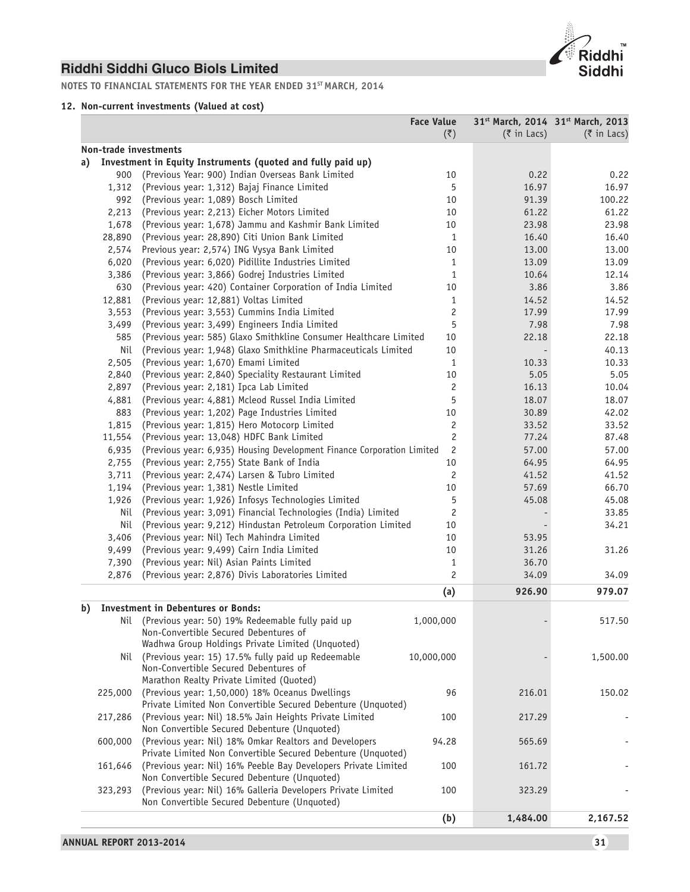

**NOTES TO FINANCIAL STATEMENTS FOR THE YEAR ENDED 31ST MARCH, 2014**

# **12. Non-current investments (Valued at cost)**

|         |                                                                                                                        | <b>Face Value</b><br>$(\overline{\zeta})$ | $(3 \in \mathbb{R})$ in Lacs) | 31st March, 2014 31st March, 2013<br>$(3 \in \mathbb{R})$ in Lacs) |
|---------|------------------------------------------------------------------------------------------------------------------------|-------------------------------------------|-------------------------------|--------------------------------------------------------------------|
|         | Non-trade investments                                                                                                  |                                           |                               |                                                                    |
| a)      | Investment in Equity Instruments (quoted and fully paid up)                                                            |                                           |                               |                                                                    |
| 900     | (Previous Year: 900) Indian Overseas Bank Limited                                                                      | 10                                        | 0.22                          | 0.22                                                               |
| 1,312   | (Previous year: 1,312) Bajaj Finance Limited                                                                           | 5                                         | 16.97                         | 16.97                                                              |
| 992     | (Previous year: 1,089) Bosch Limited                                                                                   | 10                                        | 91.39                         | 100.22                                                             |
| 2,213   | (Previous year: 2,213) Eicher Motors Limited                                                                           | 10                                        | 61.22                         | 61.22                                                              |
| 1,678   | (Previous year: 1,678) Jammu and Kashmir Bank Limited                                                                  | 10                                        | 23.98                         | 23.98                                                              |
| 28,890  | (Previous year: 28,890) Citi Union Bank Limited                                                                        | $\mathbf{1}$                              | 16.40                         | 16.40                                                              |
| 2,574   | Previous year: 2,574) ING Vysya Bank Limited                                                                           | 10                                        | 13.00                         | 13.00                                                              |
| 6,020   | (Previous year: 6,020) Pidillite Industries Limited                                                                    | $\mathbf{1}$                              | 13.09                         | 13.09                                                              |
| 3,386   | (Previous year: 3,866) Godrej Industries Limited                                                                       | $\mathbf{1}$                              | 10.64                         | 12.14                                                              |
| 630     | (Previous year: 420) Container Corporation of India Limited                                                            | 10                                        | 3.86                          | 3.86                                                               |
| 12,881  | (Previous year: 12,881) Voltas Limited                                                                                 | $\mathbf{1}$                              | 14.52                         | 14.52                                                              |
| 3,553   | (Previous year: 3,553) Cummins India Limited                                                                           | $\overline{c}$                            | 17.99                         | 17.99                                                              |
| 3,499   | (Previous year: 3,499) Engineers India Limited                                                                         | 5                                         | 7.98                          | 7.98                                                               |
| 585     | (Previous year: 585) Glaxo Smithkline Consumer Healthcare Limited                                                      | 10                                        | 22.18                         | 22.18                                                              |
| Nil     | (Previous year: 1,948) Glaxo Smithkline Pharmaceuticals Limited                                                        | 10                                        |                               | 40.13                                                              |
| 2,505   | (Previous year: 1,670) Emami Limited                                                                                   | $\mathbf{1}$                              | 10.33                         | 10.33                                                              |
| 2,840   | (Previous year: 2,840) Speciality Restaurant Limited                                                                   | 10                                        | 5.05                          | 5.05                                                               |
| 2,897   | (Previous year: 2,181) Ipca Lab Limited                                                                                | $\overline{c}$                            | 16.13                         | 10.04                                                              |
| 4,881   | (Previous year: 4,881) Mcleod Russel India Limited                                                                     | 5                                         | 18.07                         | 18.07                                                              |
| 883     | (Previous year: 1,202) Page Industries Limited                                                                         | 10                                        | 30.89                         | 42.02                                                              |
| 1,815   | (Previous year: 1,815) Hero Motocorp Limited                                                                           | $\overline{c}$                            | 33.52                         | 33.52                                                              |
| 11,554  | (Previous year: 13,048) HDFC Bank Limited                                                                              | $\overline{c}$                            | 77.24                         | 87.48                                                              |
| 6,935   | (Previous year: 6,935) Housing Development Finance Corporation Limited                                                 | $\overline{c}$                            | 57.00                         | 57.00                                                              |
| 2,755   | (Previous year: 2,755) State Bank of India                                                                             | $10\,$                                    | 64.95                         | 64.95                                                              |
| 3,711   | (Previous year: 2,474) Larsen & Tubro Limited                                                                          | $\overline{c}$                            | 41.52                         | 41.52                                                              |
| 1,194   | (Previous year: 1,381) Nestle Limited                                                                                  | 10                                        | 57.69                         | 66.70                                                              |
| 1,926   | (Previous year: 1,926) Infosys Technologies Limited                                                                    | 5                                         | 45.08                         | 45.08                                                              |
| Nil     | (Previous year: 3,091) Financial Technologies (India) Limited                                                          | 2                                         |                               | 33.85                                                              |
| Nil     | (Previous year: 9,212) Hindustan Petroleum Corporation Limited                                                         | 10                                        |                               | 34.21                                                              |
| 3,406   | (Previous year: Nil) Tech Mahindra Limited                                                                             | 10                                        | 53.95                         |                                                                    |
| 9,499   | (Previous year: 9,499) Cairn India Limited                                                                             | 10                                        | 31.26                         | 31.26                                                              |
| 7,390   | (Previous year: Nil) Asian Paints Limited                                                                              | $\mathbf{1}$                              | 36.70                         |                                                                    |
| 2,876   | (Previous year: 2,876) Divis Laboratories Limited                                                                      | $\overline{c}$                            | 34.09                         | 34.09                                                              |
|         |                                                                                                                        | (a)                                       | 926.90                        | 979.07                                                             |
|         | <b>Investment in Debentures or Bonds:</b>                                                                              |                                           |                               |                                                                    |
|         | Nil (Previous year: 50) 19% Redeemable fully paid up                                                                   | 1,000,000                                 |                               | 517.50                                                             |
|         | Non-Convertible Secured Debentures of                                                                                  |                                           |                               |                                                                    |
|         | Wadhwa Group Holdings Private Limited (Unquoted)                                                                       |                                           |                               |                                                                    |
|         | Nil (Previous year: 15) 17.5% fully paid up Redeemable                                                                 | 10,000,000                                |                               | 1,500.00                                                           |
|         | Non-Convertible Secured Debentures of                                                                                  |                                           |                               |                                                                    |
|         | Marathon Realty Private Limited (Quoted)                                                                               |                                           |                               |                                                                    |
| 225,000 | (Previous year: 1,50,000) 18% Oceanus Dwellings                                                                        | 96                                        | 216.01                        | 150.02                                                             |
|         | Private Limited Non Convertible Secured Debenture (Unquoted)                                                           |                                           |                               |                                                                    |
| 217,286 | (Previous year: Nil) 18.5% Jain Heights Private Limited<br>Non Convertible Secured Debenture (Unquoted)                | 100                                       | 217.29                        |                                                                    |
| 600,000 | (Previous year: Nil) 18% Omkar Realtors and Developers<br>Private Limited Non Convertible Secured Debenture (Unquoted) | 94.28                                     | 565.69                        |                                                                    |
| 161,646 | (Previous year: Nil) 16% Peeble Bay Developers Private Limited<br>Non Convertible Secured Debenture (Unquoted)         | 100                                       | 161.72                        |                                                                    |
| 323,293 | (Previous year: Nil) 16% Galleria Developers Private Limited<br>Non Convertible Secured Debenture (Unquoted)           | 100                                       | 323.29                        |                                                                    |
|         |                                                                                                                        |                                           | 1,484.00                      | 2,167.52                                                           |
|         |                                                                                                                        | (b)                                       |                               |                                                                    |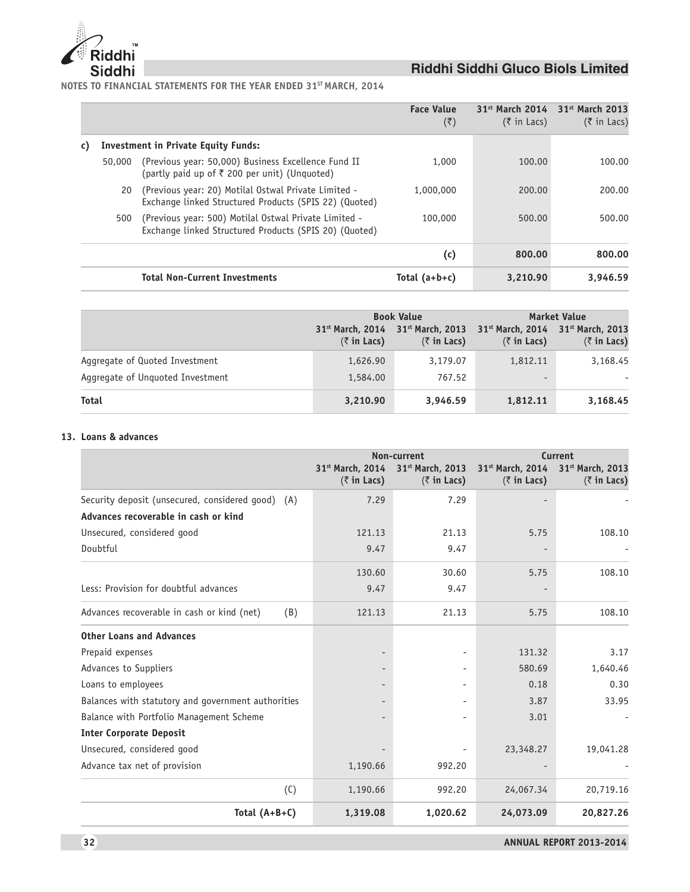

**NOTES TO FINANCIAL STATEMENTS FOR THE YEAR ENDED 31ST MARCH, 2014**

|    |        |                                                                                                                 | <b>Face Value</b><br>$(\overline{\zeta})$ | $31st$ March 2014<br>$(5 \in \mathsf{In}$ Lacs) | $31st$ March 2013<br>$(\bar{\tau}$ in Lacs) |
|----|--------|-----------------------------------------------------------------------------------------------------------------|-------------------------------------------|-------------------------------------------------|---------------------------------------------|
| C) |        | <b>Investment in Private Equity Funds:</b>                                                                      |                                           |                                                 |                                             |
|    | 50,000 | (Previous year: 50,000) Business Excellence Fund II<br>(partly paid up of ₹ 200 per unit) (Unquoted)            | 1,000                                     | 100.00                                          | 100.00                                      |
|    | 20     | (Previous year: 20) Motilal Ostwal Private Limited -<br>Exchange linked Structured Products (SPIS 22) (Quoted)  | 1,000,000                                 | 200.00                                          | 200.00                                      |
|    | 500    | (Previous year: 500) Motilal Ostwal Private Limited -<br>Exchange linked Structured Products (SPIS 20) (Quoted) | 100,000                                   | 500.00                                          | 500.00                                      |
|    |        |                                                                                                                 | (c)                                       | 800.00                                          | 800.00                                      |
|    |        | <b>Total Non-Current Investments</b>                                                                            | Total $(a+b+c)$                           | 3,210.90                                        | 3.946.59                                    |

|                                  |                                                                    | <b>Book Value</b>                         | <b>Market Value</b>                                                                             |                     |  |
|----------------------------------|--------------------------------------------------------------------|-------------------------------------------|-------------------------------------------------------------------------------------------------|---------------------|--|
|                                  | 31 <sup>st</sup> March, 2014<br>$(5 \in \mathsf{In} \text{ Lacs})$ | $31st$ March, 2013<br>$(\bar{z}$ in Lacs) | 31 <sup>st</sup> March, 2014 31 <sup>st</sup> March, 2013<br>$(5 \in \mathsf{In} \text{ Lacs})$ | $(\bar{z}$ in Lacs) |  |
| Aggregate of Quoted Investment   | 1,626.90                                                           | 3,179.07                                  | 1,812.11                                                                                        | 3,168.45            |  |
| Aggregate of Unguoted Investment | 1,584.00                                                           | 767.52                                    | $\overline{\phantom{0}}$                                                                        |                     |  |
| Total                            | 3,210.90                                                           | 3.946.59                                  | 1,812.11                                                                                        | 3,168.45            |  |

### **13. Loans & advances**

|                                                    |                                                        | Non-current                                         |                                                     | Current                                 |  |
|----------------------------------------------------|--------------------------------------------------------|-----------------------------------------------------|-----------------------------------------------------|-----------------------------------------|--|
|                                                    | 31st March, 2014<br>$(5 \in \mathsf{In} \text{ Lacs})$ | 31 <sup>st</sup> March, 2013<br>$(\bar{z}$ in Lacs) | 31 <sup>st</sup> March, 2014<br>$(\bar{z}$ in Lacs) | 31st March, 2013<br>$(\bar{z}$ in Lacs) |  |
| Security deposit (unsecured, considered good) (A)  | 7.29                                                   | 7.29                                                |                                                     |                                         |  |
| Advances recoverable in cash or kind               |                                                        |                                                     |                                                     |                                         |  |
| Unsecured, considered good                         | 121.13                                                 | 21.13                                               | 5.75                                                | 108.10                                  |  |
| Doubtful                                           | 9.47                                                   | 9.47                                                |                                                     |                                         |  |
|                                                    | 130.60                                                 | 30.60                                               | 5.75                                                | 108.10                                  |  |
| Less: Provision for doubtful advances              | 9.47                                                   | 9.47                                                |                                                     |                                         |  |
| Advances recoverable in cash or kind (net)<br>(B)  | 121.13                                                 | 21.13                                               | 5.75                                                | 108.10                                  |  |
| <b>Other Loans and Advances</b>                    |                                                        |                                                     |                                                     |                                         |  |
| Prepaid expenses                                   |                                                        | ٠                                                   | 131.32                                              | 3.17                                    |  |
| Advances to Suppliers                              |                                                        | $\overline{\phantom{a}}$                            | 580.69                                              | 1,640.46                                |  |
| Loans to employees                                 |                                                        |                                                     | 0.18                                                | 0.30                                    |  |
| Balances with statutory and government authorities |                                                        | $\overline{\phantom{a}}$                            | 3.87                                                | 33.95                                   |  |
| Balance with Portfolio Management Scheme           |                                                        | $\overline{\phantom{a}}$                            | 3.01                                                |                                         |  |
| <b>Inter Corporate Deposit</b>                     |                                                        |                                                     |                                                     |                                         |  |
| Unsecured, considered good                         |                                                        |                                                     | 23,348.27                                           | 19,041.28                               |  |
| Advance tax net of provision                       | 1,190.66                                               | 992.20                                              |                                                     |                                         |  |
| (C)                                                | 1,190.66                                               | 992.20                                              | 24,067.34                                           | 20,719.16                               |  |
| Total $(A+B+C)$                                    | 1,319.08                                               | 1,020.62                                            | 24,073.09                                           | 20,827.26                               |  |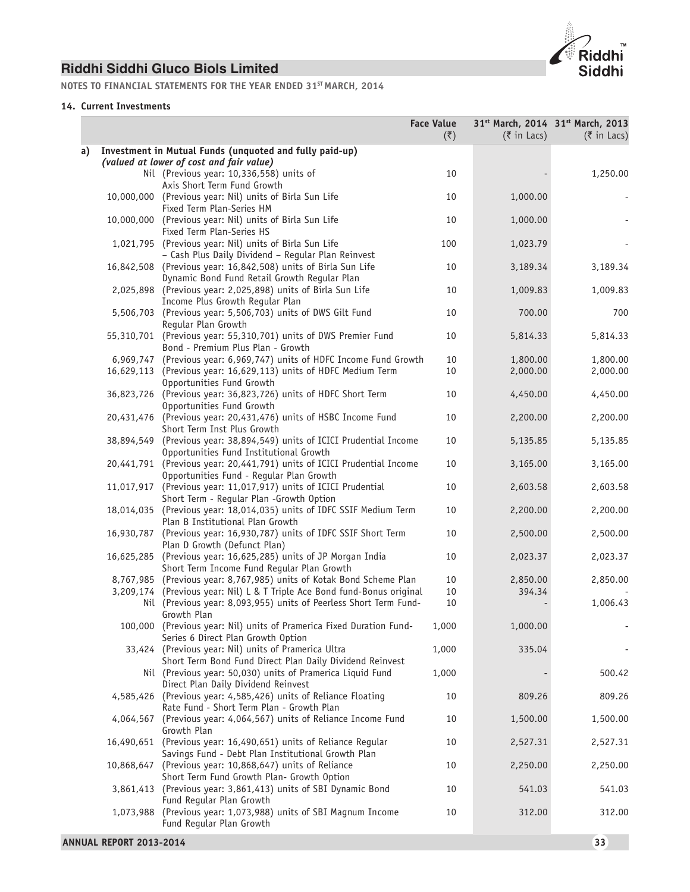

**NOTES TO FINANCIAL STATEMENTS FOR THE YEAR ENDED 31ST MARCH, 2014**

### **14. Current Investments**

|    |           |                                                                                                                        | <b>Face Value</b><br>(5) | $(3 \in \mathbb{R})$ in Lacs) | 31 <sup>st</sup> March, 2014 31 <sup>st</sup> March, 2013<br>$(3 \in \mathbb{R})$ in Lacs) |
|----|-----------|------------------------------------------------------------------------------------------------------------------------|--------------------------|-------------------------------|--------------------------------------------------------------------------------------------|
| a) |           | Investment in Mutual Funds (unquoted and fully paid-up)<br>(valued at lower of cost and fair value)                    |                          |                               |                                                                                            |
|    |           | Nil (Previous year: 10,336,558) units of<br>Axis Short Term Fund Growth                                                | 10                       |                               | 1,250.00                                                                                   |
|    |           | 10,000,000 (Previous year: Nil) units of Birla Sun Life<br>Fixed Term Plan-Series HM                                   | 10                       | 1,000.00                      |                                                                                            |
|    |           | 10,000,000 (Previous year: Nil) units of Birla Sun Life<br>Fixed Term Plan-Series HS                                   | 10                       | 1,000.00                      |                                                                                            |
|    |           | 1,021,795 (Previous year: Nil) units of Birla Sun Life<br>- Cash Plus Daily Dividend - Regular Plan Reinvest           | 100                      | 1,023.79                      |                                                                                            |
|    |           | 16,842,508 (Previous year: 16,842,508) units of Birla Sun Life<br>Dynamic Bond Fund Retail Growth Regular Plan         | 10                       | 3,189.34                      | 3,189.34                                                                                   |
|    |           | 2,025,898 (Previous year: 2,025,898) units of Birla Sun Life<br>Income Plus Growth Regular Plan                        | 10                       | 1,009.83                      | 1,009.83                                                                                   |
|    |           | 5,506,703 (Previous year: 5,506,703) units of DWS Gilt Fund<br>Regular Plan Growth                                     | 10                       | 700.00                        | 700                                                                                        |
|    |           | 55,310,701 (Previous year: 55,310,701) units of DWS Premier Fund<br>Bond - Premium Plus Plan - Growth                  | 10                       | 5,814.33                      | 5,814.33                                                                                   |
|    |           | 6,969,747 (Previous year: 6,969,747) units of HDFC Income Fund Growth                                                  | 10                       | 1,800.00                      | 1,800.00                                                                                   |
|    |           | 16,629,113 (Previous year: 16,629,113) units of HDFC Medium Term<br>Opportunities Fund Growth                          | 10                       | 2,000.00                      | 2,000.00                                                                                   |
|    |           | 36,823,726 (Previous year: 36,823,726) units of HDFC Short Term<br>Opportunities Fund Growth                           | 10                       | 4,450.00                      | 4,450.00                                                                                   |
|    |           | 20,431,476 (Previous year: 20,431,476) units of HSBC Income Fund<br>Short Term Inst Plus Growth                        | 10                       | 2,200.00                      | 2,200.00                                                                                   |
|    |           | 38,894,549 (Previous year: 38,894,549) units of ICICI Prudential Income<br>Opportunities Fund Institutional Growth     | 10                       | 5,135.85                      | 5,135.85                                                                                   |
|    |           | 20,441,791 (Previous year: 20,441,791) units of ICICI Prudential Income<br>Opportunities Fund - Regular Plan Growth    | 10                       | 3,165.00                      | 3,165.00                                                                                   |
|    |           | 11,017,917 (Previous year: 11,017,917) units of ICICI Prudential<br>Short Term - Regular Plan -Growth Option           | 10                       | 2,603.58                      | 2,603.58                                                                                   |
|    |           | 18,014,035 (Previous year: 18,014,035) units of IDFC SSIF Medium Term<br>Plan B Institutional Plan Growth              | 10                       | 2,200.00                      | 2,200.00                                                                                   |
|    |           | 16,930,787 (Previous year: 16,930,787) units of IDFC SSIF Short Term<br>Plan D Growth (Defunct Plan)                   | 10                       | 2,500.00                      | 2,500.00                                                                                   |
|    |           | 16,625,285 (Previous year: 16,625,285) units of JP Morgan India<br>Short Term Income Fund Reqular Plan Growth          | 10                       | 2,023.37                      | 2,023.37                                                                                   |
|    |           | 8,767,985 (Previous year: 8,767,985) units of Kotak Bond Scheme Plan                                                   | 10                       | 2,850.00                      | 2,850.00                                                                                   |
|    |           | 3,209,174 (Previous year: Nil) L & T Triple Ace Bond fund-Bonus original                                               | 10                       | 394.34                        |                                                                                            |
|    |           | Nil (Previous year: 8,093,955) units of Peerless Short Term Fund-<br>Growth Plan                                       | 10                       |                               | 1,006.43                                                                                   |
|    |           | 100,000 (Previous year: Nil) units of Pramerica Fixed Duration Fund-<br>Series 6 Direct Plan Growth Option             | 1,000                    | 1,000.00                      |                                                                                            |
|    |           | 33,424 (Previous year: Nil) units of Pramerica Ultra<br>Short Term Bond Fund Direct Plan Daily Dividend Reinvest       | 1,000                    | 335.04                        |                                                                                            |
|    |           | Nil (Previous year: 50,030) units of Pramerica Liquid Fund<br>Direct Plan Daily Dividend Reinvest                      | 1,000                    |                               | 500.42                                                                                     |
|    |           | 4,585,426 (Previous year: 4,585,426) units of Reliance Floating<br>Rate Fund - Short Term Plan - Growth Plan           | 10                       | 809.26                        | 809.26                                                                                     |
|    |           | 4,064,567 (Previous year: 4,064,567) units of Reliance Income Fund<br>Growth Plan                                      | 10                       | 1,500.00                      | 1,500.00                                                                                   |
|    |           | 16,490,651 (Previous year: 16,490,651) units of Reliance Regular<br>Savings Fund - Debt Plan Institutional Growth Plan | 10                       | 2,527.31                      | 2,527.31                                                                                   |
|    |           | 10,868,647 (Previous year: 10,868,647) units of Reliance<br>Short Term Fund Growth Plan- Growth Option                 | 10                       | 2,250.00                      | 2,250.00                                                                                   |
|    |           | 3,861,413 (Previous year: 3,861,413) units of SBI Dynamic Bond<br>Fund Regular Plan Growth                             | 10                       | 541.03                        | 541.03                                                                                     |
|    | 1,073,988 | (Previous year: 1,073,988) units of SBI Magnum Income<br>Fund Regular Plan Growth                                      | 10                       | 312.00                        | 312.00                                                                                     |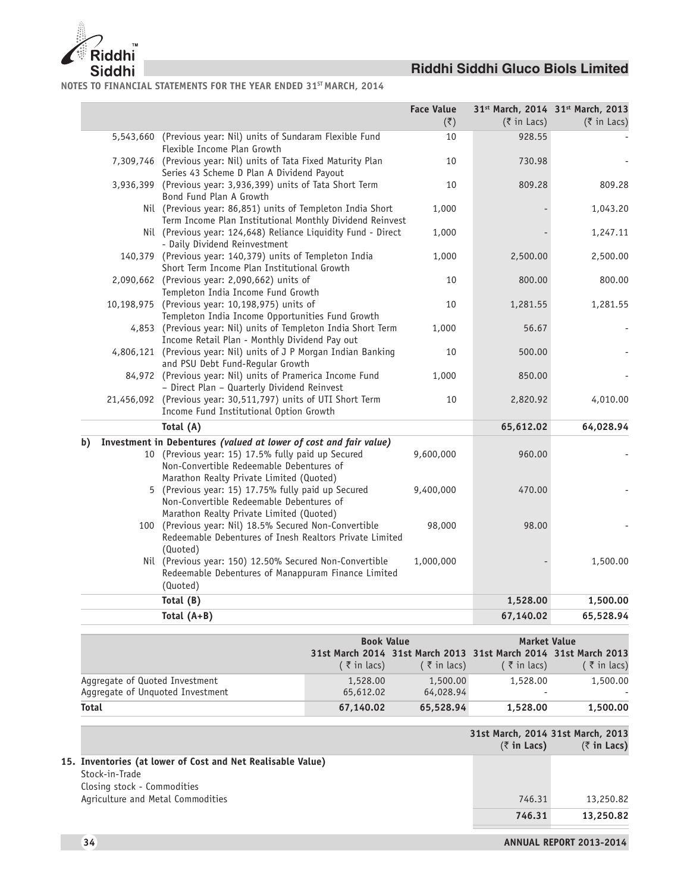

**NOTES TO FINANCIAL STATEMENTS FOR THE YEAR ENDED 31ST MARCH, 2014**

|    |                                                                                                                                                                                                                 | <b>Face Value</b><br>$(\overline{\zeta})$ | $(3\overline{5})$ in Lacs) | 31st March, 2014 31st March, 2013<br>$(3 \times 1)$ acs) |
|----|-----------------------------------------------------------------------------------------------------------------------------------------------------------------------------------------------------------------|-------------------------------------------|----------------------------|----------------------------------------------------------|
|    | 5,543,660 (Previous year: Nil) units of Sundaram Flexible Fund<br>Flexible Income Plan Growth                                                                                                                   | 10                                        | 928.55                     |                                                          |
|    | 7,309,746 (Previous year: Nil) units of Tata Fixed Maturity Plan<br>Series 43 Scheme D Plan A Dividend Payout                                                                                                   | 10                                        | 730.98                     |                                                          |
|    | 3,936,399 (Previous year: 3,936,399) units of Tata Short Term<br>Bond Fund Plan A Growth                                                                                                                        | 10                                        | 809.28                     | 809.28                                                   |
|    | Nil (Previous year: 86,851) units of Templeton India Short<br>Term Income Plan Institutional Monthly Dividend Reinvest                                                                                          | 1,000                                     |                            | 1,043.20                                                 |
|    | Nil (Previous year: 124,648) Reliance Liquidity Fund - Direct<br>- Daily Dividend Reinvestment                                                                                                                  | 1,000                                     |                            | 1,247.11                                                 |
|    | 140,379 (Previous year: 140,379) units of Templeton India<br>Short Term Income Plan Institutional Growth                                                                                                        | 1,000                                     | 2,500.00                   | 2,500.00                                                 |
|    | 2,090,662 (Previous year: 2,090,662) units of<br>Templeton India Income Fund Growth                                                                                                                             | 10                                        | 800.00                     | 800.00                                                   |
|    | 10,198,975 (Previous year: 10,198,975) units of<br>Templeton India Income Opportunities Fund Growth                                                                                                             | 10                                        | 1,281.55                   | 1,281.55                                                 |
|    | 4,853 (Previous year: Nil) units of Templeton India Short Term<br>Income Retail Plan - Monthly Dividend Pay out<br>4,806,121 (Previous year: Nil) units of J P Morgan Indian Banking                            | 1,000<br>10                               | 56.67<br>500.00            |                                                          |
|    | and PSU Debt Fund-Regular Growth<br>84,972 (Previous year: Nil) units of Pramerica Income Fund                                                                                                                  | 1,000                                     | 850.00                     |                                                          |
|    | - Direct Plan - Quarterly Dividend Reinvest<br>21,456,092 (Previous year: 30,511,797) units of UTI Short Term                                                                                                   | 10                                        | 2,820.92                   | 4,010.00                                                 |
|    | Income Fund Institutional Option Growth<br>Total (A)                                                                                                                                                            |                                           | 65,612.02                  | 64,028.94                                                |
|    |                                                                                                                                                                                                                 |                                           |                            |                                                          |
| b) | Investment in Debentures (valued at lower of cost and fair value)<br>10 (Previous year: 15) 17.5% fully paid up Secured<br>Non-Convertible Redeemable Debentures of<br>Marathon Realty Private Limited (Quoted) | 9,600,000                                 | 960.00                     |                                                          |
|    | 5 (Previous year: 15) 17.75% fully paid up Secured<br>Non-Convertible Redeemable Debentures of<br>Marathon Realty Private Limited (Quoted)                                                                      | 9,400,000                                 | 470.00                     |                                                          |
|    | 100 (Previous year: Nil) 18.5% Secured Non-Convertible<br>Redeemable Debentures of Inesh Realtors Private Limited<br>(Quoted)                                                                                   | 98,000                                    | 98.00                      |                                                          |
|    | Nil (Previous year: 150) 12.50% Secured Non-Convertible<br>Redeemable Debentures of Manappuram Finance Limited<br>(Quoted)                                                                                      | 1,000,000                                 |                            | 1,500.00                                                 |
|    | Total (B)                                                                                                                                                                                                       |                                           | 1,528.00                   | 1,500.00                                                 |
|    | Total $(A+B)$                                                                                                                                                                                                   |                                           | 67,140.02                  | 65,528.94                                                |
|    |                                                                                                                                                                                                                 |                                           |                            |                                                          |

|                                  | <b>Book Value</b>      |                                                                 | <b>Market Value</b>      |                             |
|----------------------------------|------------------------|-----------------------------------------------------------------|--------------------------|-----------------------------|
|                                  |                        | 31st March 2014 31st March 2013 31st March 2014 31st March 2013 |                          |                             |
|                                  | $($ $\bar{z}$ in lacs) | $($ $\bar{z}$ in lacs)                                          | $($ $\bar{z}$ in lacs)   | $($ $\overline{z}$ in lacs) |
| Aggregate of Quoted Investment   | 1,528.00               | 1,500.00                                                        | 1,528.00                 | 1,500.00                    |
| Aggregate of Unguoted Investment | 65,612.02              | 64,028.94                                                       | $\overline{\phantom{a}}$ |                             |
| <b>Total</b>                     | 67.140.02              | 65,528.94                                                       | 1,528.00                 | 1,500.00                    |

|                                                             | $(5 \in \mathsf{In} \text{ Lacs})$ | 31st March, 2014 31st March, 2013<br>$(5 \in \mathsf{In} \text{ Lacs})$ |
|-------------------------------------------------------------|------------------------------------|-------------------------------------------------------------------------|
| 15. Inventories (at lower of Cost and Net Realisable Value) |                                    |                                                                         |
| Stock-in-Trade                                              |                                    |                                                                         |
| Closing stock - Commodities                                 |                                    |                                                                         |
| Agriculture and Metal Commodities                           | 746.31                             | 13,250.82                                                               |
|                                                             | 746.31                             | 13,250.82                                                               |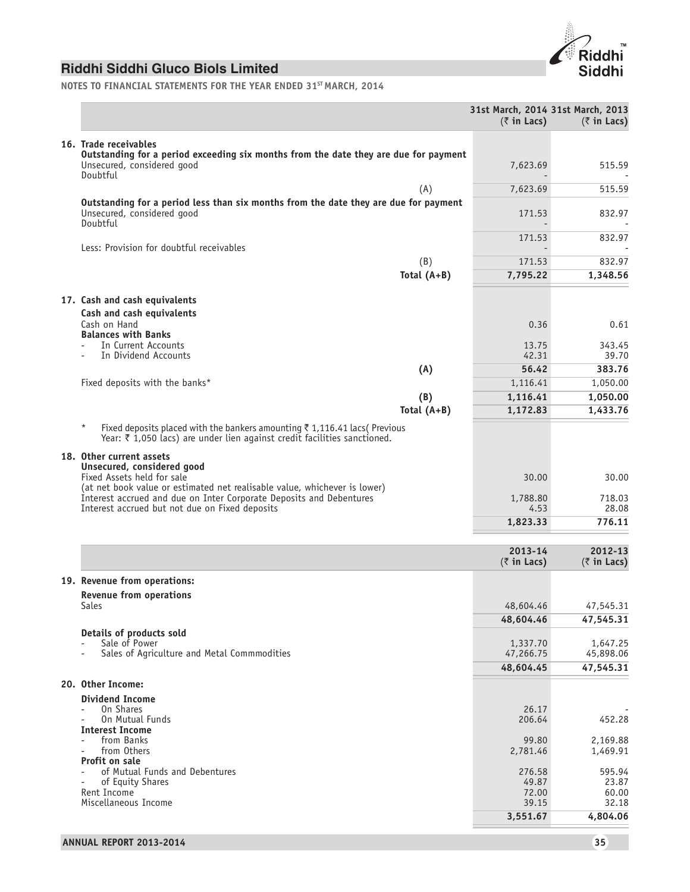

**NOTES TO FINANCIAL STATEMENTS FOR THE YEAR ENDED 31ST MARCH, 2014**

|                                                                                                                                                                                     | 31st March, 2014 31st March, 2013 |                        |
|-------------------------------------------------------------------------------------------------------------------------------------------------------------------------------------|-----------------------------------|------------------------|
|                                                                                                                                                                                     | $(\bar{z}$ in Lacs)               | $(\bar{z}$ in Lacs)    |
| 16. Trade receivables                                                                                                                                                               |                                   |                        |
| Outstanding for a period exceeding six months from the date they are due for payment<br>Unsecured, considered good                                                                  | 7,623.69                          | 515.59                 |
| Doubtful<br>(A)                                                                                                                                                                     | 7,623.69                          | 515.59                 |
| Outstanding for a period less than six months from the date they are due for payment                                                                                                |                                   |                        |
| Unsecured, considered good<br>Doubtful                                                                                                                                              | 171.53                            | 832.97                 |
| Less: Provision for doubtful receivables                                                                                                                                            | 171.53                            | 832.97                 |
| (B)                                                                                                                                                                                 | 171.53                            | 832.97                 |
| Total $(A+B)$                                                                                                                                                                       | 7,795.22                          | 1,348.56               |
| 17. Cash and cash equivalents                                                                                                                                                       |                                   |                        |
| Cash and cash equivalents                                                                                                                                                           |                                   |                        |
| Cash on Hand<br><b>Balances with Banks</b>                                                                                                                                          | 0.36                              | 0.61                   |
| In Current Accounts                                                                                                                                                                 | 13.75                             | 343.45                 |
| In Dividend Accounts                                                                                                                                                                | 42.31                             | 39.70                  |
| (A)                                                                                                                                                                                 | 56.42                             | 383.76                 |
| Fixed deposits with the banks*                                                                                                                                                      | 1,116.41                          | 1,050.00               |
| (B)<br>Total $(A+B)$                                                                                                                                                                | 1,116.41                          | 1,050.00<br>1,433.76   |
|                                                                                                                                                                                     | 1,172.83                          |                        |
| $\star$<br>Fixed deposits placed with the bankers amounting $\bar{z}$ 1,116.41 lacs(Previous<br>Year: $\bar{\tau}$ 1,050 lacs) are under lien against credit facilities sanctioned. |                                   |                        |
| 18. Other current assets                                                                                                                                                            |                                   |                        |
| Unsecured, considered good<br>Fixed Assets held for sale<br>(at net book value or estimated net realisable value, whichever is lower)                                               | 30.00                             | 30.00                  |
| Interest accrued and due on Inter Corporate Deposits and Debentures<br>Interest accrued but not due on Fixed deposits                                                               | 1,788.80<br>4.53                  | 718.03<br>28.08        |
|                                                                                                                                                                                     | 1,823.33                          | 776.11                 |
|                                                                                                                                                                                     |                                   |                        |
|                                                                                                                                                                                     | 2013-14                           | 2012-13                |
|                                                                                                                                                                                     | $(\bar{z}$ in Lacs)               | $(\bar{z}$ in Lacs)    |
| 19. Revenue from operations:                                                                                                                                                        |                                   |                        |
| <b>Revenue from operations</b><br><b>Sales</b>                                                                                                                                      | 48,604.46                         | 47,545.31              |
|                                                                                                                                                                                     | 48,604.46                         | 47,545.31              |
| Details of products sold                                                                                                                                                            |                                   |                        |
| Sale of Power                                                                                                                                                                       | 1,337.70                          | 1,647.25               |
| Sales of Agriculture and Metal Commmodities                                                                                                                                         | 47,266.75<br>48,604.45            | 45,898.06<br>47,545.31 |
|                                                                                                                                                                                     |                                   |                        |
| 20. Other Income:                                                                                                                                                                   |                                   |                        |
| <b>Dividend Income</b><br>On Shares                                                                                                                                                 | 26.17                             |                        |
| On Mutual Funds                                                                                                                                                                     | 206.64                            | 452.28                 |
| <b>Interest Income</b><br>from Banks                                                                                                                                                | 99.80                             | 2,169.88               |
| from Others                                                                                                                                                                         | 2,781.46                          | 1,469.91               |
| Profit on sale<br>of Mutual Funds and Debentures                                                                                                                                    | 276.58                            | 595.94                 |
| of Equity Shares                                                                                                                                                                    | 49.87                             | 23.87                  |
| Rent Income<br>Miscellaneous Income                                                                                                                                                 | 72.00<br>39.15                    | 60.00<br>32.18         |
|                                                                                                                                                                                     | 3,551.67                          | 4,804.06               |
|                                                                                                                                                                                     |                                   |                        |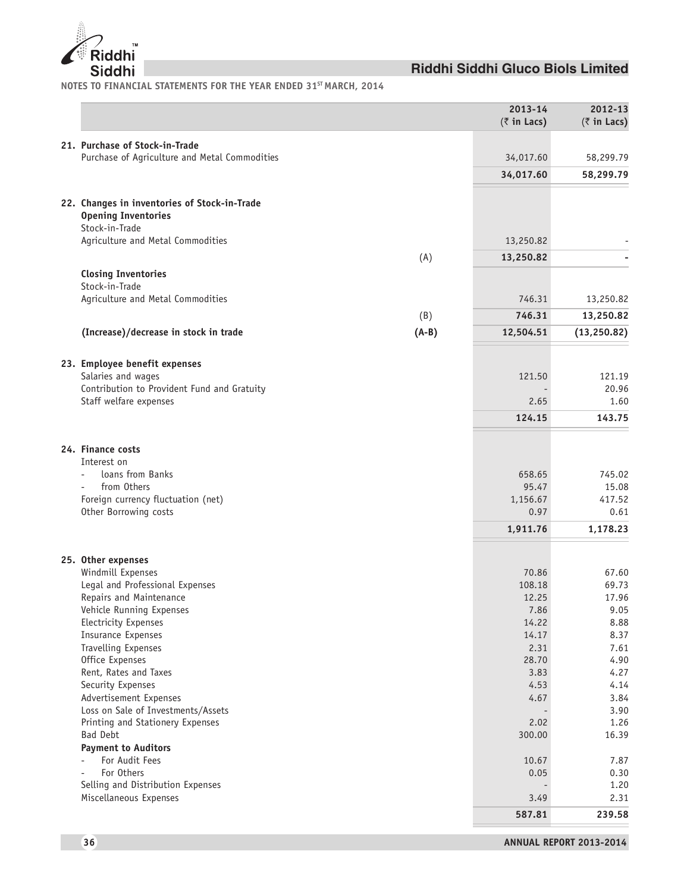

**NOTES TO FINANCIAL STATEMENTS FOR THE YEAR ENDED 31ST MARCH, 2014**

|                                                     | 2013-14             | 2012-13             |
|-----------------------------------------------------|---------------------|---------------------|
|                                                     | $(\bar{z}$ in Lacs) | $(\bar{z}$ in Lacs) |
| 21. Purchase of Stock-in-Trade                      |                     |                     |
| Purchase of Agriculture and Metal Commodities       | 34,017.60           | 58,299.79           |
|                                                     | 34,017.60           | 58,299.79           |
|                                                     |                     |                     |
| 22. Changes in inventories of Stock-in-Trade        |                     |                     |
| <b>Opening Inventories</b>                          |                     |                     |
| Stock-in-Trade                                      |                     |                     |
| Agriculture and Metal Commodities                   | 13,250.82           |                     |
| (A)                                                 | 13,250.82           |                     |
| <b>Closing Inventories</b>                          |                     |                     |
| Stock-in-Trade                                      |                     |                     |
| Agriculture and Metal Commodities                   | 746.31              | 13,250.82           |
| (B)                                                 | 746.31              | 13,250.82           |
| $(A-B)$<br>(Increase)/decrease in stock in trade    | 12,504.51           | (13, 250.82)        |
|                                                     |                     |                     |
| 23. Employee benefit expenses                       |                     |                     |
| Salaries and wages                                  | 121.50              | 121.19              |
| Contribution to Provident Fund and Gratuity         |                     | 20.96               |
| Staff welfare expenses                              | 2.65                | 1.60                |
|                                                     | 124.15              | 143.75              |
|                                                     |                     |                     |
| 24. Finance costs                                   |                     |                     |
| Interest on                                         |                     |                     |
| loans from Banks                                    | 658.65              | 745.02              |
| from Others                                         | 95.47               | 15.08               |
| Foreign currency fluctuation (net)                  | 1,156.67            | 417.52              |
| Other Borrowing costs                               | 0.97                | 0.61                |
|                                                     | 1,911.76            | 1,178.23            |
|                                                     |                     |                     |
| 25. Other expenses                                  |                     |                     |
| Windmill Expenses                                   | 70.86               | 67.60               |
| Legal and Professional Expenses                     | 108.18              | 69.73               |
| Repairs and Maintenance                             | 12.25               | 17.96               |
| Vehicle Running Expenses<br>Electricity Expenses    | 7.86<br>14.22       | 9.05<br>8.88        |
| <b>Insurance Expenses</b>                           | 14.17               | 8.37                |
| Travelling Expenses                                 | 2.31                | 7.61                |
| Office Expenses                                     | 28.70               | 4.90                |
| Rent, Rates and Taxes                               | 3.83                | 4.27                |
| Security Expenses                                   | 4.53                | 4.14                |
| Advertisement Expenses                              | 4.67                | 3.84                |
| Loss on Sale of Investments/Assets                  |                     | 3.90                |
| Printing and Stationery Expenses<br><b>Bad Debt</b> | 2.02<br>300.00      | 1.26<br>16.39       |
| <b>Payment to Auditors</b>                          |                     |                     |
| For Audit Fees<br>$\overline{\phantom{a}}$          | 10.67               | 7.87                |
| For Others                                          | 0.05                | 0.30                |
| Selling and Distribution Expenses                   |                     | 1.20                |
| Miscellaneous Expenses                              | 3.49                | 2.31                |
|                                                     | 587.81              | 239.58              |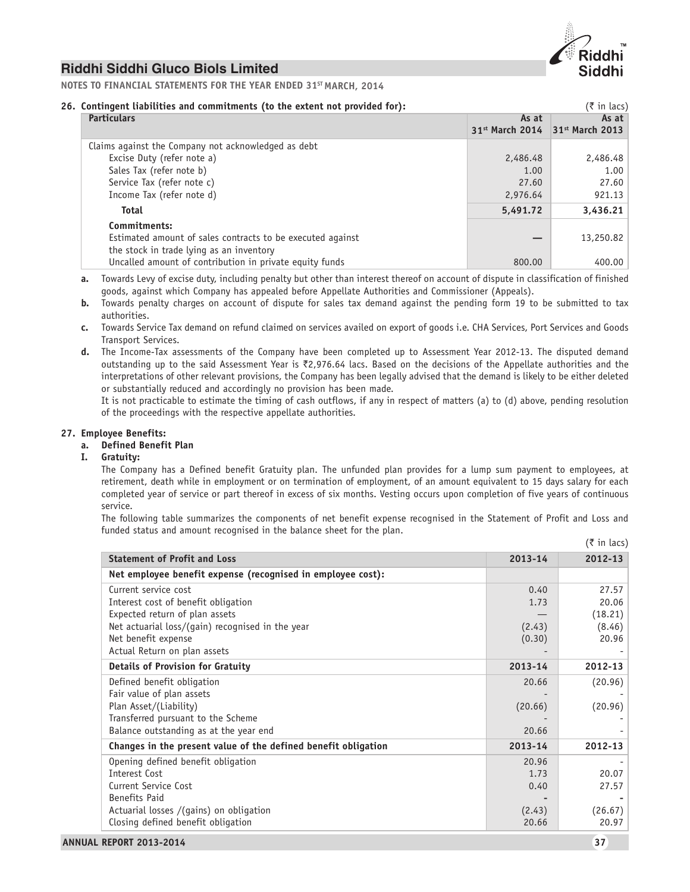

**NOTES TO FINANCIAL STATEMENTS FOR THE YEAR ENDED 31ST MARCH, 2014**

# **26. Contingent liabilities and commitments (to the extent not provided for):**  $\left( \bar{\epsilon} \text{ in } |a \cap \epsilon \right)$

| Contingent trabitities and commitments (to the extent not provided for ). |                   | $\sim$ III Lacs)            |
|---------------------------------------------------------------------------|-------------------|-----------------------------|
| <b>Particulars</b>                                                        | As at             | As at                       |
|                                                                           | $31st$ March 2014 | 31 <sup>st</sup> March 2013 |
| Claims against the Company not acknowledged as debt                       |                   |                             |
| Excise Duty (refer note a)                                                | 2,486.48          | 2,486.48                    |
| Sales Tax (refer note b)                                                  | 1.00              | 1.00                        |
| Service Tax (refer note c)                                                | 27.60             | 27.60                       |
| Income Tax (refer note d)                                                 | 2,976.64          | 921.13                      |
| <b>Total</b>                                                              | 5,491.72          | 3,436.21                    |
| Commitments:                                                              |                   |                             |
| Estimated amount of sales contracts to be executed against                |                   | 13,250.82                   |
| the stock in trade lying as an inventory                                  |                   |                             |
| Uncalled amount of contribution in private equity funds                   | 800.00            | 400.00                      |

- **a.** Towards Levy of excise duty, including penalty but other than interest thereof on account of dispute in classification of finished goods, against which Company has appealed before Appellate Authorities and Commissioner (Appeals).
- **b.** Towards penalty charges on account of dispute for sales tax demand against the pending form 19 to be submitted to tax authorities.
- **c.** Towards Service Tax demand on refund claimed on services availed on export of goods i.e. CHA Services, Port Services and Goods Transport Services.
- **d.** The Income-Tax assessments of the Company have been completed up to Assessment Year 2012-13. The disputed demand outstanding up to the said Assessment Year is `2,976.64 lacs. Based on the decisions of the Appellate authorities and the interpretations of other relevant provisions, the Company has been legally advised that the demand is likely to be either deleted or substantially reduced and accordingly no provision has been made.

It is not practicable to estimate the timing of cash outflows, if any in respect of matters (a) to (d) above, pending resolution of the proceedings with the respective appellate authorities.

### **27. Employee Benefits:**

- **a. Defined Benefit Plan**
- **I. Gratuity:**

The Company has a Defined benefit Gratuity plan. The unfunded plan provides for a lump sum payment to employees, at retirement, death while in employment or on termination of employment, of an amount equivalent to 15 days salary for each completed year of service or part thereof in excess of six months. Vesting occurs upon completion of five years of continuous service.

The following table summarizes the components of net benefit expense recognised in the Statement of Profit and Loss and funded status and amount recognised in the balance sheet for the plan.

|                                                                |         | $(3\overline{5})$ in lacs) |
|----------------------------------------------------------------|---------|----------------------------|
| <b>Statement of Profit and Loss</b>                            | 2013-14 | 2012-13                    |
| Net employee benefit expense (recognised in employee cost):    |         |                            |
| Current service cost                                           | 0.40    | 27.57                      |
| Interest cost of benefit obligation                            | 1.73    | 20.06                      |
| Expected return of plan assets                                 |         | (18.21)                    |
| Net actuarial loss/(gain) recognised in the year               | (2.43)  | (8.46)                     |
| Net benefit expense                                            | (0.30)  | 20.96                      |
| Actual Return on plan assets                                   |         |                            |
| <b>Details of Provision for Gratuity</b>                       | 2013-14 | 2012-13                    |
| Defined benefit obligation                                     | 20.66   | (20.96)                    |
| Fair value of plan assets                                      |         |                            |
| Plan Asset/(Liability)                                         | (20.66) | (20.96)                    |
| Transferred pursuant to the Scheme                             |         |                            |
| Balance outstanding as at the year end                         | 20.66   |                            |
| Changes in the present value of the defined benefit obligation | 2013-14 | 2012-13                    |
| Opening defined benefit obligation                             | 20.96   |                            |
| Interest Cost                                                  | 1.73    | 20.07                      |
| Current Service Cost                                           | 0.40    | 27.57                      |
| <b>Benefits Paid</b>                                           |         |                            |
| Actuarial losses /(gains) on obligation                        | (2.43)  | (26.67)                    |
| Closing defined benefit obligation                             | 20.66   | 20.97                      |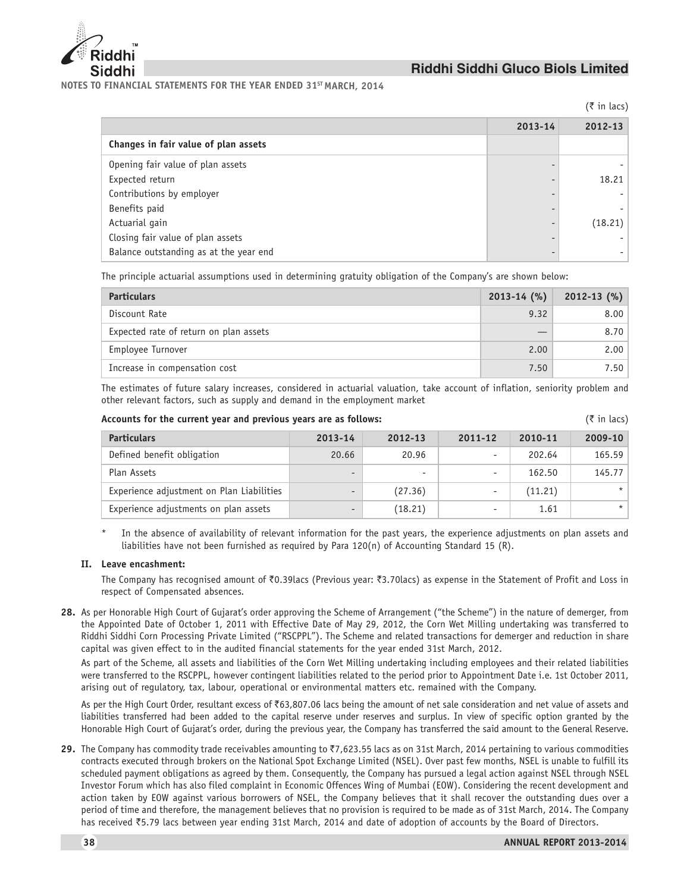

**NOTES TO FINANCIAL STATEMENTS FOR THE YEAR ENDED 31ST MARCH, 2014**

 $($ ₹ in lacs)

|                                        | 2013-14 | 2012-13 |
|----------------------------------------|---------|---------|
| Changes in fair value of plan assets   |         |         |
| Opening fair value of plan assets      |         |         |
| Expected return                        |         | 18.21   |
| Contributions by employer              |         |         |
| Benefits paid                          |         |         |
| Actuarial gain                         |         | (18.21) |
| Closing fair value of plan assets      |         |         |
| Balance outstanding as at the year end |         |         |

The principle actuarial assumptions used in determining gratuity obligation of the Company's are shown below:

| <b>Particulars</b>                     | $2013 - 14$ (%) | $2012 - 13$ (%) |
|----------------------------------------|-----------------|-----------------|
| Discount Rate                          | 9.32            | 8.00            |
| Expected rate of return on plan assets |                 | 8.70            |
| Employee Turnover                      | 2.00            | 2.00            |
| Increase in compensation cost          | 7.50            | 7.50            |

The estimates of future salary increases, considered in actuarial valuation, take account of inflation, seniority problem and other relevant factors, such as supply and demand in the employment market

| Accounts for the current year and previous years are as follows: |  | $(\bar{\tau}$ in lacs) |  |  |  |  |
|------------------------------------------------------------------|--|------------------------|--|--|--|--|
|------------------------------------------------------------------|--|------------------------|--|--|--|--|

| <b>Particulars</b>                        | 2013-14  | 2012-13 | 2011-12 | 2010-11 | 2009-10 |
|-------------------------------------------|----------|---------|---------|---------|---------|
| Defined benefit obligation                | 20.66    | 20.96   |         | 202.64  | 165.59  |
| Plan Assets                               |          |         |         | 162.50  | 145.77  |
| Experience adjustment on Plan Liabilities | $\equiv$ | (27.36) |         | (11.21) | $\star$ |
| Experience adjustments on plan assets     |          | (18.21) |         | 1.61    | $\star$ |

In the absence of availability of relevant information for the past years, the experience adjustments on plan assets and liabilities have not been furnished as required by Para 120(n) of Accounting Standard 15 (R).

### **II. Leave encashment:**

The Company has recognised amount of  $\bar{\zeta}$ 0.39lacs (Previous year:  $\bar{\zeta}$ 3.70lacs) as expense in the Statement of Profit and Loss in respect of Compensated absences.

28. As per Honorable High Court of Gujarat's order approving the Scheme of Arrangement ("the Scheme") in the nature of demerger, from the Appointed Date of October 1, 2011 with Effective Date of May 29, 2012, the Corn Wet Milling undertaking was transferred to Riddhi Siddhi Corn Processing Private Limited ("RSCPPL"). The Scheme and related transactions for demerger and reduction in share capital was given effect to in the audited financial statements for the year ended 31st March, 2012.

As part of the Scheme, all assets and liabilities of the Corn Wet Milling undertaking including employees and their related liabilities were transferred to the RSCPPL, however contingent liabilities related to the period prior to Appointment Date i.e. 1st October 2011, arising out of regulatory, tax, labour, operational or environmental matters etc. remained with the Company.

As per the High Court Order, resultant excess of  $\bar{e}63,807.06$  lacs being the amount of net sale consideration and net value of assets and liabilities transferred had been added to the capital reserve under reserves and surplus. In view of specific option granted by the Honorable High Court of Gujarat's order, during the previous year, the Company has transferred the said amount to the General Reserve.

**29.** The Company has commodity trade receivables amounting to ₹7,623.55 lacs as on 31st March, 2014 pertaining to various commodities contracts executed through brokers on the National Spot Exchange Limited (NSEL). Over past few months, NSEL is unable to fulfill its scheduled payment obligations as agreed by them. Consequently, the Company has pursued a legal action against NSEL through NSEL Investor Forum which has also filed complaint in Economic Offences Wing of Mumbai (EOW). Considering the recent development and action taken by EOW against various borrowers of NSEL, the Company believes that it shall recover the outstanding dues over a period of time and therefore, the management believes that no provision is required to be made as of 31st March, 2014. The Company has received ₹5.79 lacs between year ending 31st March, 2014 and date of adoption of accounts by the Board of Directors.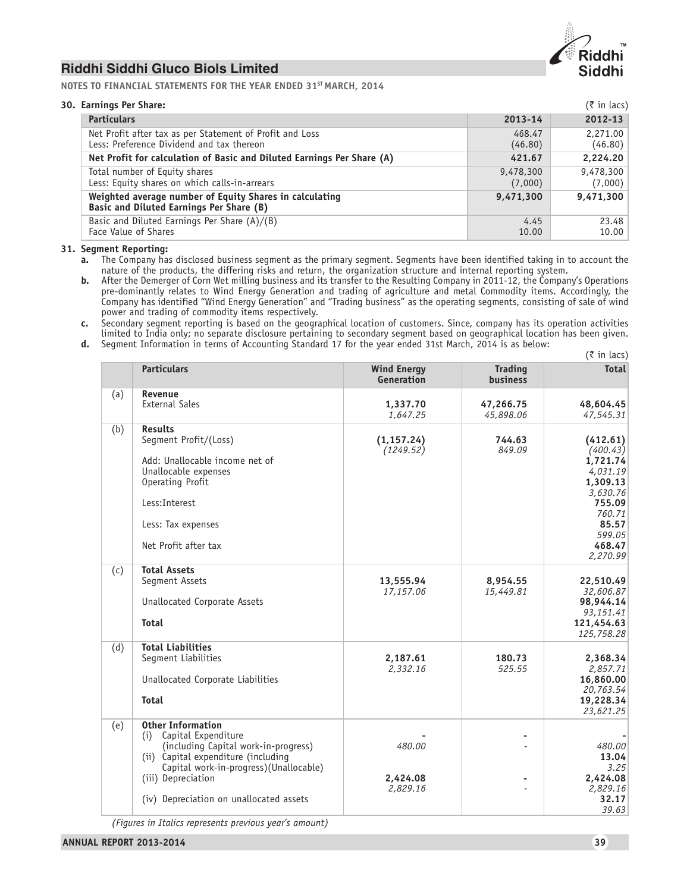

**NOTES TO FINANCIAL STATEMENTS FOR THE YEAR ENDED 31ST MARCH, 2014**

| 30. Earnings Per Share:                                                                               |                      | $(\bar{\tau}$ in lacs) |
|-------------------------------------------------------------------------------------------------------|----------------------|------------------------|
| <b>Particulars</b>                                                                                    | $2013 - 14$          | $2012 - 13$            |
| Net Profit after tax as per Statement of Profit and Loss<br>Less: Preference Dividend and tax thereon | 468.47<br>(46.80)    | 2,271.00<br>(46.80)    |
| Net Profit for calculation of Basic and Diluted Earnings Per Share (A)                                | 421.67               | 2,224.20               |
| Total number of Equity shares<br>Less: Equity shares on which calls-in-arrears                        | 9,478,300<br>(7,000) | 9,478,300<br>(7,000)   |
| Weighted average number of Equity Shares in calculating<br>Basic and Diluted Earnings Per Share (B)   | 9,471,300            | 9,471,300              |
| Basic and Diluted Earnings Per Share (A)/(B)<br>Face Value of Shares                                  | 4.45<br>10.00        | 23.48<br>10.00         |

**31. Segment Reporting:**

- **a.** The Company has disclosed business segment as the primary segment. Segments have been identified taking in to account the nature of the products, the differing risks and return, the organization structure and internal reporting system.
- **b.** After the Demerger of Corn Wet milling business and its transfer to the Resulting Company in 2011-12, the Company's Operations pre-dominantly relates to Wind Energy Generation and trading of agriculture and metal Commodity items. Accordingly, the Company has identified "Wind Energy Generation" and "Trading business" as the operating segments, consisting of sale of wind power and trading of commodity items respectively.
- **c.** Secondary segment reporting is based on the geographical location of customers. Since, company has its operation activities limited to India only; no separate disclosure pertaining to secondary segment based on geographical location has been given. **d.** Segment Information in terms of Accounting Standard 17 for the year ended 31st March, 2014 is as below:
- $(5$  in lacs) **Particulars Trading Total Contract Contract Contract Contract Contract Contract Contract Contract Contract Contra<br>
Particulars Total Contract Contract Contract Contract Contract Contract Contract Contract Contract Contrac Generation business** (a) **Revenue** External Sales **1,337.70 47,266.75 48,604.45**

|     | <b>External Sales</b>                                                                                                                                                                                                                            | 1,337.70<br>1,647.25           | 47,266.75<br>45,898.06 | 48,604.45<br>47,545.31                                                                                                            |
|-----|--------------------------------------------------------------------------------------------------------------------------------------------------------------------------------------------------------------------------------------------------|--------------------------------|------------------------|-----------------------------------------------------------------------------------------------------------------------------------|
| (b) | <b>Results</b><br>Segment Profit/(Loss)<br>Add: Unallocable income net of<br>Unallocable expenses<br>Operating Profit<br>Less: Interest<br>Less: Tax expenses<br>Net Profit after tax                                                            | (1, 157.24)<br>(1249.52)       | 744.63<br>849.09       | (412.61)<br>(400.43)<br>1,721.74<br>4,031.19<br>1,309.13<br>3,630.76<br>755.09<br>760.71<br>85.57<br>599.05<br>468.47<br>2,270.99 |
| (c) | <b>Total Assets</b><br>Segment Assets<br>Unallocated Corporate Assets<br><b>Total</b>                                                                                                                                                            | 13,555.94<br>17.157.06         | 8,954.55<br>15,449.81  | 22,510.49<br>32,606.87<br>98,944.14<br>93,151.41<br>121,454.63<br>125,758.28                                                      |
| (d) | <b>Total Liabilities</b><br>Segment Liabilities<br>Unallocated Corporate Liabilities<br><b>Total</b>                                                                                                                                             | 2,187.61<br>2,332.16           | 180.73<br>525.55       | 2,368.34<br>2,857.71<br>16,860.00<br>20,763.54<br>19,228.34<br>23,621.25                                                          |
| (e) | <b>Other Information</b><br>Capital Expenditure<br>(i)<br>(including Capital work-in-progress)<br>(ii) Capital expenditure (including<br>Capital work-in-progress)(Unallocable)<br>(iii) Depreciation<br>(iv) Depreciation on unallocated assets | 480.00<br>2,424.08<br>2,829.16 |                        | 480.00<br>13.04<br>3.25<br>2,424.08<br>2,829.16<br>32.17<br>39.63                                                                 |

*(Figures in Italics represents previous year's amount)*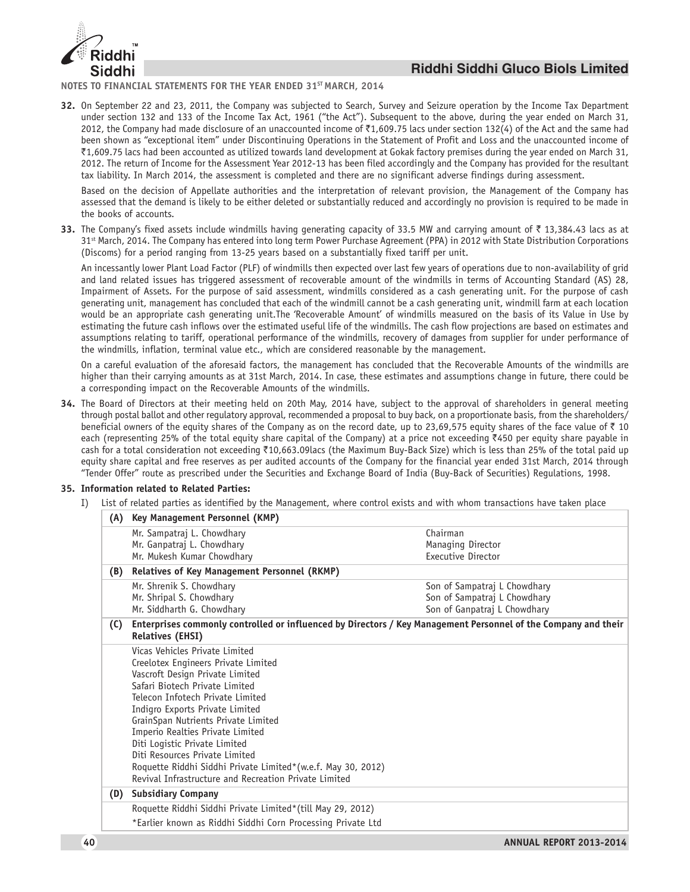

**NOTES TO FINANCIAL STATEMENTS FOR THE YEAR ENDED 31ST MARCH, 2014**

**32.** On September 22 and 23, 2011, the Company was subjected to Search, Survey and Seizure operation by the Income Tax Department under section 132 and 133 of the Income Tax Act, 1961 ("the Act"). Subsequent to the above, during the year ended on March 31, 2012, the Company had made disclosure of an unaccounted income of  $\bar{\tau}$ 1,609.75 lacs under section 132(4) of the Act and the same had been shown as "exceptional item" under Discontinuing Operations in the Statement of Profit and Loss and the unaccounted income of `1,609.75 lacs had been accounted as utilized towards land development at Gokak factory premises during the year ended on March 31, 2012. The return of Income for the Assessment Year 2012-13 has been filed accordingly and the Company has provided for the resultant tax liability. In March 2014, the assessment is completed and there are no significant adverse findings during assessment.

Based on the decision of Appellate authorities and the interpretation of relevant provision, the Management of the Company has assessed that the demand is likely to be either deleted or substantially reduced and accordingly no provision is required to be made in the books of accounts.

**33.** The Company's fixed assets include windmills having generating capacity of 33.5 MW and carrying amount of  $\bar{\tau}$  13,384.43 lacs as at 31<sup>st</sup> March, 2014. The Company has entered into long term Power Purchase Agreement (PPA) in 2012 with State Distribution Corporations (Discoms) for a period ranging from 13-25 years based on a substantially fixed tariff per unit.

An incessantly lower Plant Load Factor (PLF) of windmills then expected over last few years of operations due to non-availability of grid and land related issues has triggered assessment of recoverable amount of the windmills in terms of Accounting Standard (AS) 28, Impairment of Assets. For the purpose of said assessment, windmills considered as a cash generating unit. For the purpose of cash generating unit, management has concluded that each of the windmill cannot be a cash generating unit, windmill farm at each location would be an appropriate cash generating unit.The 'Recoverable Amount' of windmills measured on the basis of its Value in Use by estimating the future cash inflows over the estimated useful life of the windmills. The cash flow projections are based on estimates and assumptions relating to tariff, operational performance of the windmills, recovery of damages from supplier for under performance of the windmills, inflation, terminal value etc., which are considered reasonable by the management.

On a careful evaluation of the aforesaid factors, the management has concluded that the Recoverable Amounts of the windmills are higher than their carrying amounts as at 31st March, 2014. In case, these estimates and assumptions change in future, there could be a corresponding impact on the Recoverable Amounts of the windmills.

**34.** The Board of Directors at their meeting held on 20th May, 2014 have, subject to the approval of shareholders in general meeting through postal ballot and other regulatory approval, recommended a proposal to buy back, on a proportionate basis, from the shareholders/ beneficial owners of the equity shares of the Company as on the record date, up to 23,69,575 equity shares of the face value of  $\bar{\tau}$  10 each (representing 25% of the total equity share capital of the Company) at a price not exceeding  $*450$  per equity share payable in cash for a total consideration not exceeding ₹10,663.09lacs (the Maximum Buy-Back Size) which is less than 25% of the total paid up equity share capital and free reserves as per audited accounts of the Company for the financial year ended 31st March, 2014 through "Tender Offer" route as prescribed under the Securities and Exchange Board of India (Buy-Back of Securities) Regulations, 1998.

#### **35. Information related to Related Parties:**

I) List of related parties as identified by the Management, where control exists and with whom transactions have taken place

| (A) | Key Management Personnel (KMP)                                                                                                            |                              |
|-----|-------------------------------------------------------------------------------------------------------------------------------------------|------------------------------|
|     | Mr. Sampatraj L. Chowdhary                                                                                                                | Chairman                     |
|     | Mr. Ganpatraj L. Chowdhary                                                                                                                | Managing Director            |
|     | Mr. Mukesh Kumar Chowdhary                                                                                                                | Executive Director           |
| (B) | Relatives of Key Management Personnel (RKMP)                                                                                              |                              |
|     | Mr. Shrenik S. Chowdhary                                                                                                                  | Son of Sampatraj L Chowdhary |
|     | Mr. Shripal S. Chowdhary                                                                                                                  | Son of Sampatraj L Chowdhary |
|     | Mr. Siddharth G. Chowdhary                                                                                                                | Son of Ganpatraj L Chowdhary |
| (C) | Enterprises commonly controlled or influenced by Directors / Key Management Personnel of the Company and their<br><b>Relatives (EHSI)</b> |                              |
|     | Vicas Vehicles Private Limited                                                                                                            |                              |
|     | Creelotex Engineers Private Limited                                                                                                       |                              |
|     | Vascroft Design Private Limited                                                                                                           |                              |
|     | Safari Biotech Private Limited                                                                                                            |                              |
|     | Telecon Infotech Private Limited                                                                                                          |                              |
|     | Indigro Exports Private Limited                                                                                                           |                              |
|     | GrainSpan Nutrients Private Limited                                                                                                       |                              |
|     | Imperio Realties Private Limited                                                                                                          |                              |
|     | Diti Logistic Private Limited                                                                                                             |                              |
|     | Diti Resources Private Limited                                                                                                            |                              |
|     | Roquette Riddhi Siddhi Private Limited*(w.e.f. May 30, 2012)                                                                              |                              |
|     | Revival Infrastructure and Recreation Private Limited                                                                                     |                              |
| (D) | <b>Subsidiary Company</b>                                                                                                                 |                              |
|     | Roquette Riddhi Siddhi Private Limited*(till May 29, 2012)                                                                                |                              |
|     | *Earlier known as Riddhi Siddhi Corn Processing Private Ltd                                                                               |                              |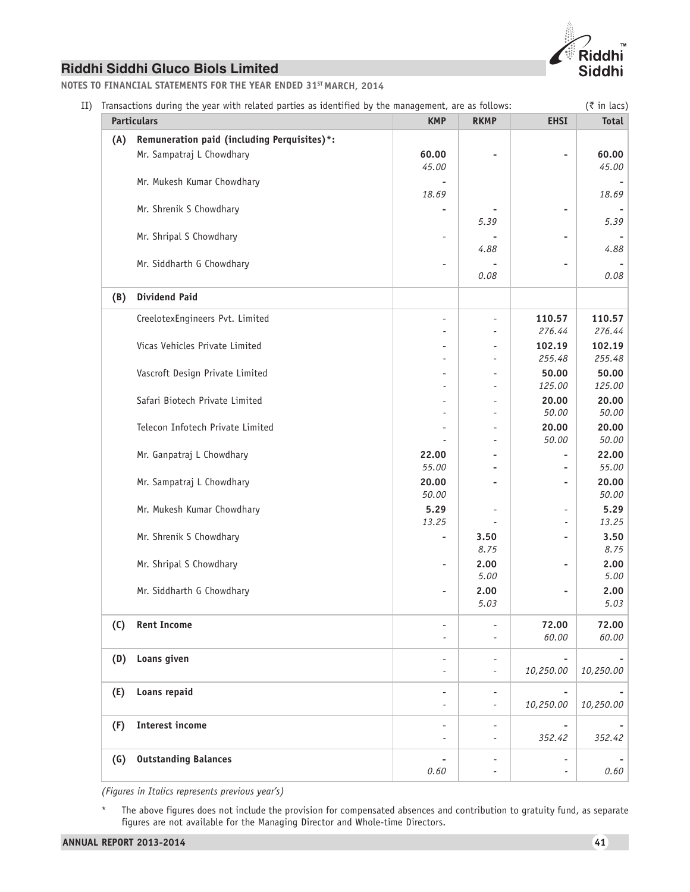

**NOTES TO FINANCIAL STATEMENTS FOR THE YEAR ENDED 31ST MARCH, 2014**

| Transactions during the year with related parties as identified by the management, are as follows: |                                                                                                                               |                         |                          |                                                                                                                        |
|----------------------------------------------------------------------------------------------------|-------------------------------------------------------------------------------------------------------------------------------|-------------------------|--------------------------|------------------------------------------------------------------------------------------------------------------------|
| <b>Particulars</b>                                                                                 | <b>KMP</b>                                                                                                                    | <b>RKMP</b>             | <b>EHSI</b>              | <b>Total</b>                                                                                                           |
| Remuneration paid (including Perquisites)*:<br>Mr. Sampatraj L Chowdhary                           | 60.00<br>45.00                                                                                                                |                         | $\overline{\phantom{0}}$ | 60.00<br>45.00                                                                                                         |
|                                                                                                    | 18.69                                                                                                                         |                         |                          | 18.69                                                                                                                  |
|                                                                                                    |                                                                                                                               | 5.39                    |                          | 5.39                                                                                                                   |
|                                                                                                    |                                                                                                                               | 4.88                    | ۰                        | 4.88                                                                                                                   |
|                                                                                                    |                                                                                                                               | 0.08                    |                          | 0.08                                                                                                                   |
| <b>Dividend Paid</b>                                                                               |                                                                                                                               |                         |                          |                                                                                                                        |
| CreelotexEngineers Pvt. Limited                                                                    | $\overline{a}$                                                                                                                |                         | 110.57<br>276.44         | 110.57<br>276.44                                                                                                       |
| Vicas Vehicles Private Limited                                                                     |                                                                                                                               |                         | 102.19                   | 102.19<br>255.48                                                                                                       |
| Vascroft Design Private Limited                                                                    |                                                                                                                               |                         | 50.00                    | 50.00<br>125.00                                                                                                        |
| Safari Biotech Private Limited                                                                     |                                                                                                                               |                         | 20.00                    | 20.00                                                                                                                  |
| Telecon Infotech Private Limited                                                                   |                                                                                                                               |                         | 20.00                    | 50.00<br>20.00                                                                                                         |
| Mr. Ganpatraj L Chowdhary                                                                          | 22.00                                                                                                                         |                         |                          | 50.00<br>22.00<br>55.00                                                                                                |
| Mr. Sampatraj L Chowdhary                                                                          | 20.00                                                                                                                         |                         | ٠                        | 20.00<br>50.00                                                                                                         |
| Mr. Mukesh Kumar Chowdhary                                                                         | 5.29                                                                                                                          |                         | $\overline{\phantom{a}}$ | 5.29<br>13.25                                                                                                          |
| Mr. Shrenik S Chowdhary                                                                            | ۰                                                                                                                             | 3.50                    | ٠                        | 3.50<br>8.75                                                                                                           |
| Mr. Shripal S Chowdhary                                                                            | ٠                                                                                                                             | 2.00                    | ٠                        | 2.00<br>5.00                                                                                                           |
| Mr. Siddharth G Chowdhary                                                                          |                                                                                                                               | 2.00<br>5.03            | ۰                        | 2.00<br>5.03                                                                                                           |
| <b>Rent Income</b>                                                                                 | $\overline{\phantom{0}}$                                                                                                      |                         | 72.00                    | 72.00<br>60.00                                                                                                         |
| Loans given                                                                                        |                                                                                                                               |                         |                          |                                                                                                                        |
|                                                                                                    |                                                                                                                               |                         |                          | 10,250.00                                                                                                              |
|                                                                                                    |                                                                                                                               |                         | 10,250.00                | 10,250.00                                                                                                              |
| <b>Interest income</b>                                                                             |                                                                                                                               |                         | 352.42                   | 352.42                                                                                                                 |
| <b>Outstanding Balances</b>                                                                        |                                                                                                                               |                         |                          |                                                                                                                        |
|                                                                                                    | Mr. Mukesh Kumar Chowdhary<br>Mr. Shrenik S Chowdhary<br>Mr. Shripal S Chowdhary<br>Mr. Siddharth G Chowdhary<br>Loans repaid | 55.00<br>50.00<br>13.25 | 8.75<br>5.00             | 255.48<br>125.00<br>50.00<br>50.00<br>Ĭ.<br>$\overline{\phantom{a}}$<br>60.00<br>10,250.00<br>$\overline{\phantom{a}}$ |

*(Figures in Italics represents previous year's)*

\* The above figures does not include the provision for compensated absences and contribution to gratuity fund, as separate figures are not available for the Managing Director and Whole-time Directors.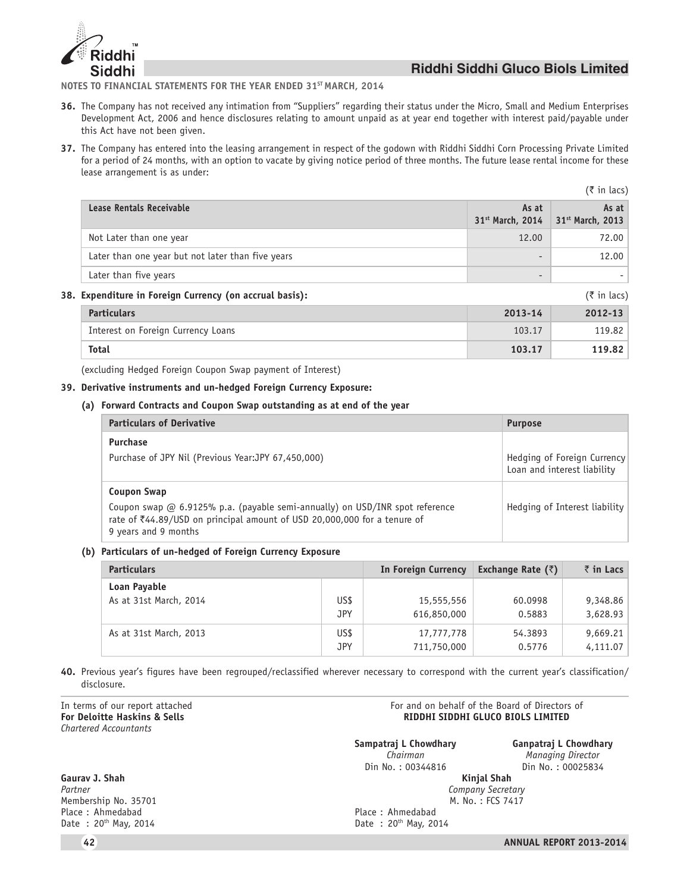

**NOTES TO FINANCIAL STATEMENTS FOR THE YEAR ENDED 31ST MARCH, 2014**

- **36.** The Company has not received any intimation from "Suppliers" regarding their status under the Micro, Small and Medium Enterprises Development Act, 2006 and hence disclosures relating to amount unpaid as at year end together with interest paid/payable under this Act have not been given.
- **37.** The Company has entered into the leasing arrangement in respect of the godown with Riddhi Siddhi Corn Processing Private Limited for a period of 24 months, with an option to vacate by giving notice period of three months. The future lease rental income for these lease arrangement is as under:

|                                                         |                                       | $(3\overline{5})$ in lacs)            |
|---------------------------------------------------------|---------------------------------------|---------------------------------------|
| Lease Rentals Receivable                                | As at<br>31 <sup>st</sup> March, 2014 | As at<br>31 <sup>st</sup> March, 2013 |
| Not Later than one year                                 | 12.00                                 | 72.00                                 |
| Later than one year but not later than five years       |                                       | 12.00                                 |
| Later than five years                                   |                                       |                                       |
| 38. Expenditure in Foreign Currency (on accrual basis): |                                       | $(3\overline{5})$ in lacs)            |

| <b>Particulars</b>                 | 2013-14 | 2012-13 |
|------------------------------------|---------|---------|
| Interest on Foreign Currency Loans | 103.17  | 119.82  |
| <b>Total</b>                       | 103.17  | 119.82  |

(excluding Hedged Foreign Coupon Swap payment of Interest)

### **39. Derivative instruments and un-hedged Foreign Currency Exposure:**

#### **(a) Forward Contracts and Coupon Swap outstanding as at end of the year**

| <b>Particulars of Derivative</b>                                                                                                                                                 | <b>Purpose</b>                                             |
|----------------------------------------------------------------------------------------------------------------------------------------------------------------------------------|------------------------------------------------------------|
| <b>Purchase</b>                                                                                                                                                                  |                                                            |
| Purchase of JPY Nil (Previous Year: JPY 67,450,000)                                                                                                                              | Hedging of Foreign Currency<br>Loan and interest liability |
| Coupon Swap                                                                                                                                                                      |                                                            |
| Coupon swap @ 6.9125% p.a. (payable semi-annually) on USD/INR spot reference<br>rate of ₹44.89/USD on principal amount of USD 20,000,000 for a tenure of<br>9 years and 9 months | Hedging of Interest liability                              |

#### **(b) Particulars of un-hedged of Foreign Currency Exposure**

| <b>Particulars</b>     |      | In Foreign Currency | Exchange Rate $(\bar{z})$ | ₹in Lacs |
|------------------------|------|---------------------|---------------------------|----------|
| Loan Payable           | US\$ | 15,555,556          | 60.0998                   | 9,348.86 |
| As at 31st March, 2014 | JPY  | 616,850,000         | 0.5883                    | 3,628.93 |
| As at 31st March, 2013 | US\$ | 17,777,778          | 54.3893                   | 9,669.21 |
|                        | JPY  | 711,750,000         | 0.5776                    | 4,111.07 |

**40.** Previous year's figures have been regrouped/reclassified wherever necessary to correspond with the current year's classification/ disclosure.

*Chartered Accountants*

**Gaurav J. Shah Kinjal Shah** *Partner Company Secretary* Membership No. 35701<br>Place: Ahmedabad Place : Ahmedabad<br>
Date : 20<sup>th</sup> May, 2014 **Place : Ahmedabad** Place : Ahmedabad Pate : 20<sup>th</sup> May, 20

In terms of our report attached  $\blacksquare$  For and on behalf of the Board of Directors of  $\blacksquare$  For Deloitte Haskins & Sells  $\blacksquare$ **RIDDHI SIDDHI GLUCO BIOLS LIMITED** 

Din No.: 00344816 Din No.: 00025834

**Sampatraj L Chowdhary Ganpatraj L Chowdhary**<br>Chairman **Ganpatraj L Chowdhary** *Managing Director* 

Date :  $20^{th}$  May, 2014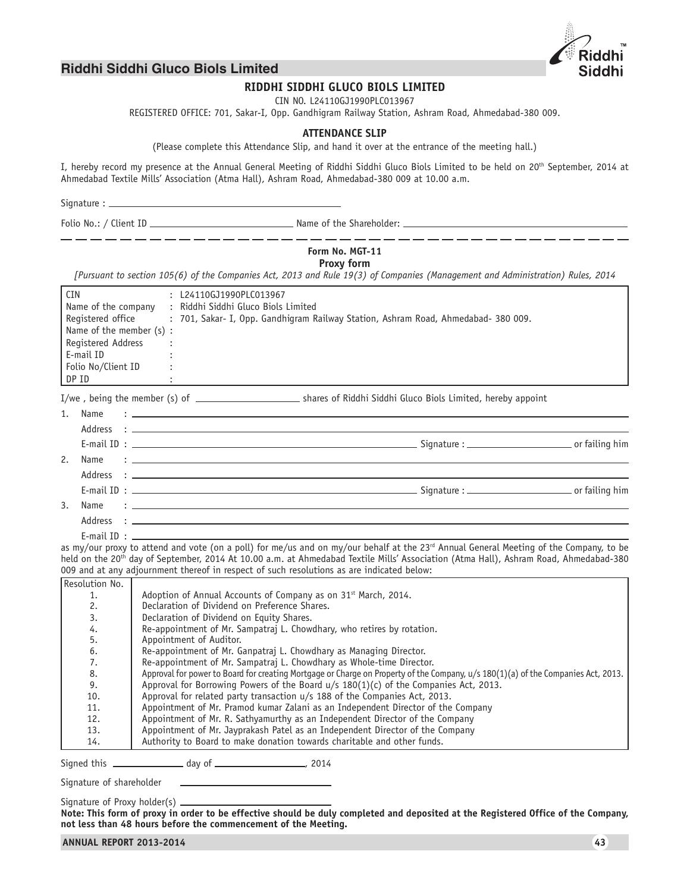

\_\_\_\_\_\_\_\_\_\_\_\_\_\_\_

# **Riddhi Siddhi Gluco Biols Limited**

\_\_\_\_\_\_\_\_\_\_\_\_\_\_\_

# **RIDDHI SIDDHI GLUCO BIOLS LIMITED**

CIN NO. L24110GJ1990PLC013967

REGISTERED OFFICE: 701, Sakar-I, Opp. Gandhigram Railway Station, Ashram Road, Ahmedabad-380 009.

#### **ATTENDANCE SLIP**

(Please complete this Attendance Slip, and hand it over at the entrance of the meeting hall.)

I, hereby record my presence at the Annual General Meeting of Riddhi Siddhi Gluco Biols Limited to be held on 20th September, 2014 at Ahmedabad Textile Mills' Association (Atma Hall), Ashram Road, Ahmedabad-380 009 at 10.00 a.m.

Signature :  $\equiv$ 

Folio No.: / Client ID Name of the Shareholder:

# **Form No. MGT-11**

**Proxy form**

*[Pursuant to section 105(6) of the Companies Act, 2013 and Rule 19(3) of Companies (Management and Administration) Rules, 2014*

| <b>CIN</b>               |  | : L24110GJ1990PLC013967                                                                                                                                                                                                                                                                                 |
|--------------------------|--|---------------------------------------------------------------------------------------------------------------------------------------------------------------------------------------------------------------------------------------------------------------------------------------------------------|
| Name of the company      |  | : Riddhi Siddhi Gluco Biols Limited                                                                                                                                                                                                                                                                     |
| Registered office        |  | : 701, Sakar- I, Opp. Gandhigram Railway Station, Ashram Road, Ahmedabad- 380 009.                                                                                                                                                                                                                      |
| Name of the member (s) : |  |                                                                                                                                                                                                                                                                                                         |
| Registered Address       |  |                                                                                                                                                                                                                                                                                                         |
| E-mail ID                |  |                                                                                                                                                                                                                                                                                                         |
| Folio No/Client ID       |  |                                                                                                                                                                                                                                                                                                         |
| DP ID                    |  |                                                                                                                                                                                                                                                                                                         |
|                          |  |                                                                                                                                                                                                                                                                                                         |
| Name<br>1.               |  | the contract of the contract of the contract of the contract of the contract of the contract of the contract of                                                                                                                                                                                         |
|                          |  |                                                                                                                                                                                                                                                                                                         |
|                          |  |                                                                                                                                                                                                                                                                                                         |
| 2.<br>Name               |  | $\ddot{z}$ , and the contribution of the contribution of the contribution of the contribution of $\ddot{z}$                                                                                                                                                                                             |
|                          |  |                                                                                                                                                                                                                                                                                                         |
|                          |  |                                                                                                                                                                                                                                                                                                         |
| $\mathcal{E}$<br>Name    |  | まいしょう アイ・シー しょうしょう アイ・シー しょうしょう アイ・シー しょうしょう                                                                                                                                                                                                                                                            |
|                          |  |                                                                                                                                                                                                                                                                                                         |
|                          |  | E-mail ID: The contract of the contract of the contract of the contract of the contract of the contract of the contract of the contract of the contract of the contract of the contract of the contract of the contract of the                                                                          |
|                          |  | as my/our proxy to attend and vote (on a poll) for me/us and on my/our behalf at the 23 <sup>rd</sup> Annual General Meeting of the Company, to be<br>held on the 20 <sup>th</sup> day of September, 2014 At 10.00 a.m. at Ahmedabad Textile Mills' Association (Atma Hall), Ashram Road, Ahmedabad-380 |
|                          |  | 009 and at any adjournment thereof in respect of such resolutions as are indicated below:                                                                                                                                                                                                               |
| Resolution No.           |  |                                                                                                                                                                                                                                                                                                         |
| 1.                       |  | Adoption of Annual Accounts of Company as on 31 <sup>st</sup> March, 2014.                                                                                                                                                                                                                              |
| 2.                       |  | Declaration of Dividend on Preference Shares.                                                                                                                                                                                                                                                           |
| 3.                       |  | Declaration of Dividend on Equity Shares.                                                                                                                                                                                                                                                               |

| Re-appointment of Mr. Sampatraj L. Chowdhary, who retires by rotation. |
|------------------------------------------------------------------------|
| Appointment of Auditor.                                                |

6. Re-appointment of Mr. Ganpatraj L. Chowdhary as Managing Director.

7. Re-appointment of Mr. Sampatraj L. Chowdhary as Whole-time Director.<br>8. Approval for power to Board for creating Mortgage or Charge on Property of the C 8. Approval for power to Board for creating Mortgage or Charge on Property of the Company, u/s 180(1)(a) of the Companies Act, 2013. 9. Approval for Borrowing Powers of the Board u/s 180(1)(c) of the Companies Act, 2013. 10. Approval for related party transaction u/s 188 of the Companies Act, 2013. 11. Appointment of Mr. Pramod kumar Zalani as an Independent Director of the Company

12. Appointment of Mr. R. Sathyamurthy as an Independent Director of the Company

13. Appointment of Mr. Jayprakash Patel as an Independent Director of the Company<br>14. Authority to Board to make donation towards charitable and other funds. Authority to Board to make donation towards charitable and other funds.

Signed this day of , 2014

Signature of shareholder

Signature of Proxy holder(s)

**Note: This form of proxy in order to be effective should be duly completed and deposited at the Registered Office of the Company, not less than 48 hours before the commencement of the Meeting.**